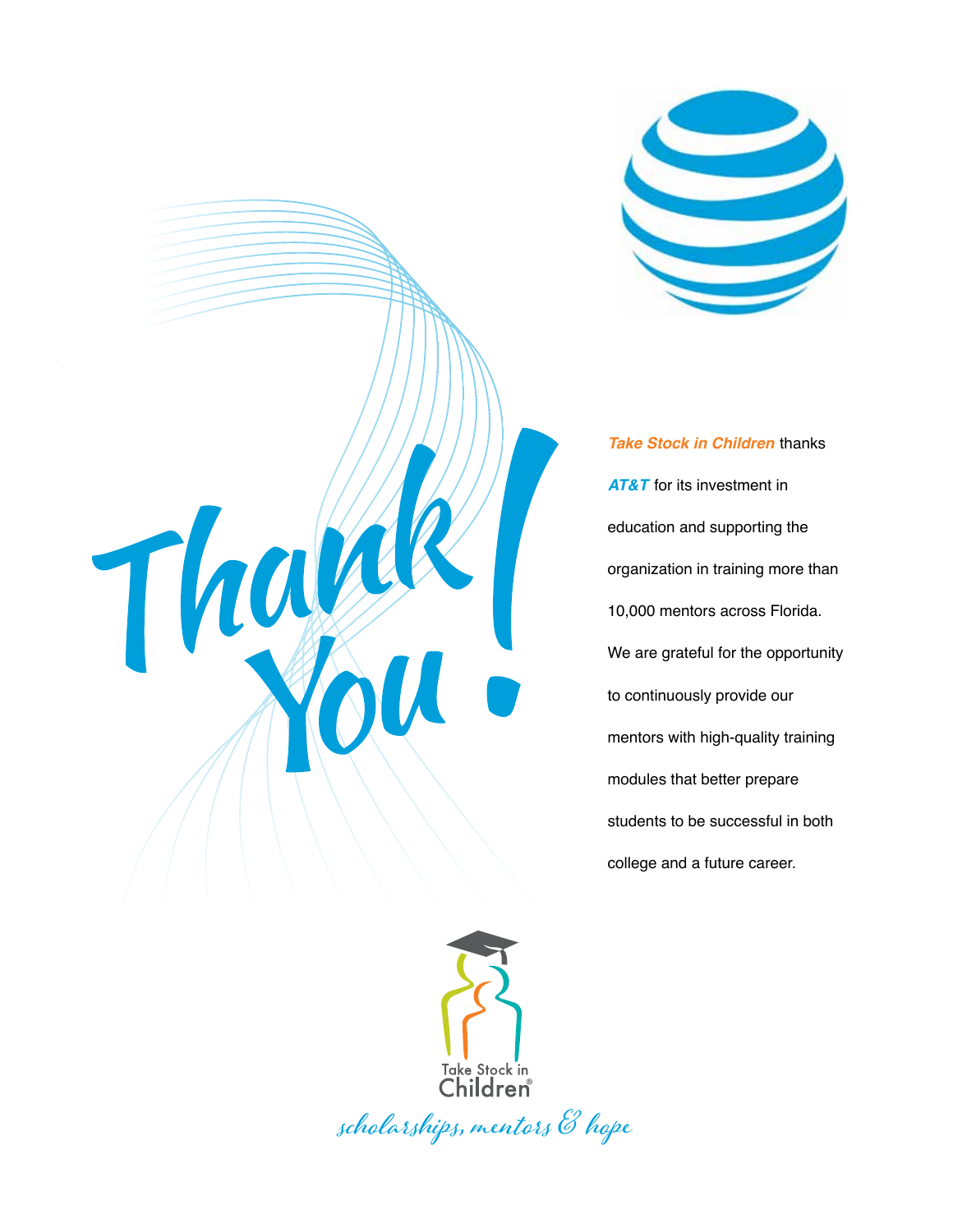

*Take Stock in Children* thanks **AT&T** for its investment in education and supporting the organization in training more than 10,000 mentors across Florida. We are grateful for the opportunity to continuously provide our mentors with high-quality training modules that better prepare students to be successful in both college and a future career.



Thomas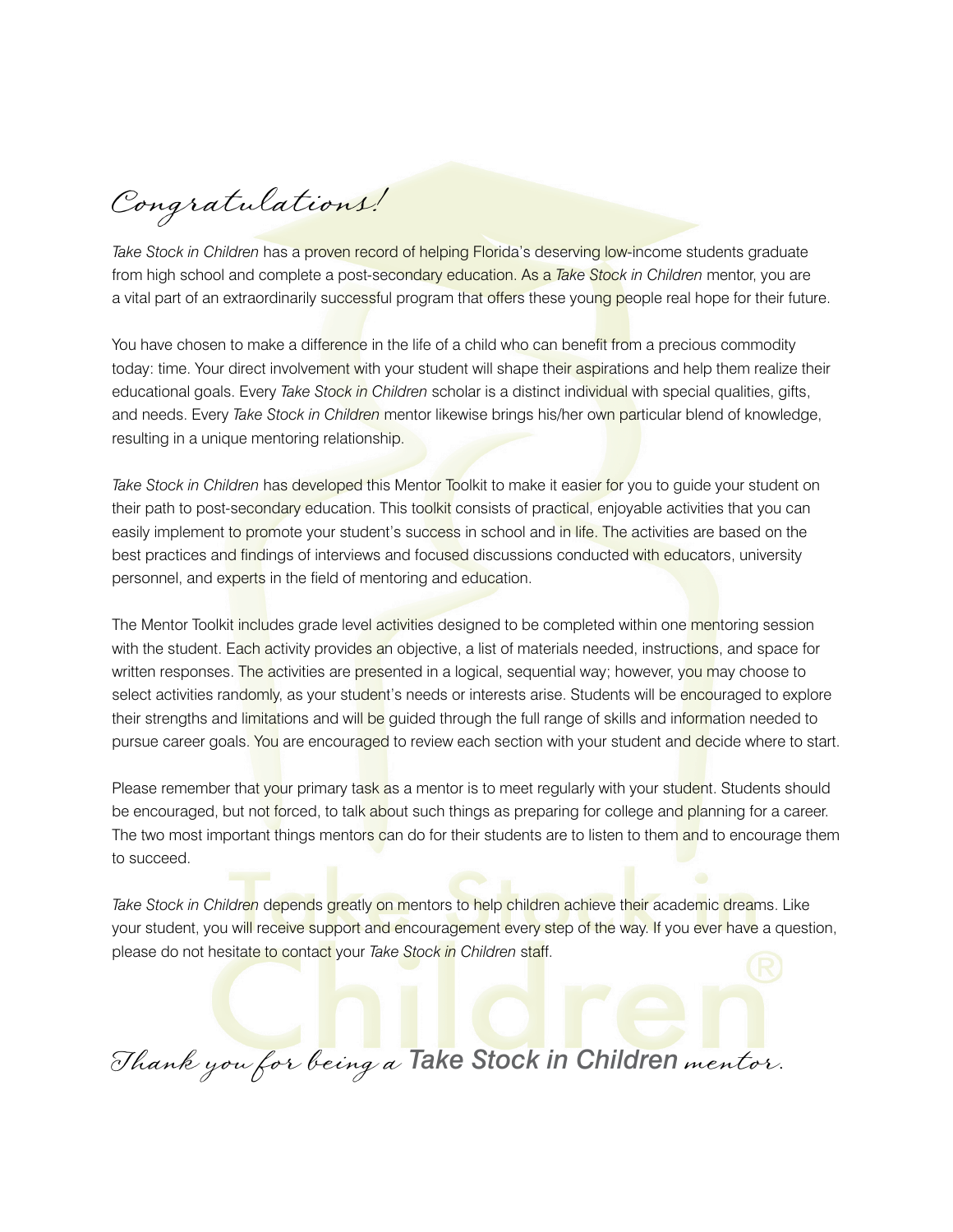Congratulations!

*Take Stock in Children* has a proven record of helping Florida's deserving low-income students graduate from high school and complete a post-secondary education. As a *Take Stock in Children* mentor, you are a vital part of an extraordinarily successful program that offers these young people real hope for their future.

You have chosen to make a difference in the life of a child who can benefit from a precious commodity today: time. Your direct involvement with your student will shape their aspirations and help them realize their educational goals. Every *Take Stock in Children* scholar is a distinct individual with special qualities, gifts, and needs. Every *Take Stock in Children* mentor likewise brings his/her own particular blend of knowledge, resulting in a unique mentoring relationship.

*Take Stock in Children* has developed this Mentor Toolkit to make it easier for you to guide your student on their path to post-secondary education. This toolkit consists of practical, enjoyable activities that you can easily implement to promote your student's success in school and in life. The activities are based on the best practices and findings of interviews and focused discussions conducted with educators, university personnel, and experts in the field of mentoring and education.

The Mentor Toolkit includes grade level activities designed to be completed within one mentoring session with the student. Each activity provides an objective, a list of materials needed, instructions, and space for written responses. The activities are presented in a logical, sequential way; however, you may choose to select activities randomly, as your student's needs or interests arise. Students will be encouraged to explore their strengths and limitations and will be guided through the full range of skills and information needed to pursue career goals. You are encouraged to review each section with your student and decide where to start.

Please remember that your primary task as a mentor is to meet regularly with your student. Students should be encouraged, but not forced, to talk about such things as preparing for college and planning for a career. The two most important things mentors can do for their students are to listen to them and to encourage them to succeed.

*Take Stock in Children* depends greatly on mentors to help children achieve their academic dreams. Like your student, you will receive support and encouragement every step of the way. If you ever have a question, please do not hesitate to contact your *Take Stock in Children* staff.

Thank you for being a *Take Stock in Children* mentor.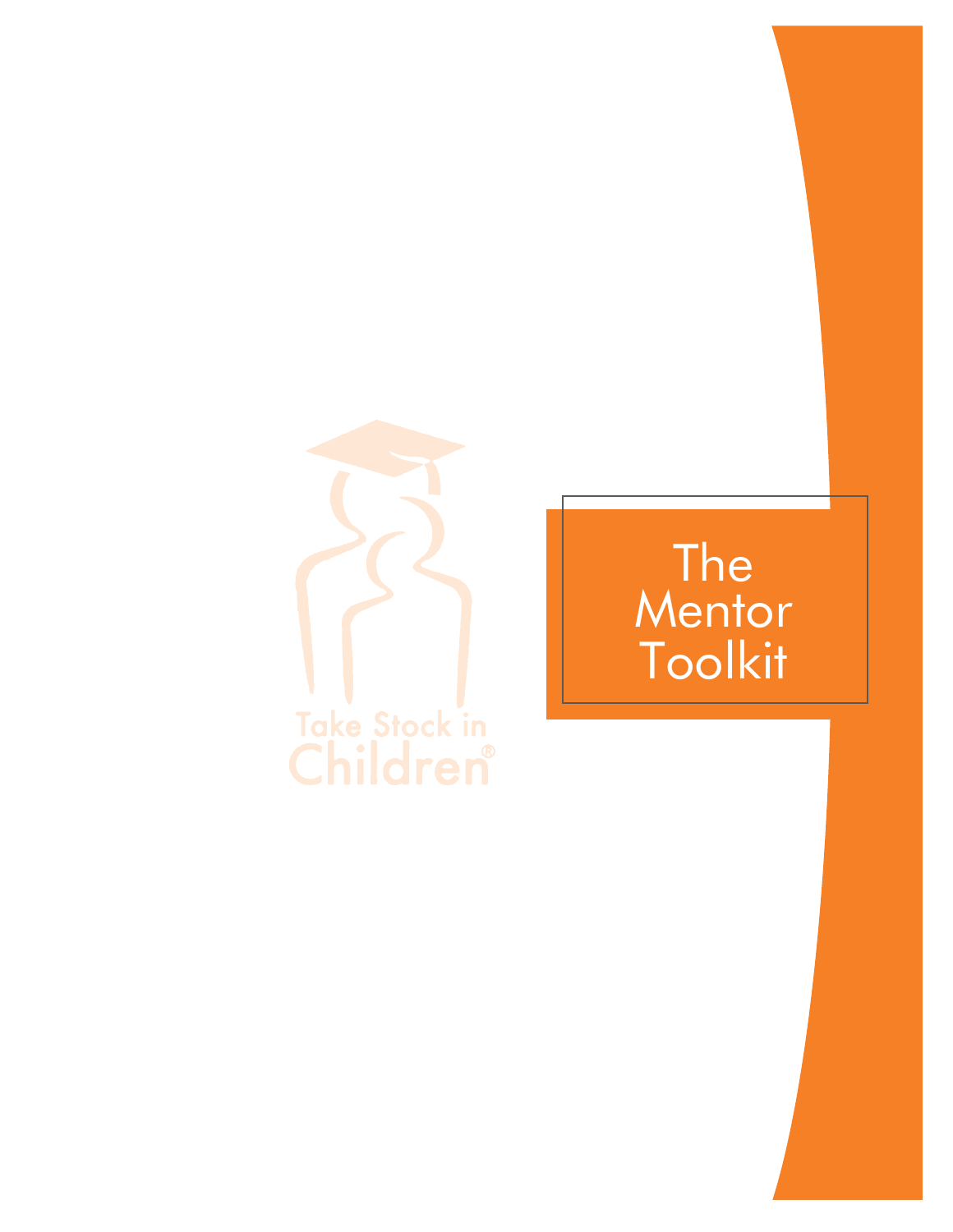

# The **Mentor** Toolkit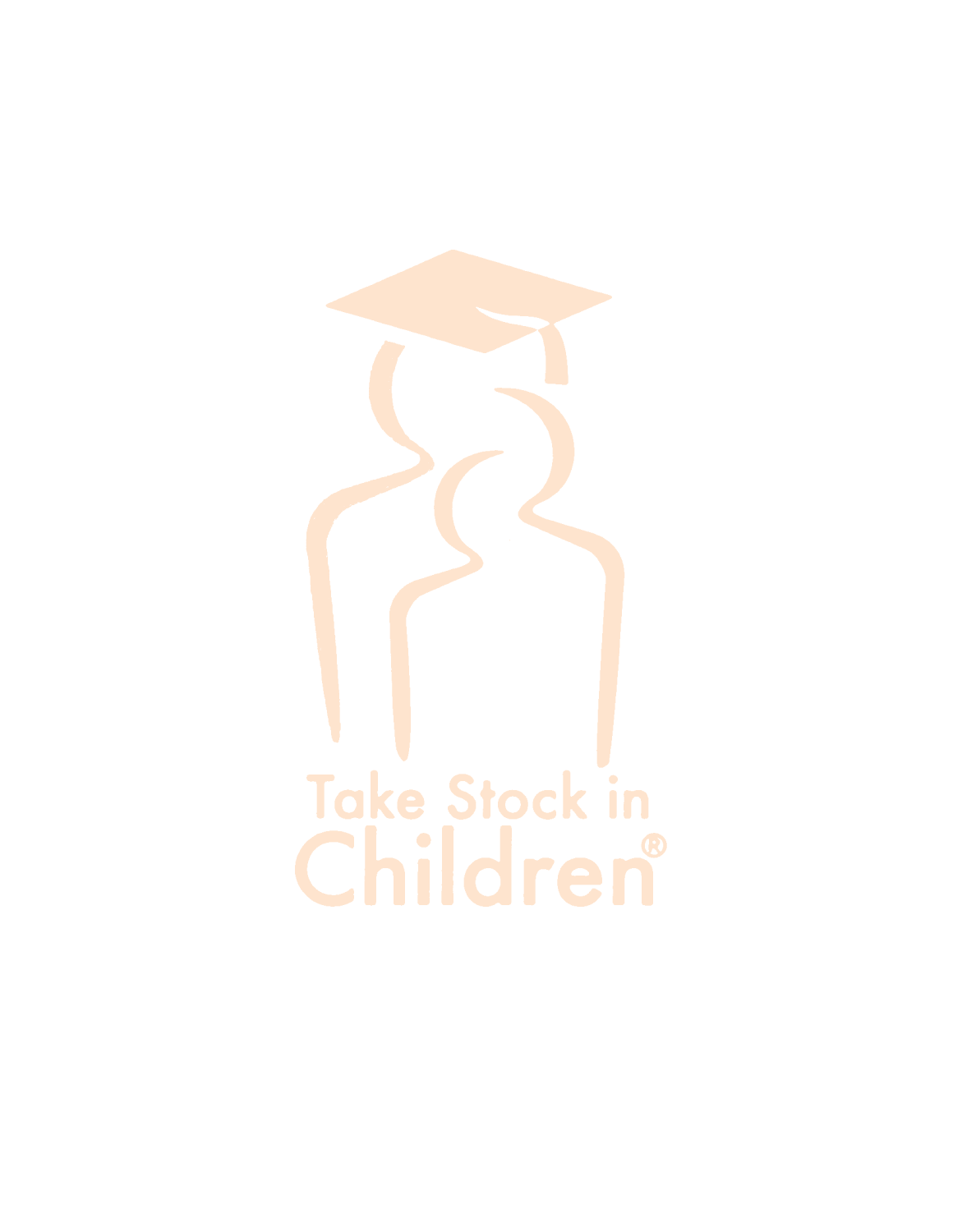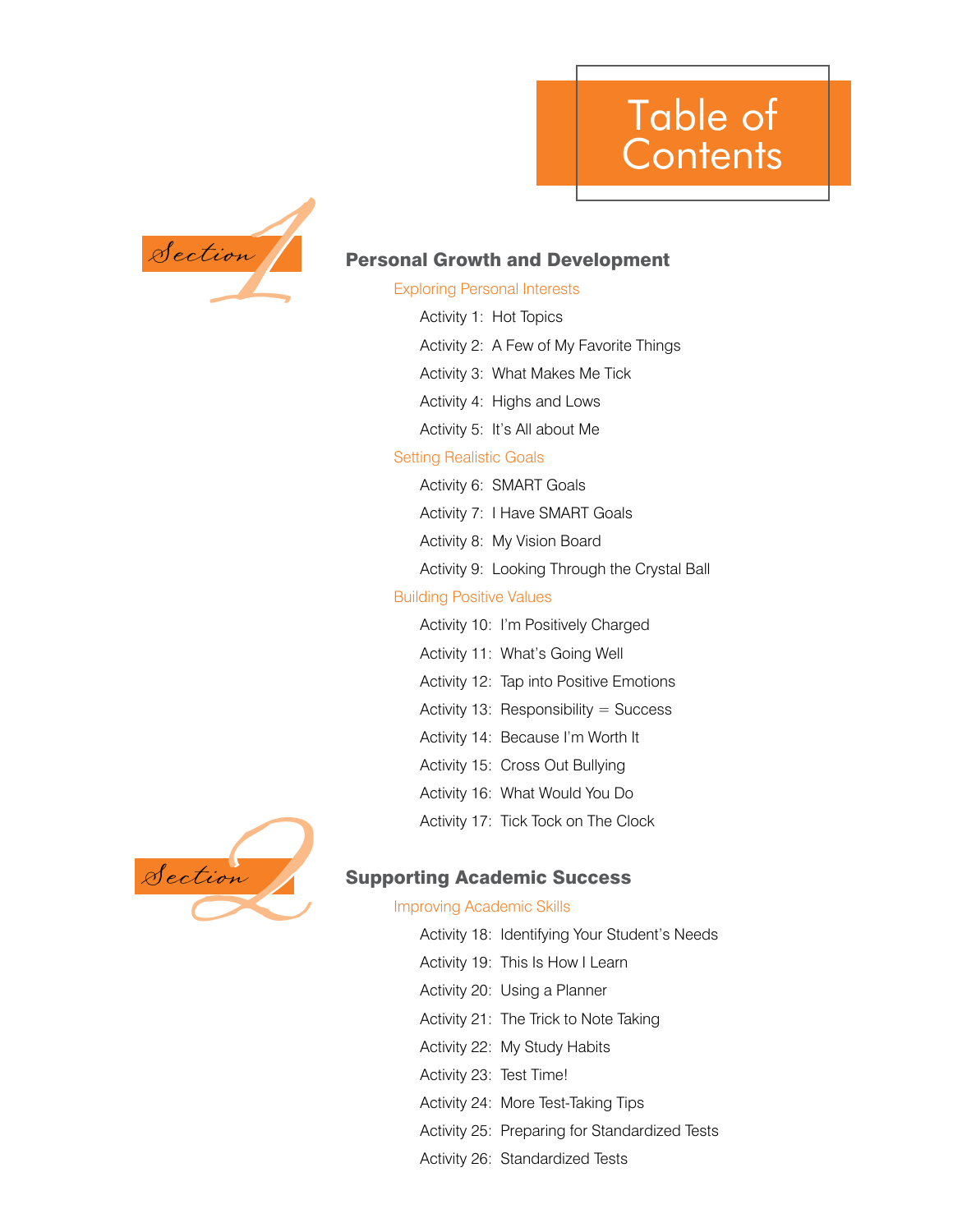## Table of **Contents**



## **Personal Growth and Development**

Exploring Personal Interests Exploring Personal Interes<br>Activity 1: Hot Topics

- 
- Activity 2: A Few of My Favorite Things
- Activity 3: What Makes Me Tick
- Activity 4: Highs and Lows
- Activity 5: It's All about Me

#### Setting Realistic Goals

- Activity 6: SMART Goals
- Activity 7: I Have SMART Goals
- Activity 8: My Vision Board
- Activity 9: Looking Through the Crystal Ball

#### Building Positive Values

- Activity 10: I'm Positively Charged
- Activity 11: What's Going Well
- Activity 12: Tap into Positive Emotions
- Activity 13: Responsibility = Success
- Activity 14: Because I'm Worth It
- Activity 15: Cross Out Bullying
- Activity 16: What Would You Do
- Activity 17: Tick Tock on The Clock



#### Supporting Academic Success

#### Improving Academic Skills

- Activity 18: Identifying Your Student's Needs
- Activity 19: This Is How I Learn
- Activity 20: Using a Planner
- Activity 21: The Trick to Note Taking
- Activity 22: My Study Habits
- Activity 23: Test Time!
- Activity 24: More Test-Taking Tips
- Activity 25: Preparing for Standardized Tests
- Activity 26: Standardized Tests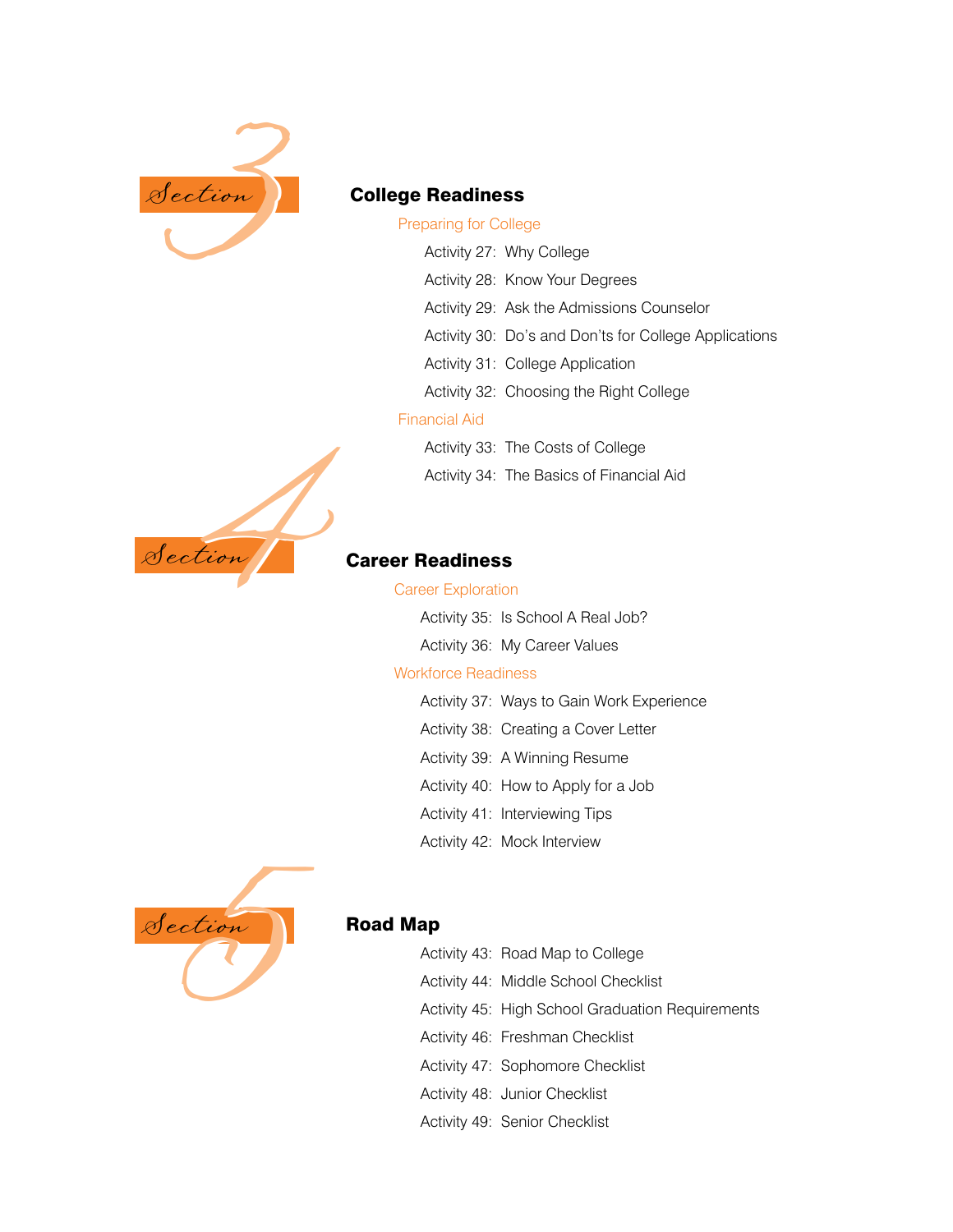

#### Preparing for College

| <b>Preparing for College</b> |                                                       |
|------------------------------|-------------------------------------------------------|
|                              | Activity 27: Why College                              |
|                              | Activity 28: Know Your Degrees                        |
|                              | Activity 29: Ask the Admissions Counselor             |
|                              | Activity 30: Do's and Don'ts for College Applications |
|                              | Activity 31: College Application                      |
|                              | Activity 32: Choosing the Right College               |
| <b>Financial Aid</b>         |                                                       |
|                              | Activity 33: The Costs of College                     |





Career Exploration

|  | Activity 35: Is School A Real Job? |
|--|------------------------------------|
|--|------------------------------------|

Activity 36: My Career Values

#### Workforce Readiness

| <b>Workforce Readiness</b> |                                           |
|----------------------------|-------------------------------------------|
|                            | Activity 37: Ways to Gain Work Experience |
|                            | Activity 38: Creating a Cover Letter      |
|                            | Activity 39: A Winning Resume             |
|                            | Activity 40: How to Apply for a Job       |
|                            | Activity 41: Interviewing Tips            |
|                            | Activity 42: Mock Interview               |



#### Road Map

Activity 43: Road Map to College

- Activity 44: Middle School Checklist
- Activity 45: High School Graduation Requirements
- Activity 46: Freshman Checklist
- Activity 47: Sophomore Checklist
- Activity 48: Junior Checklist
- Activity 49: Senior Checklist

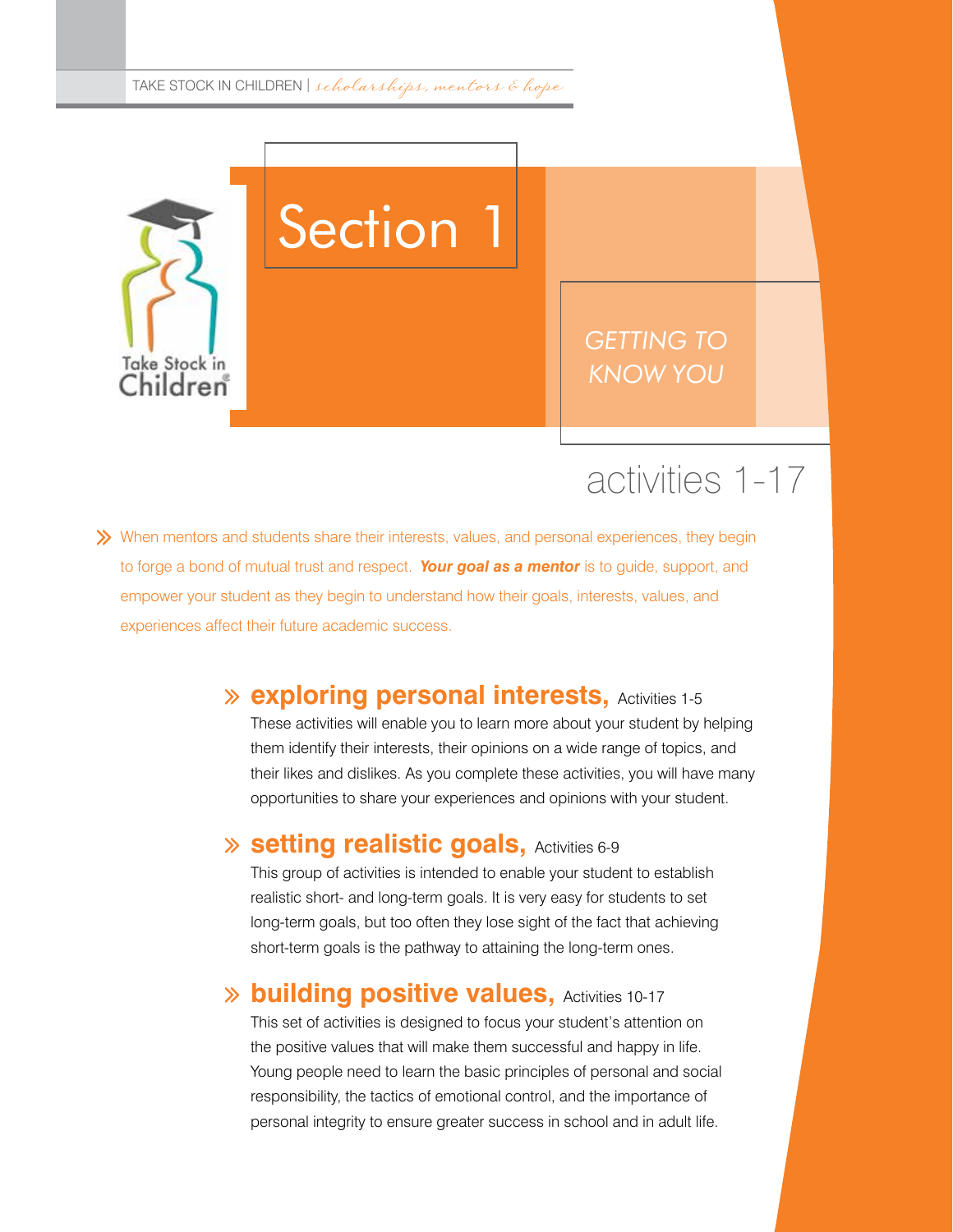

# Section 1

*GETTING TO KNOW YOU*

## activities 1-17

ª When mentors and students share their interests, values, and personal experiences, they begin to forge a bond of mutual trust and respect. *Your goal as a mentor* is to guide, support, and empower your student as they begin to understand how their goals, interests, values, and experiences affect their future academic success.

# **exploring personal interests,** Activities 1-5 ª

These activities will enable you to learn more about your student by helping them identify their interests, their opinions on a wide range of topics, and their likes and dislikes. As you complete these activities, you will have many opportunities to share your experiences and opinions with your student.

# **Setting realistic goals, Activities 6-9** ª

This group of activities is intended to enable your student to establish realistic short- and long-term goals. It is very easy for students to set long-term goals, but too often they lose sight of the fact that achieving short-term goals is the pathway to attaining the long-term ones.

# **building positive values, Activities 10-17** ª

This set of activities is designed to focus your student's attention on the positive values that will make them successful and happy in life. Young people need to learn the basic principles of personal and social responsibility, the tactics of emotional control, and the importance of personal integrity to ensure greater success in school and in adult life.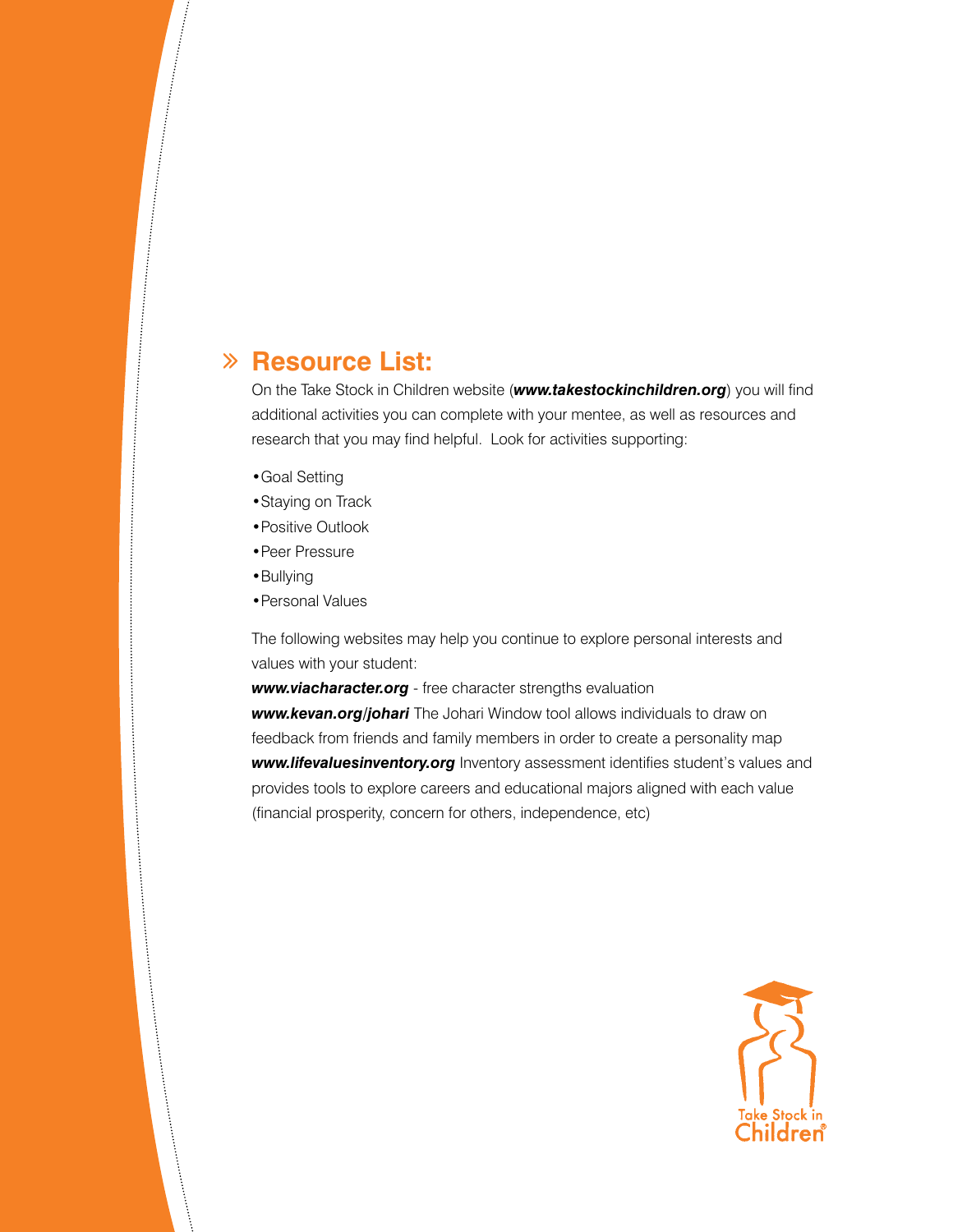# **Resource List:** ª

On the Take Stock in Children website (*www.takestockinchildren.org*) you will find additional activities you can complete with your mentee, as well as resources and research that you may find helpful. Look for activities supporting:

- •Goal Setting
- •Staying on Track
- •Positive Outlook
- •Peer Pressure
- •Bullying

•Personal Values

The following websites may help you continue to explore personal interests and values with your student:

*www.viacharacter.org* - free character strengths evaluation *www.kevan.org/johari* The Johari Window tool allows individuals to draw on feedback from friends and family members in order to create a personality map *www.lifevaluesinventory.org* Inventory assessment identifies student's values and provides tools to explore careers and educational majors aligned with each value (financial prosperity, concern for others, independence, etc)

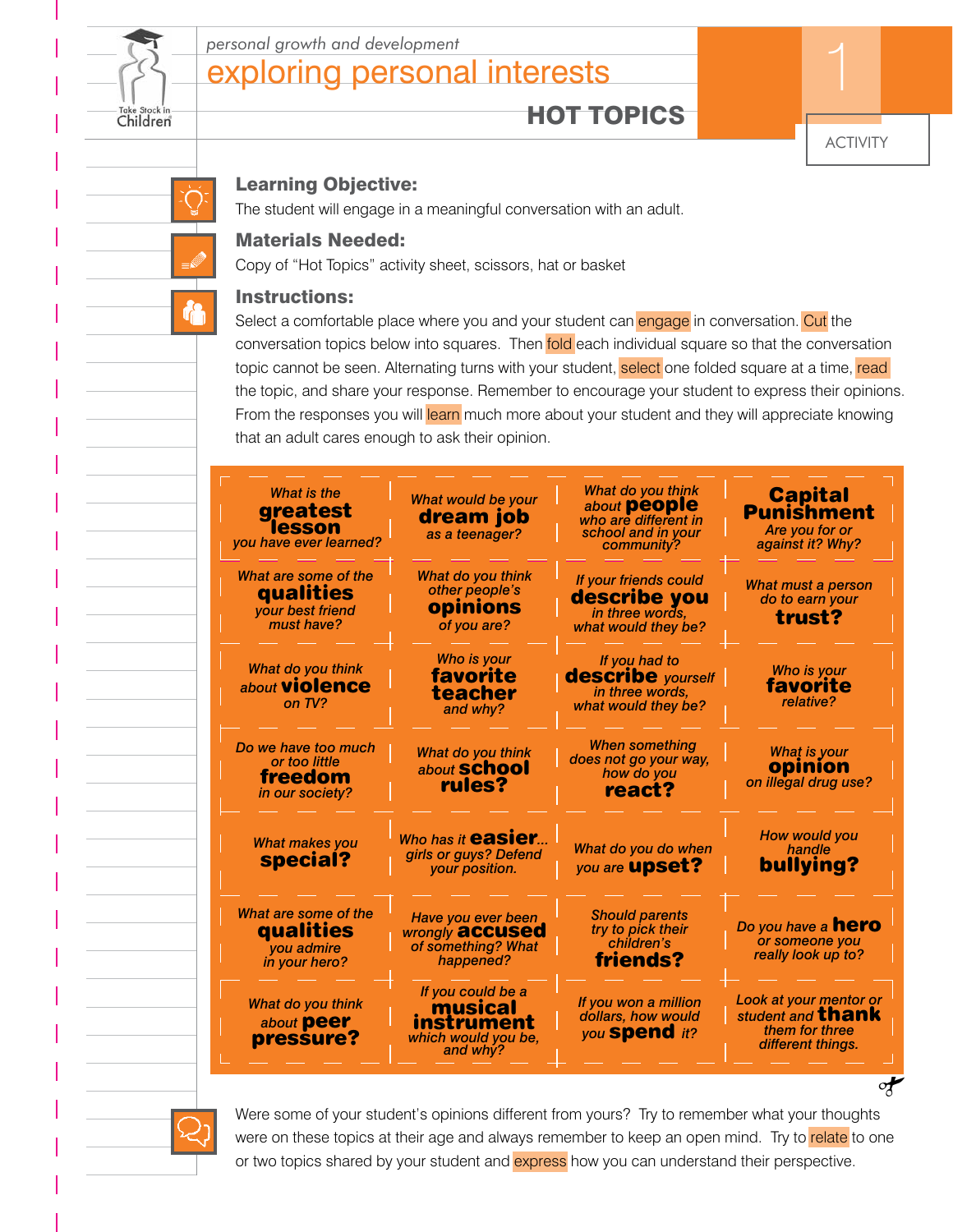

## exploring personal interests *personal growth and development*<br> **EXPlOring personal interests**

HOT TOPICS

## Learning Objective:

The student will engage in a meaningful conversation with an adult.

#### Materials Needed:

Copy of "Hot Topics" activity sheet, scissors, hat or basket

#### Instructions:

Select a comfortable place where you and your student can engage in conversation. Cut the conversation topics below into squares. Then fold each individual square so that the conversation topic cannot be seen. Alternating turns with your student, select one folded square at a time, read the topic, and share your response. Remember to encourage your student to express their opinions. From the responses you will learn much more about your student and they will appreciate knowing that an adult cares enough to ask their opinion.





Were some of your student's opinions different from yours? Try to remember what your thoughts were on these topics at their age and always remember to keep an open mind. Try to relate to one or two topics shared by your student and **express** how you can understand their perspective.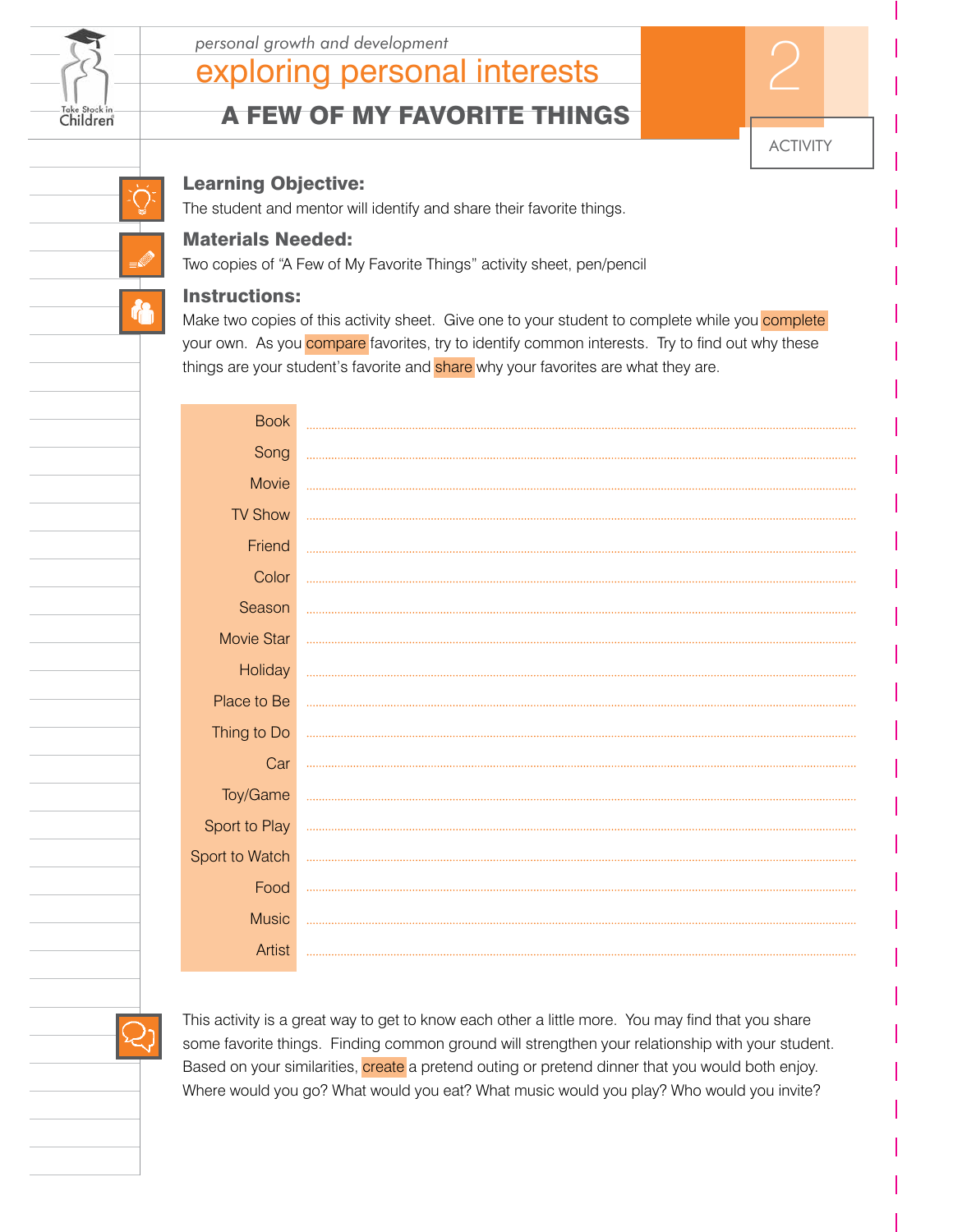

## exploring personal interests *personal growth and development* 2

## A FEW OF MY FAVORITE THINGS

## Learning Objective:

The student and mentor will identify and share their favorite things.

#### Materials Needed:

Two copies of "A Few of My Favorite Things" activity sheet, pen/pencil

#### Instructions:

Make two copies of this activity sheet. Give one to your student to complete while you complete your own. As you **compare** favorites, try to identify common interests. Try to find out why these things are your student's favorite and share why your favorites are what they are.

| <b>Book</b>       |  |
|-------------------|--|
| Song              |  |
| Movie             |  |
| <b>TV Show</b>    |  |
| Friend            |  |
|                   |  |
| Color             |  |
| Season            |  |
| <b>Movie Star</b> |  |
| Holiday           |  |
| Place to Be       |  |
| Thing to Do       |  |
| Car               |  |
| Toy/Game          |  |
| Sport to Play     |  |
|                   |  |
| Sport to Watch    |  |
| Food              |  |
| <b>Music</b>      |  |
| Artist            |  |
|                   |  |

This activity is a great way to get to know each other a little more. You may find that you share some favorite things. Finding common ground will strengthen your relationship with your student. Based on your similarities, *create* a pretend outing or pretend dinner that you would both enjoy. Where would you go? What would you eat? What music would you play? Who would you invite?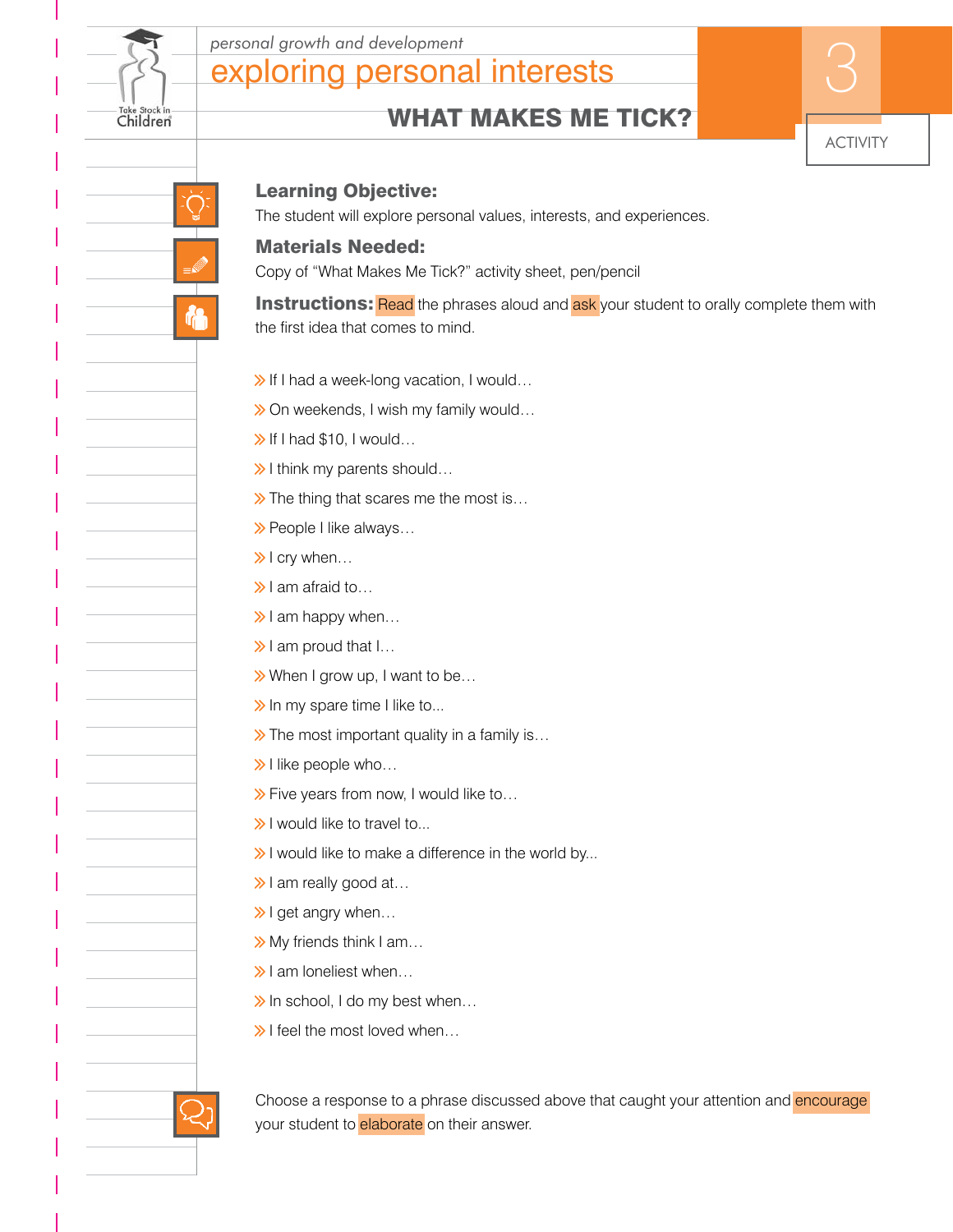

## exploring personal interests personal growth and development<br> **EXPIOTING PETSONAL INTETESTS**

## WHAT MAKES ME TICK?



## Learning Objective:

Children

The student will explore personal values, interests, and experiences.

#### Materials Needed:

Copy of "What Makes Me Tick?" activity sheet, pen/pencil

**Instructions:** Read the phrases aloud and ask your student to orally complete them with the first idea that comes to mind.

- $\gg$  If I had a week-long vacation, I would...
- $\gg$  If I had a week-long vacation, I would...<br> $\gg$  On weekends, I wish my family would...  $\gg$  On weekends, I wish r<br> $\gg$  If I had \$10, I would...
- 
- $\gg$  If I had \$10, I would…<br> $\gg$ I think my parents should…
- $\frac{1}{2}$  I think my parents should...<br> $\frac{1}{2}$  The thing that scares me the most is...  $\triangleright$  The thing that scares<br>  $\triangleright$  People I like always...
- $\gg$  People I like always...<br> $\gg$  I cry when...
- 
- $\lambda$  am afraid to...
- $\frac{1}{2}$ l am afraid to...<br>  $\frac{1}{2}$ l am happy when...  $\frac{1}{2}$ I am happy when...<br>  $\frac{1}{2}$ I am proud that I...
- 
- $\frac{1}{\sqrt{2}}$  am proud that l...<br>  $\frac{1}{\sqrt{2}}$  When I grow up, I want to be...  $\triangleright$  When I grow up, I want to<br> $\triangleright$  In my spare time I like to...
- 
- $\frac{1}{\sqrt{2\pi}}$  In my spare time I like to...<br> $\frac{1}{\sqrt{2\pi}}$  The most important quality in a family is...  $\frac{1}{2}$  The most important<br> $\frac{1}{2}$ I like people who...
- 
- $\rightarrow$  Five people who...<br> $\rightarrow$  Five years from now, I would like to...  $\frac{1}{2}$  Five years from now, I w<br> $\frac{1}{2}$ I would like to travel to...
- 
- $\gg$ I would like to travel to...<br> $\gg$ I would like to make a difference in the world by...  $\frac{1}{2}$ l would like to make a<br> $\frac{1}{2}$ l am really good at...
- $\lambda$ I am really good at...<br> $\lambda$ I get angry when...
- 
- $\frac{1}{\sqrt{2}}$  I get angry when...<br> $\frac{1}{\sqrt{2}}$  My friends think I am...  $\frac{1}{2}$  My friends think I am.<br>  $\frac{1}{2}$ I am loneliest when...
- 
- $\frac{1}{2}$ I am loneliest when...<br>ightharpoonly best when the most loved when  $\frac{1}{2}$ . ≫ In school, I do my best when<br><mark>≫ I</mark> feel the most loved when…
- 



Choose a response to a phrase discussed above that caught your attention and encourage your student to elaborate on their answer.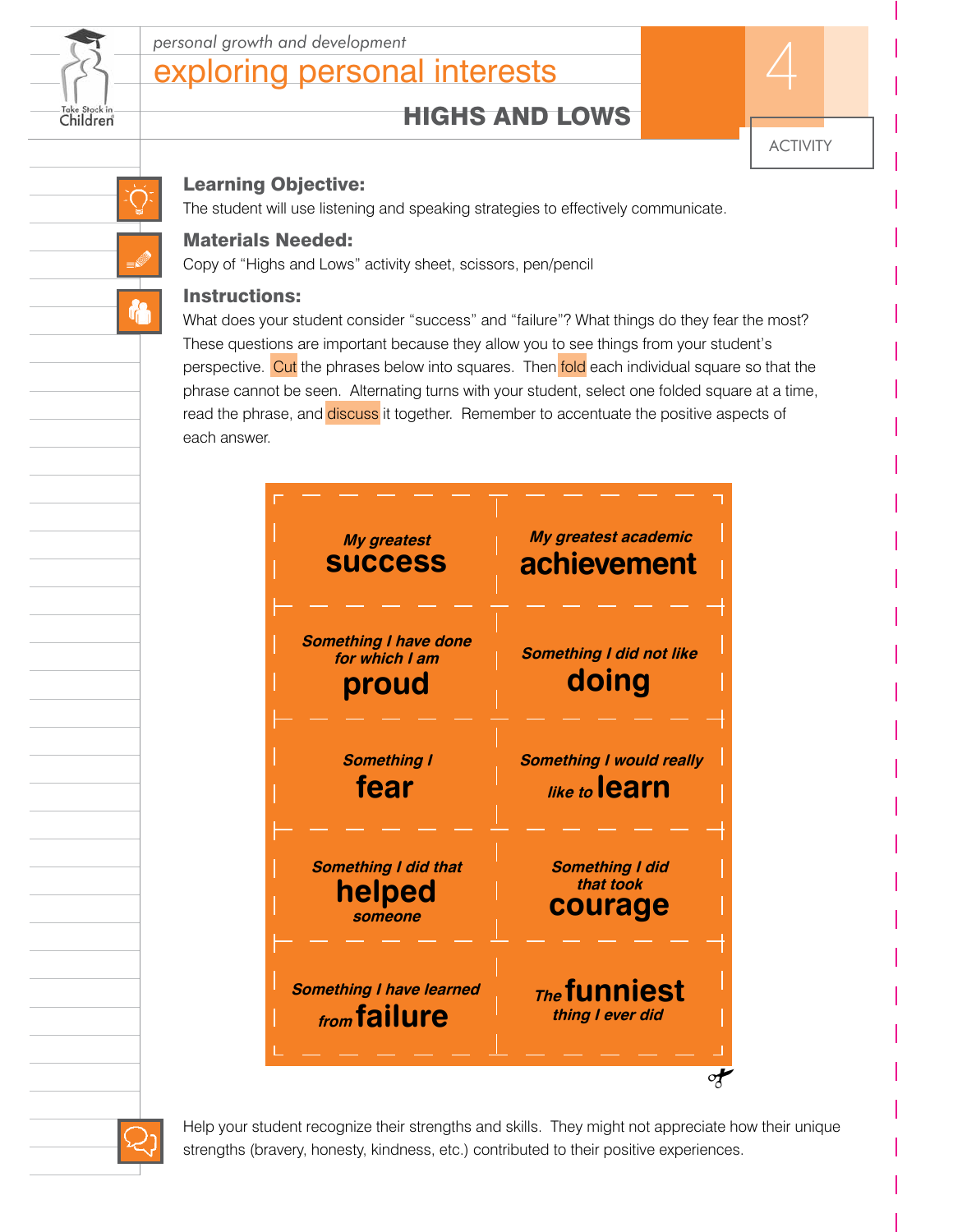

## exploring personal interests personal growth and development<br> **EXPlOTING PETSONAL INTETESTS**

## HIGHS AND LOWS



## Learning Objective:

The student will use listening and speaking strategies to effectively communicate.

## Materials Needed:

Copy of "Highs and Lows" activity sheet, scissors, pen/pencil

#### Instructions:

What does your student consider "success" and "failure"? What things do they fear the most? These questions are important because they allow you to see things from your student's perspective. Cut the phrases below into squares. Then fold each individual square so that the phrase cannot be seen. Alternating turns with your student, select one folded square at a time, read the phrase, and **discuss** it together. Remember to accentuate the positive aspects of each answer.





Help your student recognize their strengths and skills. They might not appreciate how their unique strengths (bravery, honesty, kindness, etc.) contributed to their positive experiences.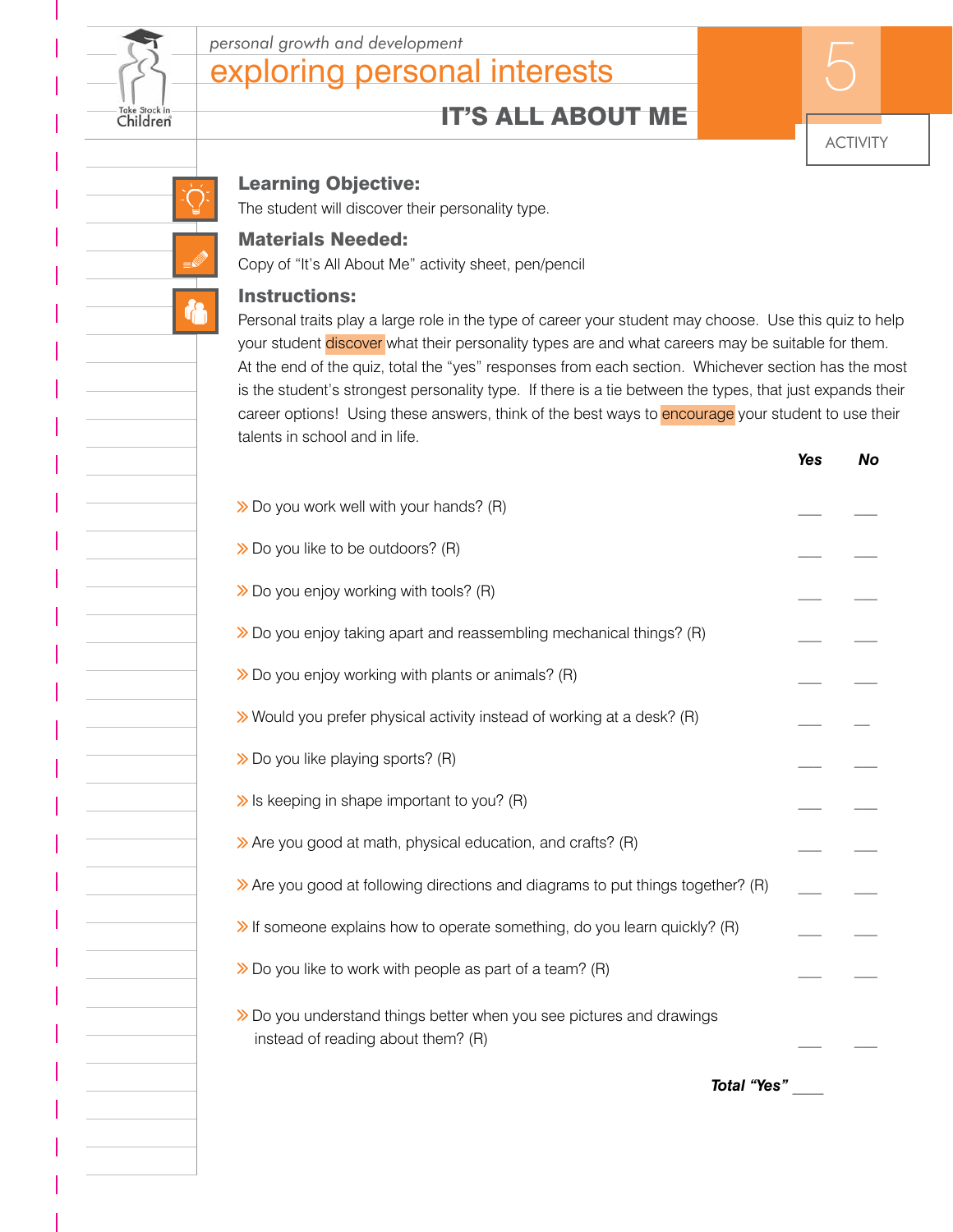

## exploring personal interests personal growth and development<br> **EXPlOTING PETSONAL INTETESTS**

IT'S ALL ABOUT ME

ACTIVITY

## Learning Objective:

The student will discover their personality type.

## Materials Needed:

Copy of "It's All About Me" activity sheet, pen/pencil

## Instructions:

Children

Personal traits play a large role in the type of career your student may choose. Use this quiz to help your student discover what their personality types are and what careers may be suitable for them. At the end of the quiz, total the "yes" responses from each section. Whichever section has the most is the student's strongest personality type. If there is a tie between the types, that just expands their career options! Using these answers, think of the best ways to **encourage** your student to use their talents in school and in life.

*Yes No*

| $\gg$ Do you work well with your hands? (R)                                                                |  |
|------------------------------------------------------------------------------------------------------------|--|
| ≫ Do you like to be outdoors? (R)                                                                          |  |
| >> Do you enjoy working with tools? (R)                                                                    |  |
| >> Do you enjoy taking apart and reassembling mechanical things? (R)                                       |  |
| >> Do you enjoy working with plants or animals? (R)                                                        |  |
| ≫ Would you prefer physical activity instead of working at a desk? (R)                                     |  |
| >> Do you like playing sports? (R)                                                                         |  |
| $\gg$ Is keeping in shape important to you? (R)                                                            |  |
| >> Are you good at math, physical education, and crafts? (R)                                               |  |
| >> Are you good at following directions and diagrams to put things together? (R)                           |  |
| >> If someone explains how to operate something, do you learn quickly? (R)                                 |  |
| $\gg$ Do you like to work with people as part of a team? (R)                                               |  |
| > Do you understand things better when you see pictures and drawings<br>instead of reading about them? (R) |  |
| Total "Yes"                                                                                                |  |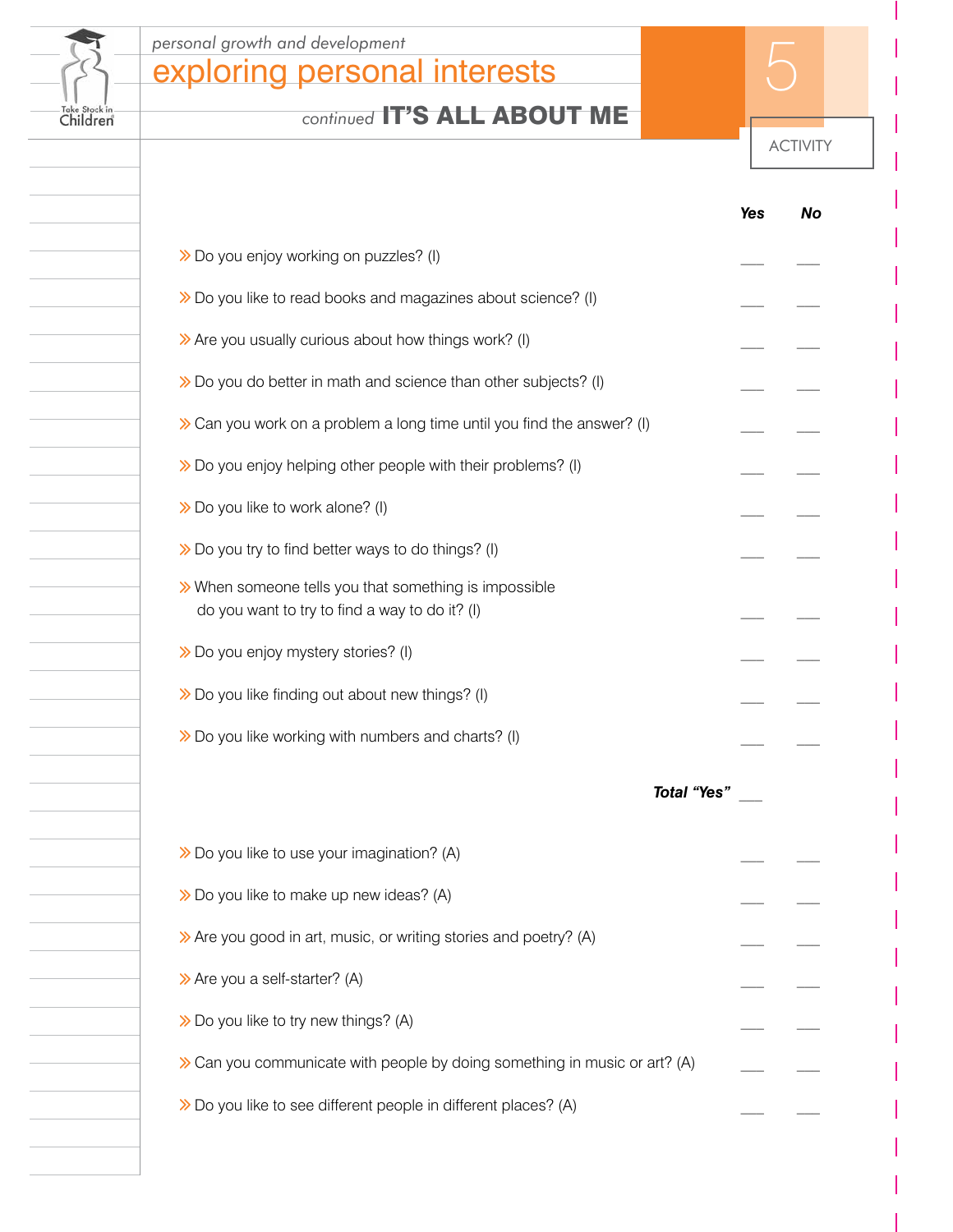

## exploring personal interests personal growth and development<br> **EXPIOTING PETSONAL INTETESTS**

*continued* IT'S ALL ABOUT ME

ACTIVITY

|                                                                                                          |                                                                            |                    | Yes | <b>No</b> |
|----------------------------------------------------------------------------------------------------------|----------------------------------------------------------------------------|--------------------|-----|-----------|
| >> Do you enjoy working on puzzles? (I)                                                                  |                                                                            |                    |     |           |
|                                                                                                          | >> Do you like to read books and magazines about science? (I)              |                    |     |           |
| >> Are you usually curious about how things work? (I)                                                    |                                                                            |                    |     |           |
|                                                                                                          | >> Do you do better in math and science than other subjects? (I)           |                    |     |           |
|                                                                                                          | >> Can you work on a problem a long time until you find the answer? (I)    |                    |     |           |
|                                                                                                          | >> Do you enjoy helping other people with their problems? (I)              |                    |     |           |
| >> Do you like to work alone? (I)                                                                        |                                                                            |                    |     |           |
| ≫ Do you try to find better ways to do things? (I)                                                       |                                                                            |                    |     |           |
| >> When someone tells you that something is impossible<br>do you want to try to find a way to do it? (I) |                                                                            |                    |     |           |
| >> Do you enjoy mystery stories? (I)                                                                     |                                                                            |                    |     |           |
| >> Do you like finding out about new things? (I)                                                         |                                                                            |                    |     |           |
| >> Do you like working with numbers and charts? (I)                                                      |                                                                            |                    |     |           |
|                                                                                                          |                                                                            | <b>Total "Yes"</b> |     |           |
| >> Do you like to use your imagination? (A)                                                              |                                                                            |                    |     |           |
| >> Do you like to make up new ideas? (A)                                                                 |                                                                            |                    |     |           |
|                                                                                                          | >> Are you good in art, music, or writing stories and poetry? (A)          |                    |     |           |
| >> Are you a self-starter? (A)                                                                           |                                                                            |                    |     |           |
| $\gg$ Do you like to try new things? (A)                                                                 |                                                                            |                    |     |           |
|                                                                                                          | >> Can you communicate with people by doing something in music or art? (A) |                    |     |           |
| >> Do you like to see different people in different places? (A)                                          |                                                                            |                    |     |           |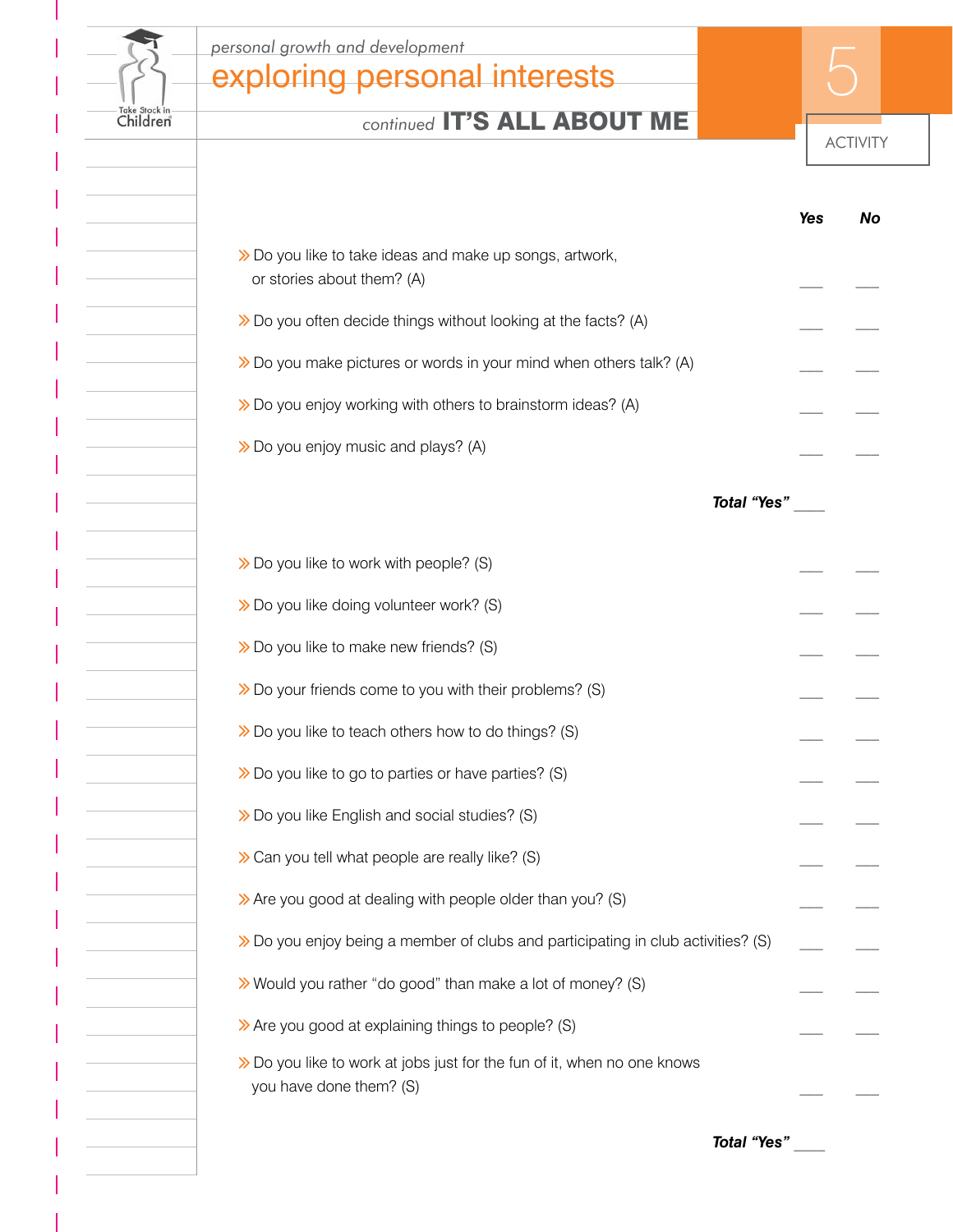

exploring personal interests personal growth and development<br> **EXPlOring personal interests** 

*continued* IT'S ALL ABOUT ME

ACTIVITY

|                                                                                                    | Yes | No |
|----------------------------------------------------------------------------------------------------|-----|----|
| >> Do you like to take ideas and make up songs, artwork,<br>or stories about them? (A)             |     |    |
| $\gg$ Do you often decide things without looking at the facts? (A)                                 |     |    |
| >> Do you make pictures or words in your mind when others talk? (A)                                |     |    |
| >> Do you enjoy working with others to brainstorm ideas? (A)                                       |     |    |
| >> Do you enjoy music and plays? (A)                                                               |     |    |
| Total "Yes"                                                                                        |     |    |
| ≫ Do you like to work with people? (S)                                                             |     |    |
| >> Do you like doing volunteer work? (S)                                                           |     |    |
| >> Do you like to make new friends? (S)                                                            |     |    |
| ≫ Do your friends come to you with their problems? (S)                                             |     |    |
| $\gg$ Do you like to teach others how to do things? (S)                                            |     |    |
| >> Do you like to go to parties or have parties? (S)                                               |     |    |
| >> Do you like English and social studies? (S)                                                     |     |    |
| >> Can you tell what people are really like? (S)                                                   |     |    |
| >> Are you good at dealing with people older than you? (S)                                         |     |    |
| >> Do you enjoy being a member of clubs and participating in club activities? (S)                  |     |    |
| >> Would you rather "do good" than make a lot of money? (S)                                        |     |    |
| >> Are you good at explaining things to people? (S)                                                |     |    |
| ≫ Do you like to work at jobs just for the fun of it, when no one knows<br>you have done them? (S) |     |    |

*Total "Yes"* \_\_\_\_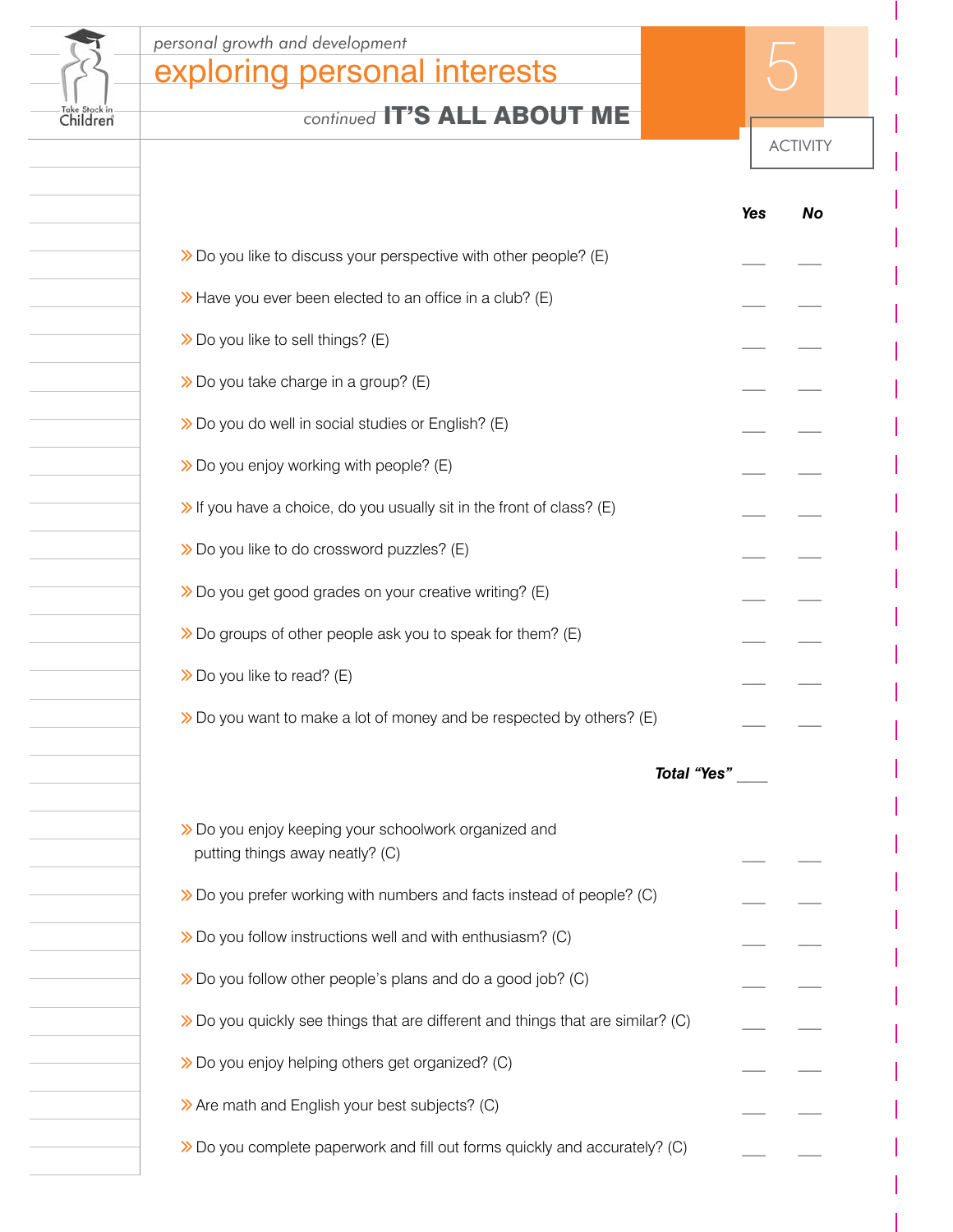

## exploring personal interests personal growth and development<br> **EXPIOTING PETSONAL INTETESTS**

*continued* IT'S ALL ABOUT ME

ACTIVITY

|                                                                                          | Yes | <b>No</b> |
|------------------------------------------------------------------------------------------|-----|-----------|
| >> Do you like to discuss your perspective with other people? (E)                        |     |           |
| $\gg$ Have you ever been elected to an office in a club? (E)                             |     |           |
| ≫ Do you like to sell things? (E)                                                        |     |           |
| ≫ Do you take charge in a group? (E)                                                     |     |           |
| ≫ Do you do well in social studies or English? (E)                                       |     |           |
| ≫ Do you enjoy working with people? (E)                                                  |     |           |
| >> If you have a choice, do you usually sit in the front of class? (E)                   |     |           |
| >> Do you like to do crossword puzzles? (E)                                              |     |           |
| ≫ Do you get good grades on your creative writing? (E)                                   |     |           |
| >> Do groups of other people ask you to speak for them? (E)                              |     |           |
| $\gg$ Do you like to read? (E)                                                           |     |           |
| $\gg$ Do you want to make a lot of money and be respected by others? (E)                 |     |           |
| Total "Yes"                                                                              |     |           |
| >> Do you enjoy keeping your schoolwork organized and<br>putting things away neatly? (C) |     |           |
| >> Do you prefer working with numbers and facts instead of people? (C)                   |     |           |
| >> Do you follow instructions well and with enthusiasm? (C)                              |     |           |
| >> Do you follow other people's plans and do a good job? (C)                             |     |           |
| >> Do you quickly see things that are different and things that are similar? (C)         |     |           |
| >> Do you enjoy helping others get organized? (C)                                        |     |           |
| >> Are math and English your best subjects? (C)                                          |     |           |
| >> Do you complete paperwork and fill out forms quickly and accurately? (C)              |     |           |
|                                                                                          |     |           |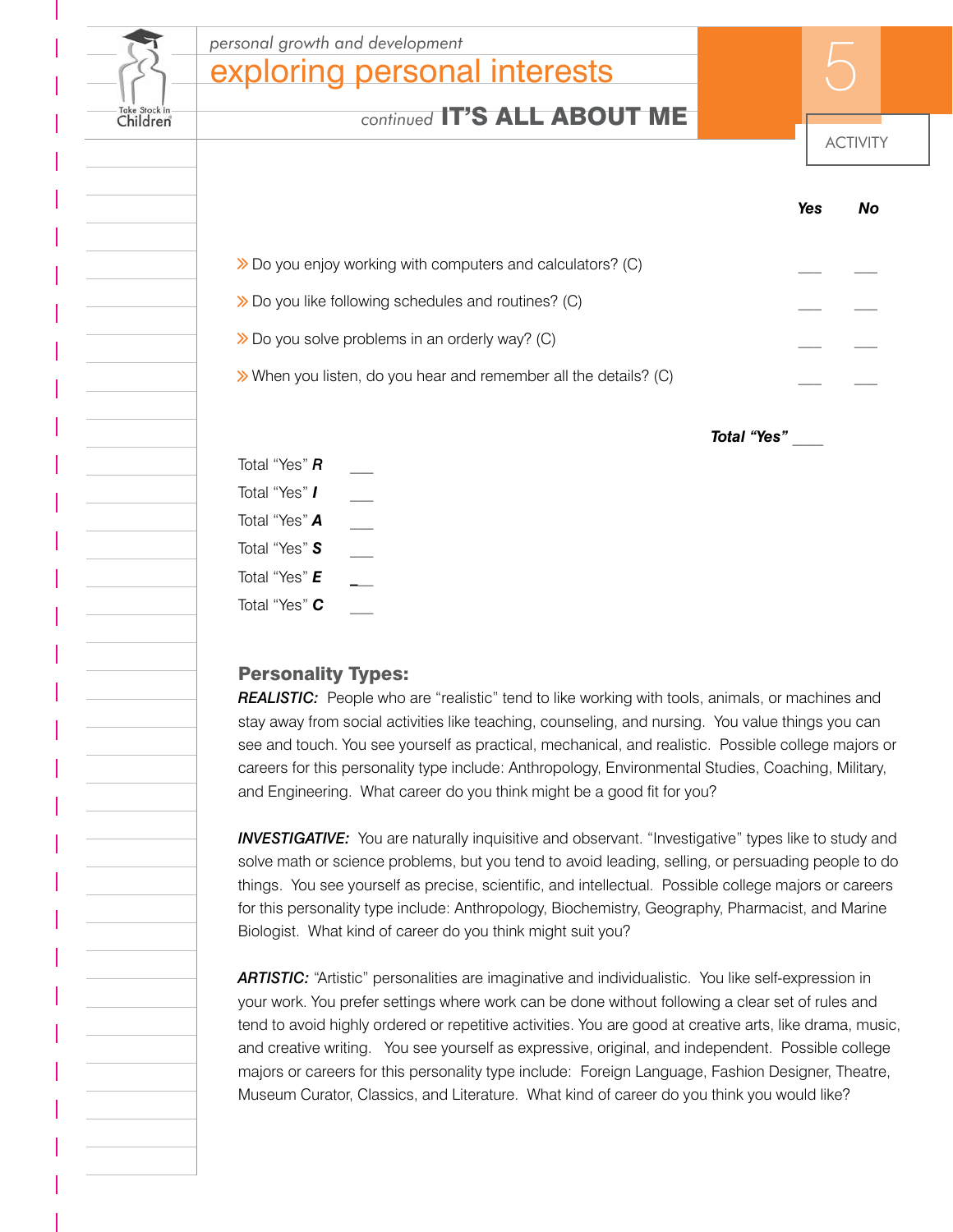Children

exploring personal interests personal growth and development<br> **EXPlOTING PETSONAL INTETESTS** 

## *continued* IT'S ALL ABOUT ME

|                                                                      | Yes | No. |
|----------------------------------------------------------------------|-----|-----|
| $\gg$ Do you enjoy working with computers and calculators? (C)       |     |     |
| $\gg$ Do you like following schedules and routines? (C)              |     |     |
| $\gg$ Do you solve problems in an orderly way? (C)                   |     |     |
| $\gg$ When you listen, do you hear and remember all the details? (C) |     |     |
|                                                                      |     |     |

*Total "Yes"* \_\_\_\_

## Personality Types:

**REALISTIC:** People who are "realistic" tend to like working with tools, animals, or machines and stay away from social activities like teaching, counseling, and nursing. You value things you can see and touch. You see yourself as practical, mechanical, and realistic. Possible college majors or careers for this personality type include: Anthropology, Environmental Studies, Coaching, Military, and Engineering. What career do you think might be a good fit for you?

**INVESTIGATIVE:** You are naturally inquisitive and observant. "Investigative" types like to study and solve math or science problems, but you tend to avoid leading, selling, or persuading people to do things. You see yourself as precise, scientific, and intellectual. Possible college majors or careers for this personality type include: Anthropology, Biochemistry, Geography, Pharmacist, and Marine Biologist. What kind of career do you think might suit you?

ARTISTIC: "Artistic" personalities are imaginative and individualistic. You like self-expression in your work. You prefer settings where work can be done without following a clear set of rules and tend to avoid highly ordered or repetitive activities. You are good at creative arts, like drama, music, and creative writing. You see yourself as expressive, original, and independent. Possible college majors or careers for this personality type include: Foreign Language, Fashion Designer, Theatre, Museum Curator, Classics, and Literature. What kind of career do you think you would like?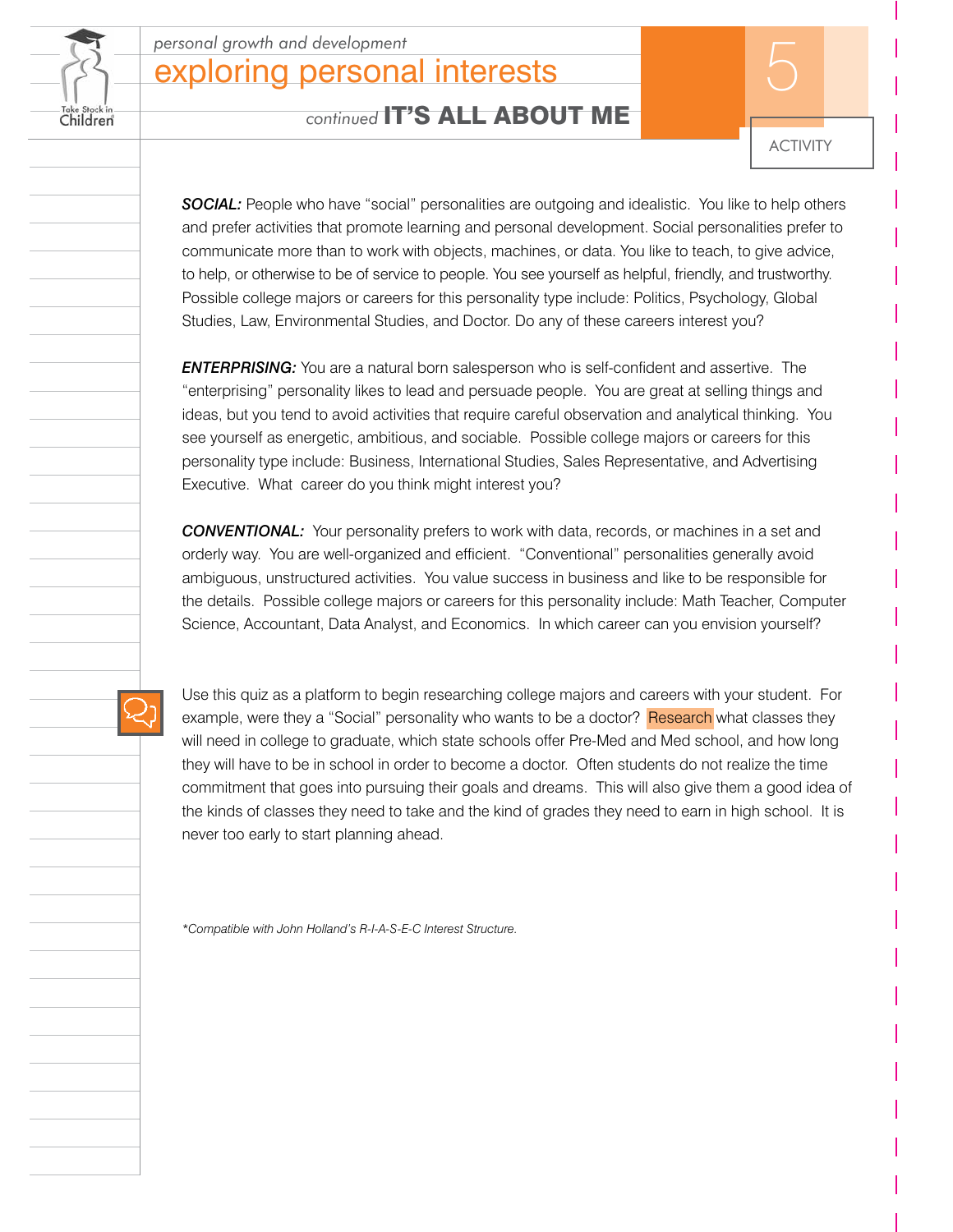

## exploring personal interests personal growth and development<br> **EXPIOTING PETSONAL INTETESTS**

*continued* IT'S ALL ABOUT ME

ACTIVITY

**SOCIAL:** People who have "social" personalities are outgoing and idealistic. You like to help others and prefer activities that promote learning and personal development. Social personalities prefer to communicate more than to work with objects, machines, or data. You like to teach, to give advice, to help, or otherwise to be of service to people. You see yourself as helpful, friendly, and trustworthy. Possible college majors or careers for this personality type include: Politics, Psychology, Global Studies, Law, Environmental Studies, and Doctor. Do any of these careers interest you?

*ENTERPRISING:* You are a natural born salesperson who is self-confident and assertive. The "enterprising" personality likes to lead and persuade people. You are great at selling things and ideas, but you tend to avoid activities that require careful observation and analytical thinking. You see yourself as energetic, ambitious, and sociable. Possible college majors or careers for this personality type include: Business, International Studies, Sales Representative, and Advertising Executive. What career do you think might interest you?

*CONVENTIONAL:* Your personality prefers to work with data, records, or machines in a set and orderly way. You are well-organized and efficient. "Conventional" personalities generally avoid ambiguous, unstructured activities. You value success in business and like to be responsible for the details. Possible college majors or careers for this personality include: Math Teacher, Computer Science, Accountant, Data Analyst, and Economics. In which career can you envision yourself?

Use this quiz as a platform to begin researching college majors and careers with your student. For example, were they a "Social" personality who wants to be a doctor? Research what classes they will need in college to graduate, which state schools offer Pre-Med and Med school, and how long they will have to be in school in order to become a doctor. Often students do not realize the time commitment that goes into pursuing their goals and dreams. This will also give them a good idea of the kinds of classes they need to take and the kind of grades they need to earn in high school. It is never too early to start planning ahead.

*\*Compatible with John Holland's R-I-A-S-E-C Interest Structure.*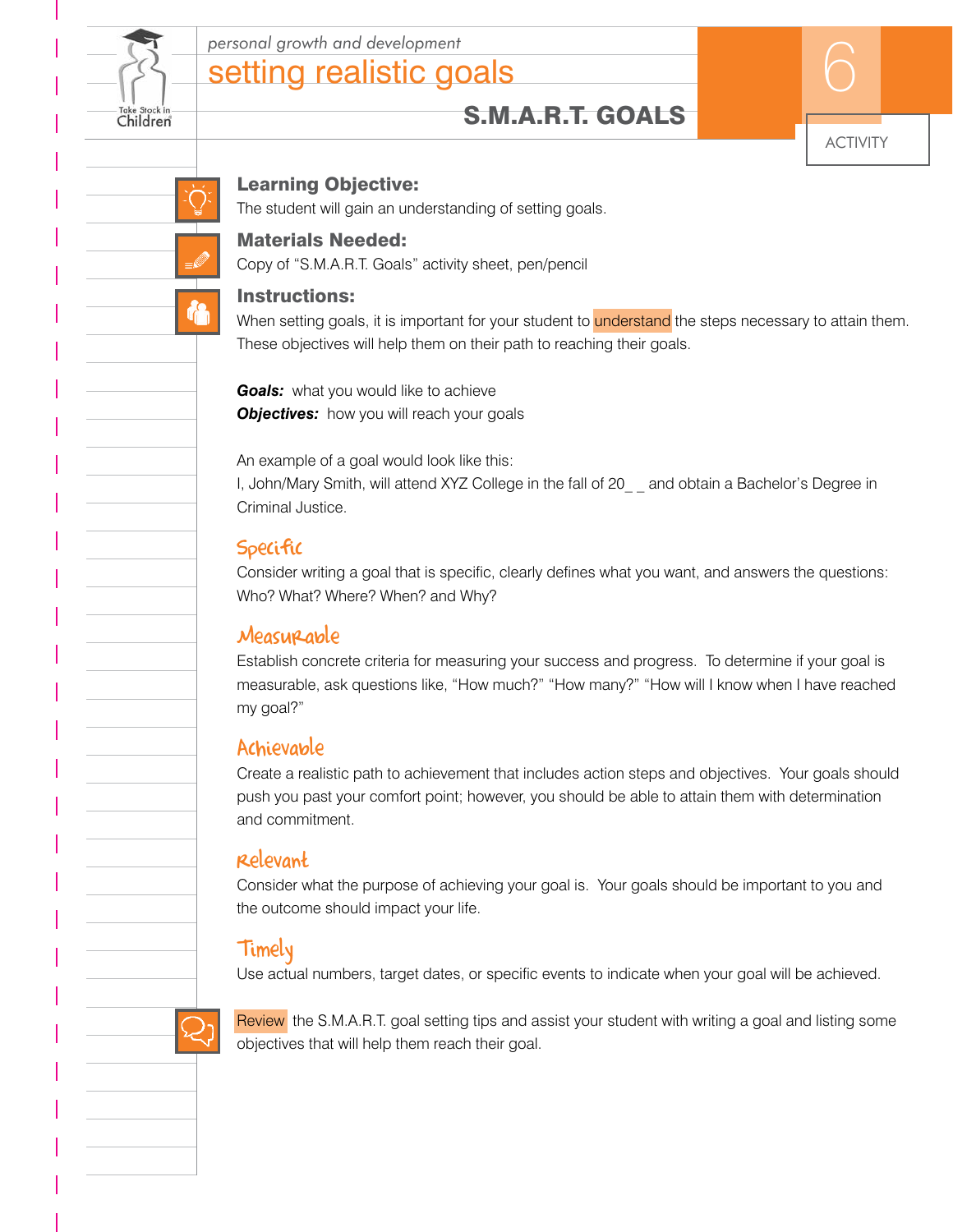

S.M.A.R.T. GOALS



## Learning Objective:

The student will gain an understanding of setting goals.

## Materials Needed:

Copy of "S.M.A.R.T. Goals" activity sheet, pen/pencil

## Instructions:

When setting goals, it is important for your student to understand the steps necessary to attain them. These objectives will help them on their path to reaching their goals.

**Goals:** what you would like to achieve **Objectives:** how you will reach your goals

An example of a goal would look like this: I, John/Mary Smith, will attend XYZ College in the fall of 20\_ \_ and obtain a Bachelor's Degree in Criminal Justice.

## **Specific**

Consider writing a goal that is specific, clearly defines what you want, and answers the questions: Who? What? Where? When? and Why?

## Measureaple

Establish concrete criteria for measuring your success and progress. To determine if your goal is measurable, ask questions like, "How much?" "How many?" "How will I know when I have reached my goal?"

## Achievable

Create a realistic path to achievement that includes action steps and objectives. Your goals should push you past your comfort point; however, you should be able to attain them with determination and commitment.

## Relevant

Consider what the purpose of achieving your goal is. Your goals should be important to you and the outcome should impact your life.

## Timely

Use actual numbers, target dates, or specific events to indicate when your goal will be achieved.

Review the S.M.A.R.T. goal setting tips and assist your student with writing a goal and listing some objectives that will help them reach their goal.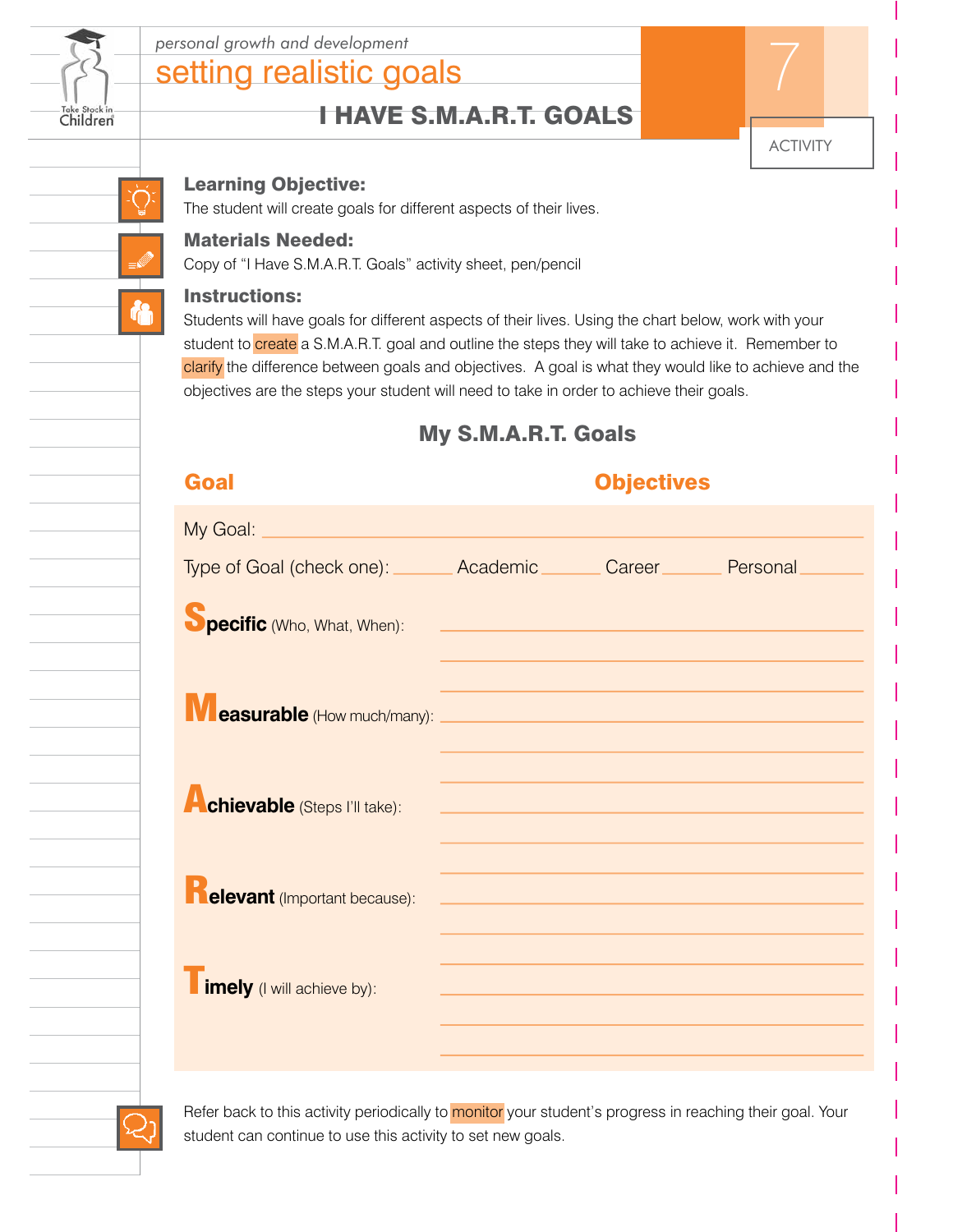

## I HAVE S.M.A.R.T. GOALS



## Learning Objective:

The student will create goals for different aspects of their lives.

## Materials Needed:

Copy of "I Have S.M.A.R.T. Goals" activity sheet, pen/pencil

#### Instructions:

Students will have goals for different aspects of their lives. Using the chart below, work with your student to create a S.M.A.R.T. goal and outline the steps they will take to achieve it. Remember to clarify the difference between goals and objectives. A goal is what they would like to achieve and the objectives are the steps your student will need to take in order to achieve their goals.

## My S.M.A.R.T. Goals

| Goal                                                                      | <b>Objectives</b>                                                                                                      |                                                                                                                                                                                                                                                                                                                                                        |  |
|---------------------------------------------------------------------------|------------------------------------------------------------------------------------------------------------------------|--------------------------------------------------------------------------------------------------------------------------------------------------------------------------------------------------------------------------------------------------------------------------------------------------------------------------------------------------------|--|
| My Goal: <u>_________________________________</u>                         |                                                                                                                        |                                                                                                                                                                                                                                                                                                                                                        |  |
| Type of Goal (check one): _______ Academic _______ Career ______ Personal |                                                                                                                        |                                                                                                                                                                                                                                                                                                                                                        |  |
| pecific (Who, What, When):                                                | <u> 1980 - Jan Stein Berg, mars and de Brazilia (b. 1980)</u>                                                          |                                                                                                                                                                                                                                                                                                                                                        |  |
|                                                                           |                                                                                                                        |                                                                                                                                                                                                                                                                                                                                                        |  |
| <b>Measurable</b> (How much/many): <b>Measurable (How much/many):</b>     |                                                                                                                        |                                                                                                                                                                                                                                                                                                                                                        |  |
|                                                                           |                                                                                                                        |                                                                                                                                                                                                                                                                                                                                                        |  |
| <b>chievable</b> (Steps I'll take):                                       | <u> 1989 - Johann Barn, mars ann an t-Amhain ann an t-Amhain an t-Amhain an t-Amhain an t-Amhain an t-Amhain an t-</u> |                                                                                                                                                                                                                                                                                                                                                        |  |
|                                                                           |                                                                                                                        |                                                                                                                                                                                                                                                                                                                                                        |  |
| elevant (Important because):                                              | <u> 1989 - Johann Stein, marwolaethau a bhann an t-Amhair an t-Amhair an t-Amhair an t-Amhair an t-Amhair an t-A</u>   |                                                                                                                                                                                                                                                                                                                                                        |  |
|                                                                           |                                                                                                                        |                                                                                                                                                                                                                                                                                                                                                        |  |
|                                                                           |                                                                                                                        |                                                                                                                                                                                                                                                                                                                                                        |  |
| <b>imely</b> (I will achieve by):                                         |                                                                                                                        | <u> 1989 - An Dùbhlachd ann an Dùbhlachd ann an Dùbhlachd ann an Dùbhlachd ann an Dùbhlachd ann an Dùbhlachd ann </u><br>the control of the control of the control of the control of the control of the control of the control of the control of the control of the control of the control of the control of the control of the control of the control |  |
|                                                                           |                                                                                                                        |                                                                                                                                                                                                                                                                                                                                                        |  |
|                                                                           |                                                                                                                        |                                                                                                                                                                                                                                                                                                                                                        |  |



Refer back to this activity periodically to monitor your student's progress in reaching their goal. Your student can continue to use this activity to set new goals.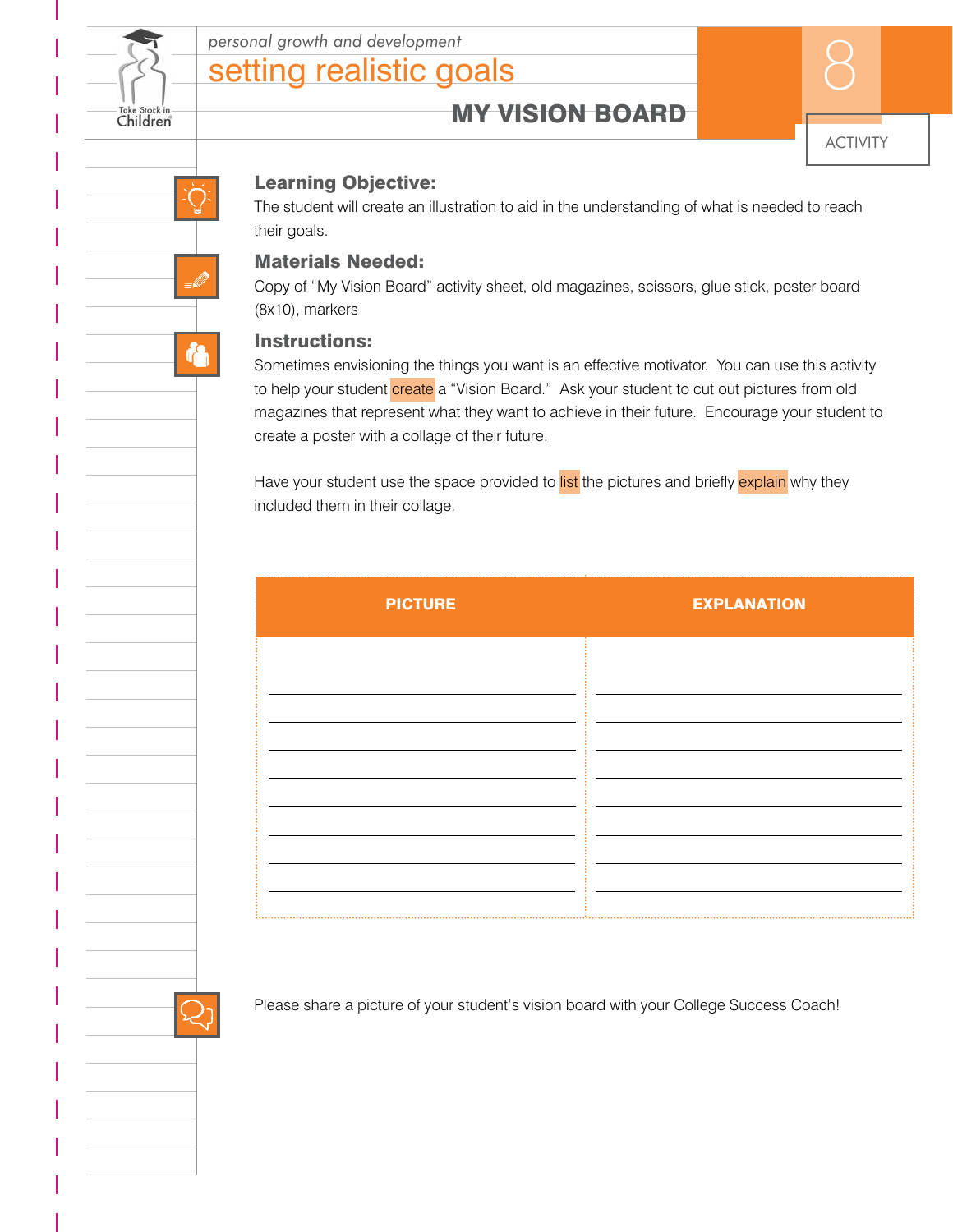

## MY VISION BOARD



## Learning Objective:

The student will create an illustration to aid in the understanding of what is needed to reach their goals.

## Materials Needed:

Copy of "My Vision Board" activity sheet, old magazines, scissors, glue stick, poster board (8x10), markers

## Instructions:

Sometimes envisioning the things you want is an effective motivator. You can use this activity to help your student create a "Vision Board." Ask your student to cut out pictures from old magazines that represent what they want to achieve in their future. Encourage your student to create a poster with a collage of their future.

Have your student use the space provided to list the pictures and briefly explain why they included them in their collage.

| <b>PICTURE</b> | <b>EXPLANATION</b> |
|----------------|--------------------|
|                |                    |
|                |                    |
|                |                    |
|                |                    |
|                |                    |
|                |                    |

Please share a picture of your student's vision board with your College Success Coach!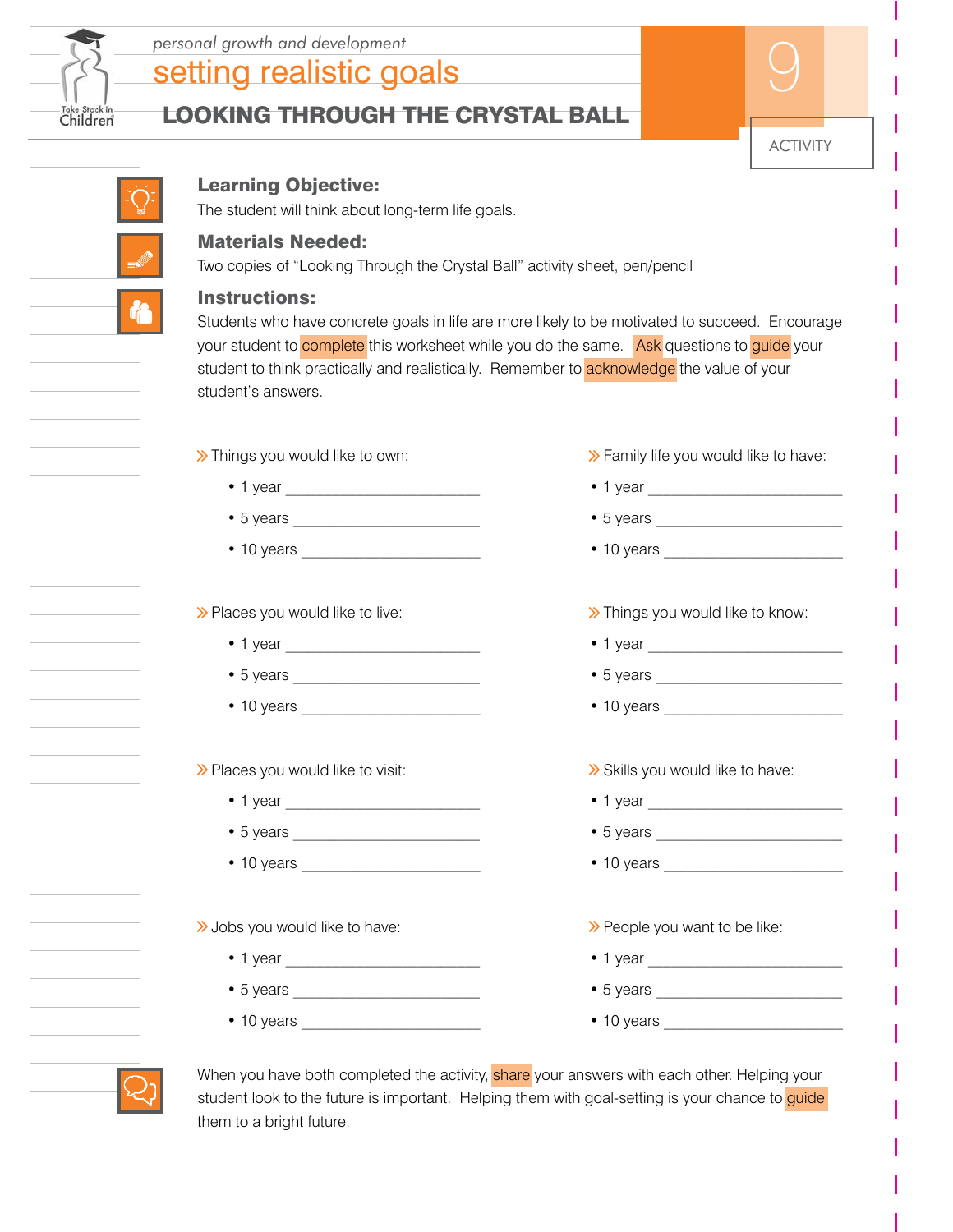

## LOOKING THROUGH THE CRYSTAL BALL

| <b>ACTIVITY</b> |
|-----------------|
|-----------------|

## Learning Objective:

The student will think about long-term life goals.

## Materials Needed:

Two copies of "Looking Through the Crystal Ball" activity sheet, pen/pencil

#### Instructions:

Students who have concrete goals in life are more likely to be motivated to succeed. Encourage your student to complete this worksheet while you do the same. Ask questions to guide your student to think practically and realistically. Remember to **acknowledge** the value of your student's answers.

- 1 year  **1 year 1 year 1 year 1 year 1 year 1 year 1 year 1 year 1 year 1 year 1 year 1 year 1 year 1 year 1 year 1 year 1 year 1 year 1 year 1 year 1 year 1 year 1 year 1 y**
- 
- 10 years **•** 10 years **•** 10 years **•** 10 years **•** 20 years **•** 20 years **•** 20 years **•** 20 years **•** 20 years **•** 20 years **•** 20 years **•** 20 years **•** 20 years **•** 20 years **•** 20 years **•** 20 years **•** 20 years

- 
- 5 years 5 years 5 years 5 years 5 years 5 years 5 years 5 years 5 years 5 years 5 years 7 years 7 years 7 years 7 years 7 years 7 years 7 years 7 years 7 years 7 years 7 years •
- 10 years \_\_\_\_\_\_\_\_\_\_\_\_\_\_\_\_\_\_\_\_\_\_\_ 10 years \_\_\_\_\_\_\_\_\_\_\_\_\_\_\_\_\_\_\_\_\_\_\_

<sup>»</sup> Places you would like to visit:  $\rightarrow$  Skills you would like to have:

- 1 year  **1 year 1 year 1 year 1 year 1 year 1 year 1 year 1 year 1 year 1 year 1 year 1 year 1 year 1 year 1 year 1 year 1 year 1 year 1 year 1 year 1 year 1 year 1 year 1 y**
- 
- 10 years  **10 years 10 years 10 years 10 years 10 years 10 years**

- 
- 5 years \_\_\_\_\_\_\_\_\_\_\_\_\_\_\_\_\_\_\_\_\_\_\_\_ 5 years \_\_\_\_\_\_\_\_\_\_\_\_\_\_\_\_\_\_\_\_\_\_\_\_
- 10 years  **10 years 10 years 10 years 10 years 10 years 10 years 10 years 10 years 10 years**

ªThings you would like to own: ªFamily life you would like to have:

- 
- 5 years  **1 Systems** 5 years  **5 years 5 years 5 years 7 years 7 years 7 years 7 years 7 years 7 years 7 years 7 years 7 years 7 years 7 years 7 years 7 years 7 years 7 years 7 yea** 
	-

<sup>»</sup> Places you would like to live: <br>
<sup>•</sup>Things you would like to live:<br>
<sup>•</sup>

- 1 year \_\_\_\_\_\_\_\_\_\_\_\_\_\_\_\_\_\_\_\_\_\_\_\_\_ 1 year \_\_\_\_\_\_\_\_\_\_\_\_\_\_\_\_\_\_\_\_\_\_\_\_\_
	-
	-

- 
- 5 years  **5 years 5 years 5 years 5 years 5 years 5 years 5 years 7 years 7 years 7 years 7 years 7 years 7 years 7 years 7 years 7 years 7 years 7 years 7 years 7 years 7 years** 
	-

ªJobs you would like to have: ªPeople you want to be like:

- 1 year  **1 year and the set of the set of the set of the set of the set of the set of the set of the set of the set of the set of the set of the set of the set of the set of the set of the set of the set of the set of t** 
	-
	-

When you have both completed the activity, share your answers with each other. Helping your student look to the future is important. Helping them with goal-setting is your chance to guide them to a bright future.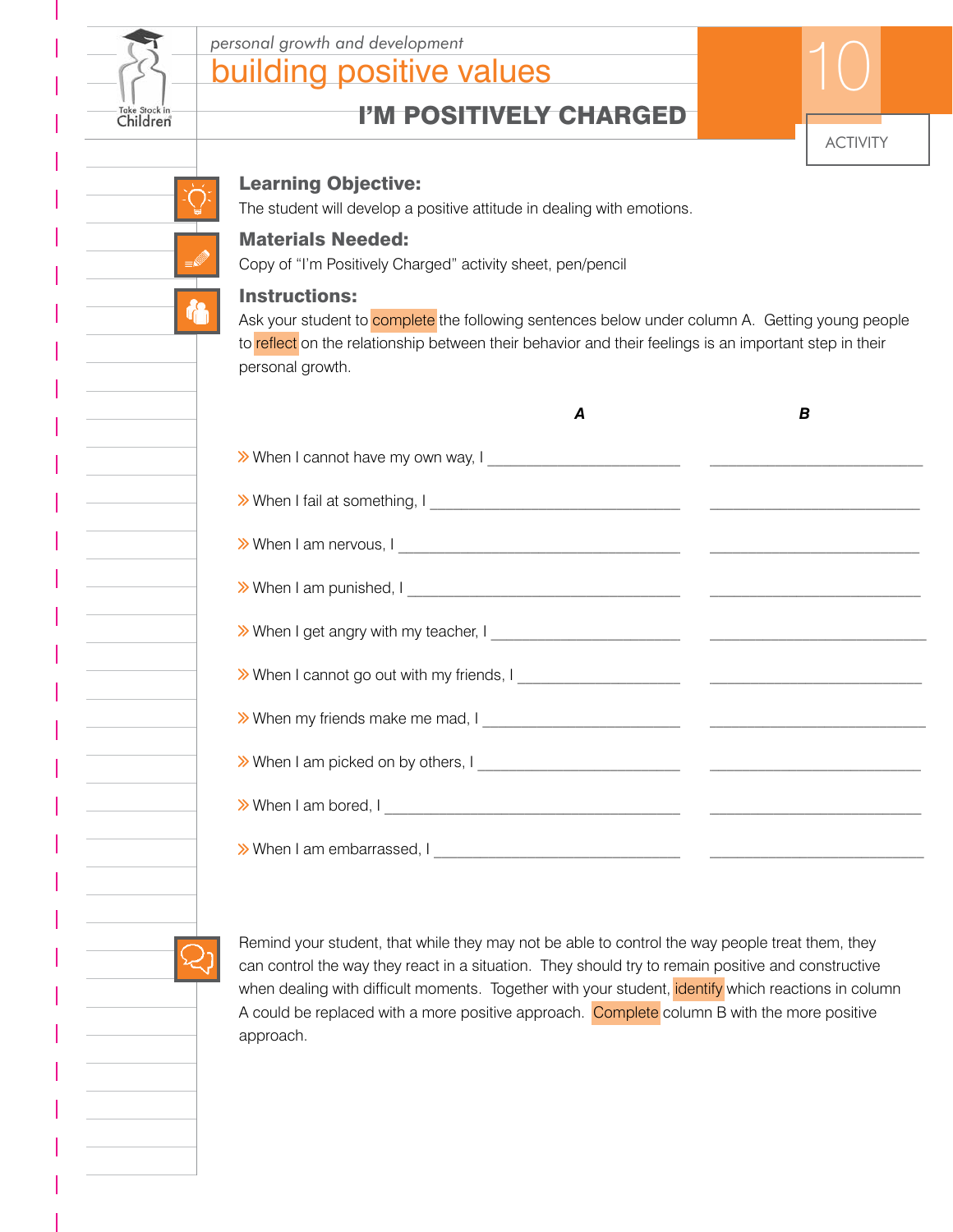

œ

## building positive values personal growth and development<br> **building positive values**

## I'M POSITIVELY CHARGED



## Learning Objective:

The student will develop a positive attitude in dealing with emotions.

## Materials Needed:

Copy of "I'm Positively Charged" activity sheet, pen/pencil

## Instructions:

Ask your student to complete the following sentences below under column A. Getting young people to reflect on the relationship between their behavior and their feelings is an important step in their personal growth.

| A                                                                                                                                                                                                                             | B |
|-------------------------------------------------------------------------------------------------------------------------------------------------------------------------------------------------------------------------------|---|
|                                                                                                                                                                                                                               |   |
| > When I fail at something, I example and the set of the set of the set of the set of the set of the set of the set of the set of the set of the set of the set of the set of the set of the set of the set of the set of the |   |
|                                                                                                                                                                                                                               |   |
|                                                                                                                                                                                                                               |   |
|                                                                                                                                                                                                                               |   |
|                                                                                                                                                                                                                               |   |
|                                                                                                                                                                                                                               |   |
|                                                                                                                                                                                                                               |   |
|                                                                                                                                                                                                                               |   |
|                                                                                                                                                                                                                               |   |

Remind your student, that while they may not be able to control the way people treat them, they can control the way they react in a situation. They should try to remain positive and constructive when dealing with difficult moments. Together with your student, identify which reactions in column A could be replaced with a more positive approach. Complete column B with the more positive approach.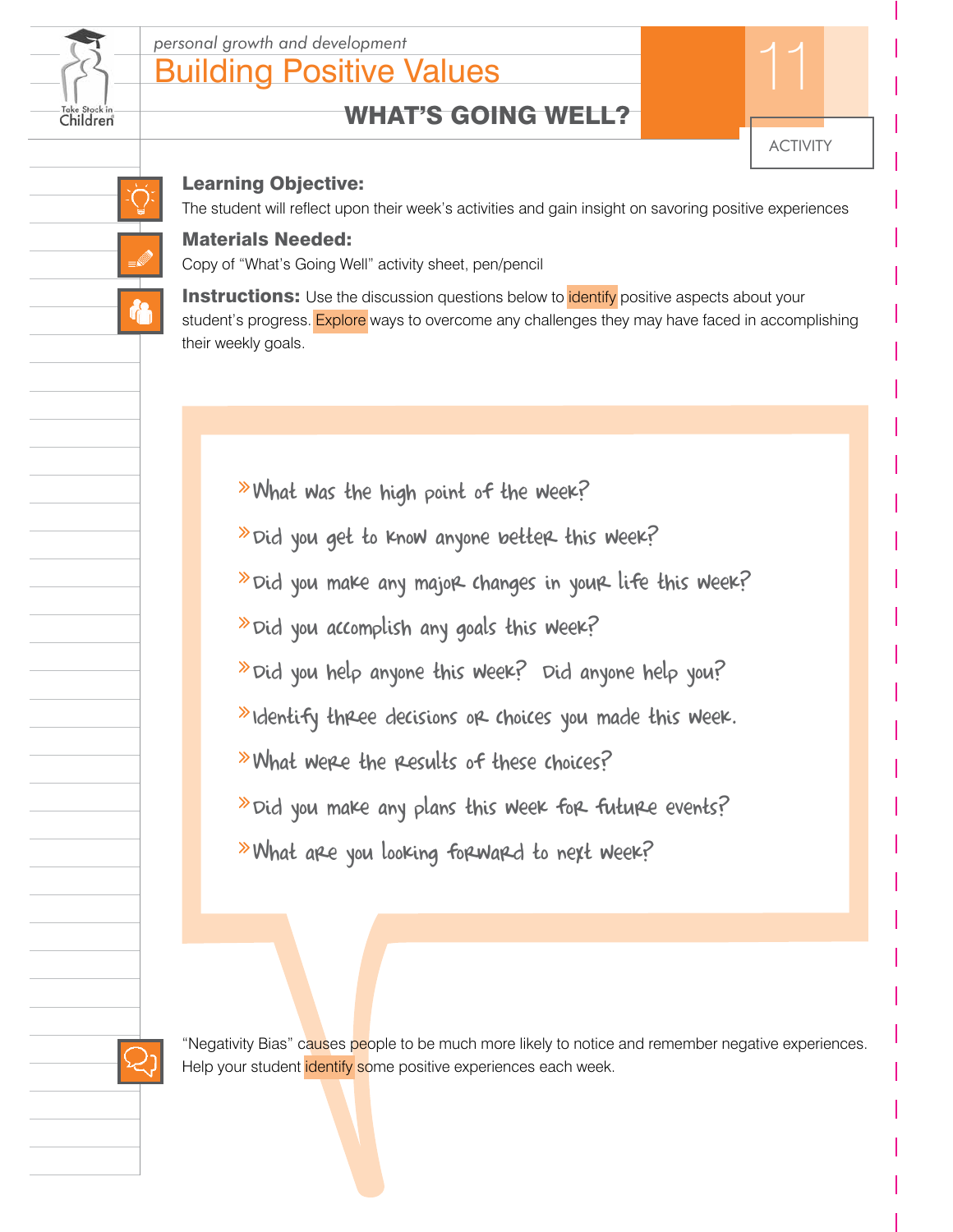

## WHAT'S GOING WELL?

## Learning Objective:

The student will reflect upon their week's activities and gain insight on savoring positive experiences

## Materials Needed:

Copy of "What's Going Well" activity sheet, pen/pencil

**Instructions:** Use the discussion questions below to *identify* positive aspects about your student's progress. Explore ways to overcome any challenges they may have faced in accomplishing their weekly goals.

 $*$ What was the high point of the week?  $\overline{P}$  Did you get to know anyone better this week?  $\overline{a}$  Did you make any major changes in your life this week?  $\rightarrow$  Did you accomplish any goals this week? ªDid you help anyone this week? Did anyone help you?  $\rightarrow$ Identify three decisions or choices you made this week. ªWhat were the results of these choices? ªDid you make any plans this week for future events? ªWhat are you looking forward to next week?

"Negativity Bias" causes people to be much more likely to notice and remember negative experiences. Help your student identify some positive experiences each week.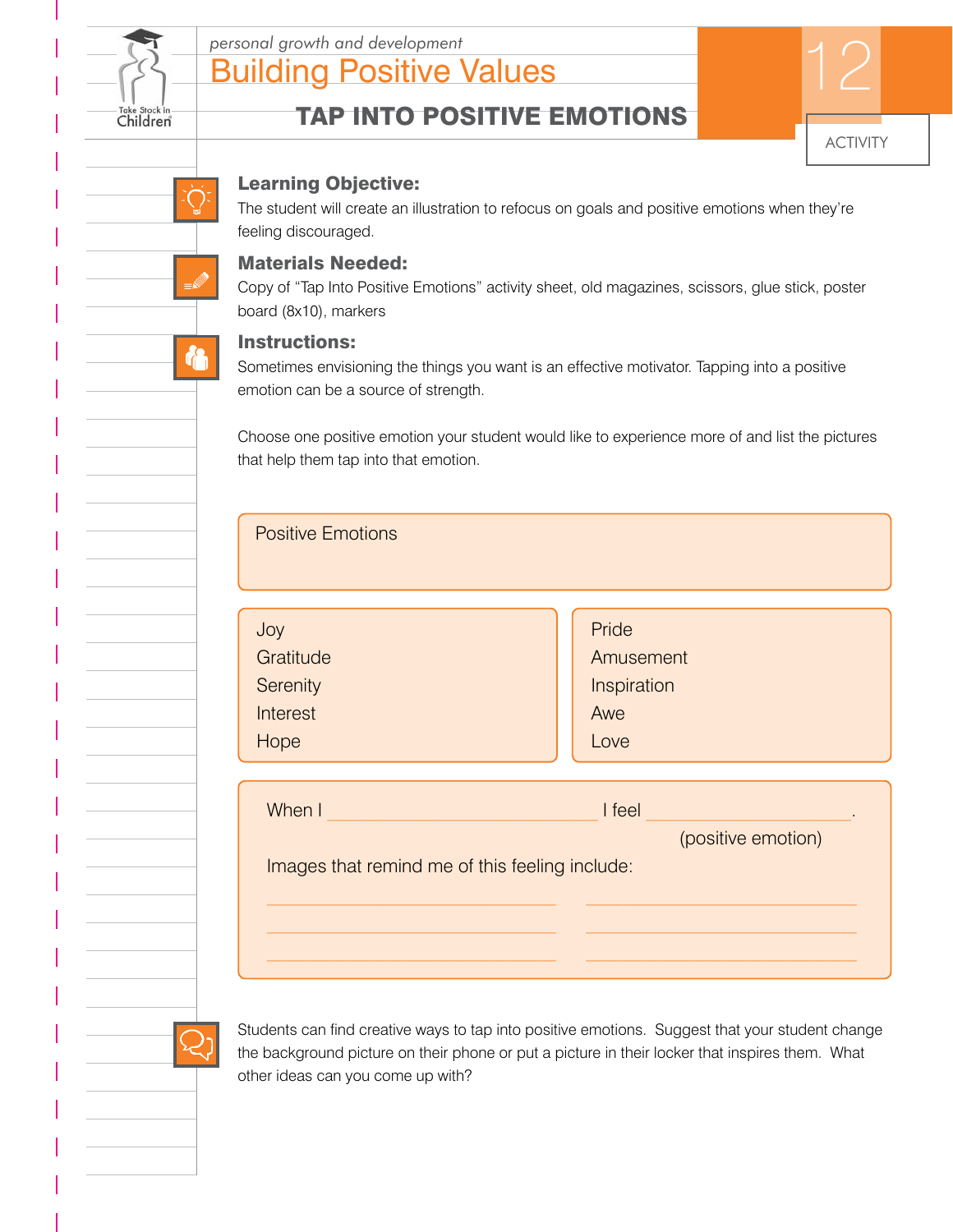

## TAP INTO POSITIVE EMOTIONS

| <b>ACTIVITY</b> |  |
|-----------------|--|

## Learning Objective:

The student will create an illustration to refocus on goals and positive emotions when they're feeling discouraged.

## Materials Needed:

Copy of "Tap Into Positive Emotions" activity sheet, old magazines, scissors, glue stick, poster board (8x10), markers

## Instructions:

**de** 

Sometimes envisioning the things you want is an effective motivator. Tapping into a positive emotion can be a source of strength.

Choose one positive emotion your student would like to experience more of and list the pictures that help them tap into that emotion.

| <b>Positive Emotions</b>                       |                    |
|------------------------------------------------|--------------------|
| Joy                                            | Pride              |
| Gratitude                                      | Amusement          |
| Serenity                                       | Inspiration        |
| Interest                                       | Awe                |
| Hope                                           | Love               |
| When I                                         | I feel             |
| Images that remind me of this feeling include: | (positive emotion) |

Students can find creative ways to tap into positive emotions. Suggest that your student change the background picture on their phone or put a picture in their locker that inspires them. What other ideas can you come up with?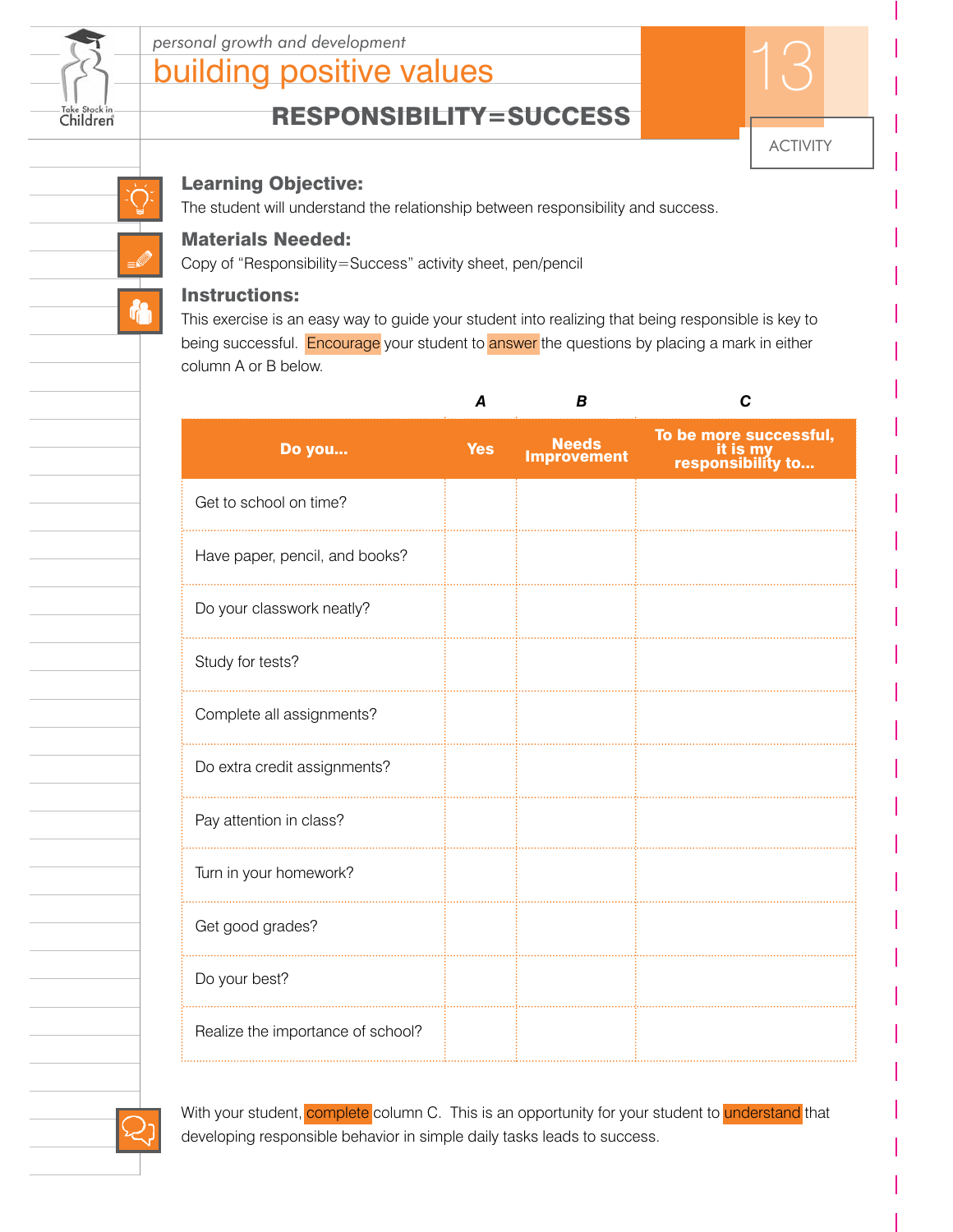

## RESPONSIBILITY=SUCCESS

ACTIVITY

## Learning Objective:

The student will understand the relationship between responsibility and success.

## Materials Needed:

Copy of "Responsibility=Success" activity sheet, pen/pencil

#### Instructions:

This exercise is an easy way to guide your student into realizing that being responsible is key to being successful. Encourage your student to answer the questions by placing a mark in either column A or B below.

| A          | B                                  | C                                                       |
|------------|------------------------------------|---------------------------------------------------------|
| <b>Yes</b> | <b>Needs</b><br><b>Improvement</b> | To be more successful,<br>it is my<br>responsibility to |
|            |                                    |                                                         |
|            |                                    |                                                         |
|            |                                    |                                                         |
|            |                                    |                                                         |
|            |                                    |                                                         |
|            |                                    |                                                         |
|            |                                    |                                                         |
|            |                                    |                                                         |
|            |                                    |                                                         |
|            |                                    |                                                         |
|            |                                    |                                                         |
|            |                                    |                                                         |



With your student, complete column C. This is an opportunity for your student to understand that developing responsible behavior in simple daily tasks leads to success.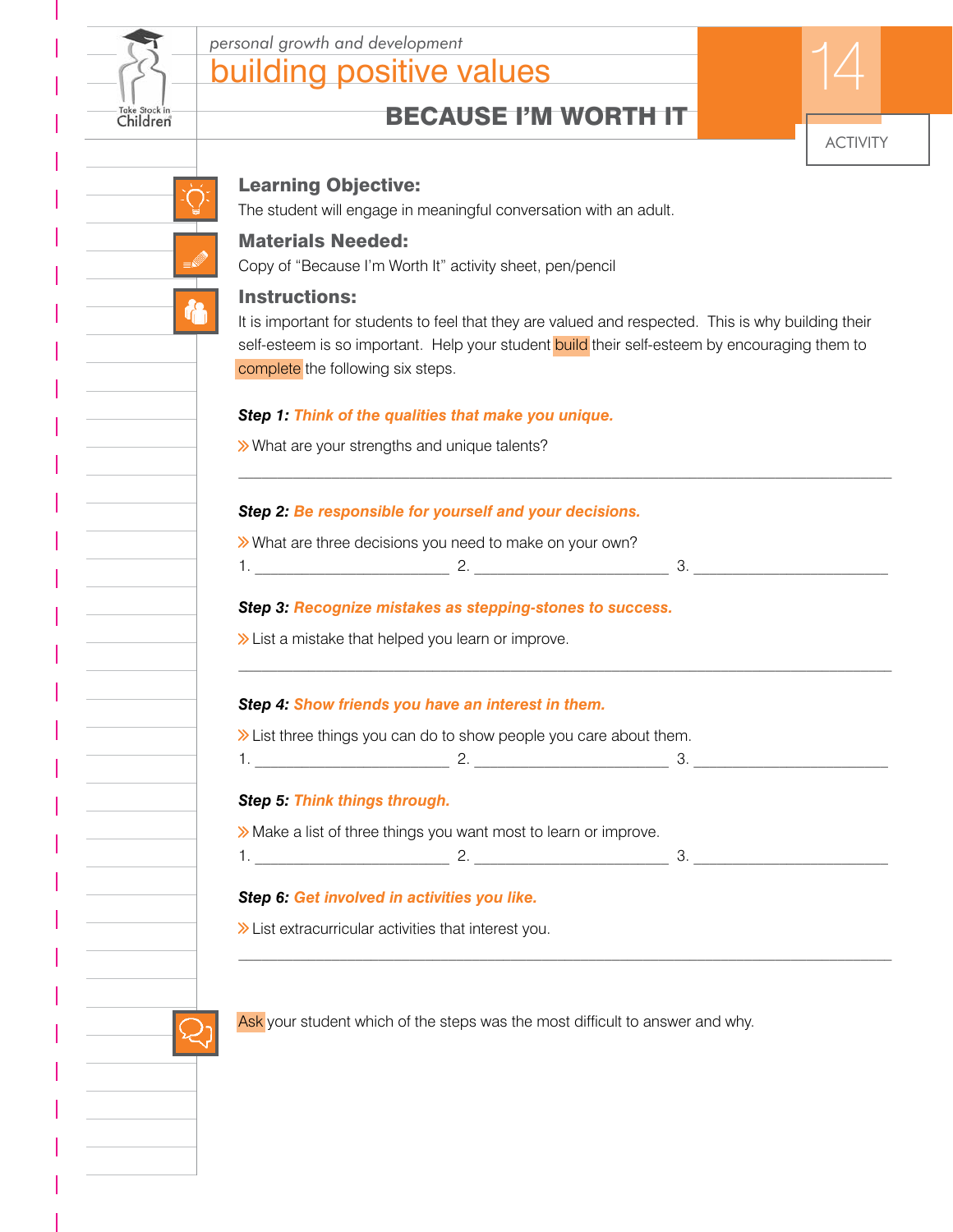

## building positive values personal growth and development<br> **building positive values**

## BECAUSE I'M WORTH IT



|           | <b>Learning Objective:</b><br>The student will engage in meaningful conversation with an adult.                                                                                                                                                                   |    |
|-----------|-------------------------------------------------------------------------------------------------------------------------------------------------------------------------------------------------------------------------------------------------------------------|----|
| $\equiv$  | <b>Materials Needed:</b><br>Copy of "Because I'm Worth It" activity sheet, pen/pencil                                                                                                                                                                             |    |
| <b>de</b> | <b>Instructions:</b><br>It is important for students to feel that they are valued and respected. This is why building their<br>self-esteem is so important. Help your student build their self-esteem by encouraging them to<br>complete the following six steps. |    |
|           | Step 1. Think of the qualities that make you unique.<br>>> What are your strengths and unique talents?                                                                                                                                                            |    |
|           | Step 2: Be responsible for yourself and your decisions.<br>>> What are three decisions you need to make on your own?<br>1. $2.$ 3.                                                                                                                                |    |
|           | Step 3: Recognize mistakes as stepping-stones to success.<br>>> List a mistake that helped you learn or improve.                                                                                                                                                  |    |
|           | Step 4: Show friends you have an interest in them.<br>>> List three things you can do to show people you care about them.                                                                                                                                         |    |
|           | Step 5: Think things through.                                                                                                                                                                                                                                     |    |
|           | >> Make a list of three things you want most to learn or improve.<br>1.                                                                                                                                                                                           | 3. |
|           | Step 6: Get involved in activities you like.<br>$\gg$ List extracurricular activities that interest you.                                                                                                                                                          |    |
|           | Ask your student which of the steps was the most difficult to answer and why.                                                                                                                                                                                     |    |
|           |                                                                                                                                                                                                                                                                   |    |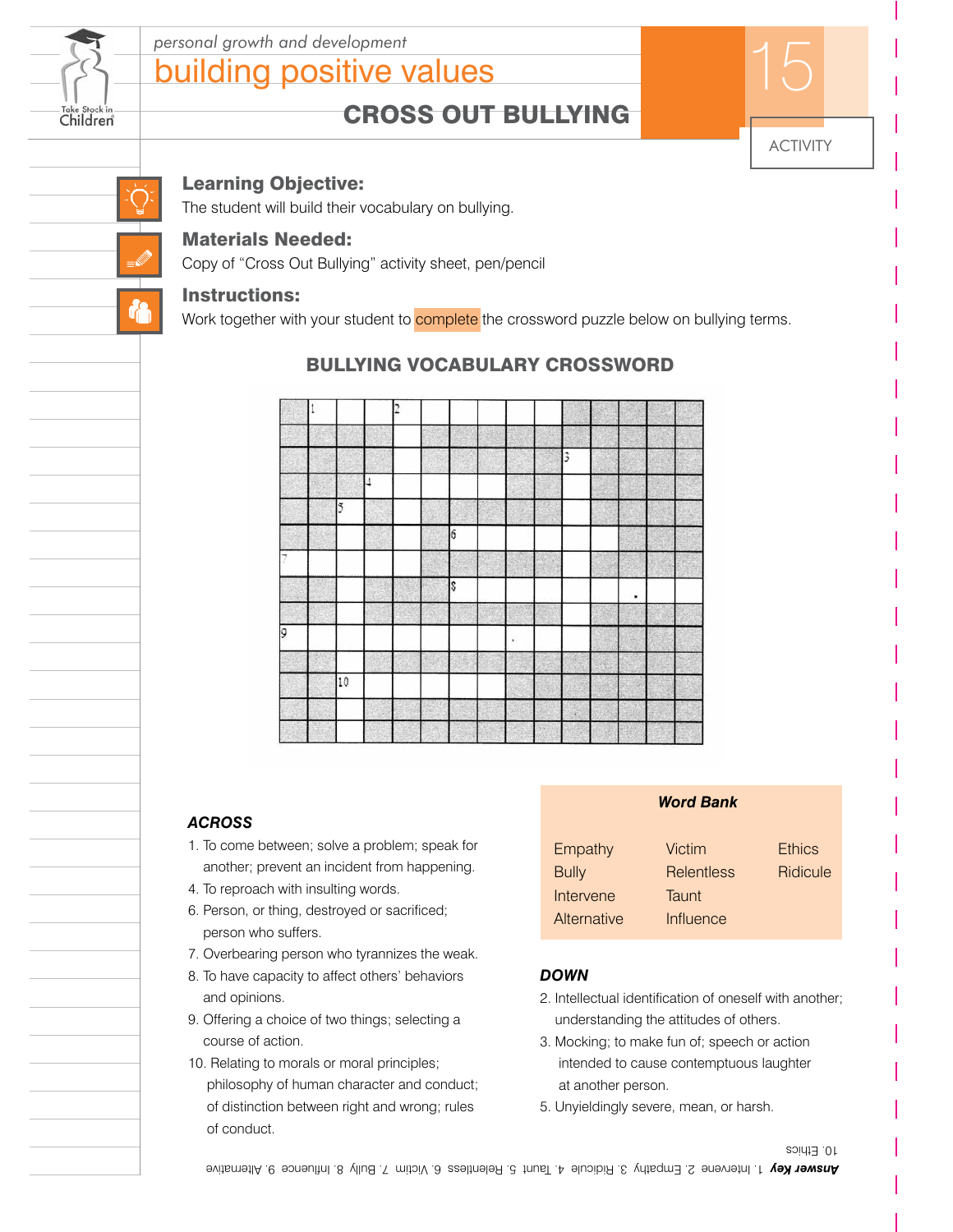

## CROSS OUT BULLYING

ACTIVITY

## Learning Objective:

The student will build their vocabulary on bullying.

## Materials Needed:

Copy of "Cross Out Bullying" activity sheet, pen/pencil

## Instructions:

Work together with your student to **complete** the crossword puzzle below on bullying terms.

# 10

## BULLYING VOCABULARY CROSSWORD

## *ACROSS*

- 1. To come between; solve a problem; speak for another; prevent an incident from happening.
- 4. To reproach with insulting words.
- 6. Person, or thing, destroyed or sacrificed; person who suffers.
- 7. Overbearing person who tyrannizes the weak.
- 8. To have capacity to affect others' behaviors and opinions.
- 9. Offering a choice of two things; selecting a course of action.
- 10. Relating to morals or moral principles; philosophy of human character and conduct; of distinction between right and wrong; rules of conduct.

## *Word Bank*

| Empathy      | Victim     | <b>Ethics</b>   |
|--------------|------------|-----------------|
| <b>Bully</b> | Relentless | <b>Ridicule</b> |
| Intervene    | Taunt      |                 |
| Alternative  | Influence  |                 |

#### *DOWN*

- 2. Intellectual identification of oneself with another; understanding the attitudes of others.
- 3. Mocking; to make fun of; speech or action intended to cause contemptuous laughter at another person.
- 5. Unyieldingly severe, mean, or harsh.

1. Intervene 2. Empathy 3. Ridicule 4. Taunt 5. Relentless 6. Victim 7. Bully 8. Influence 9. Alternative *Answer Key*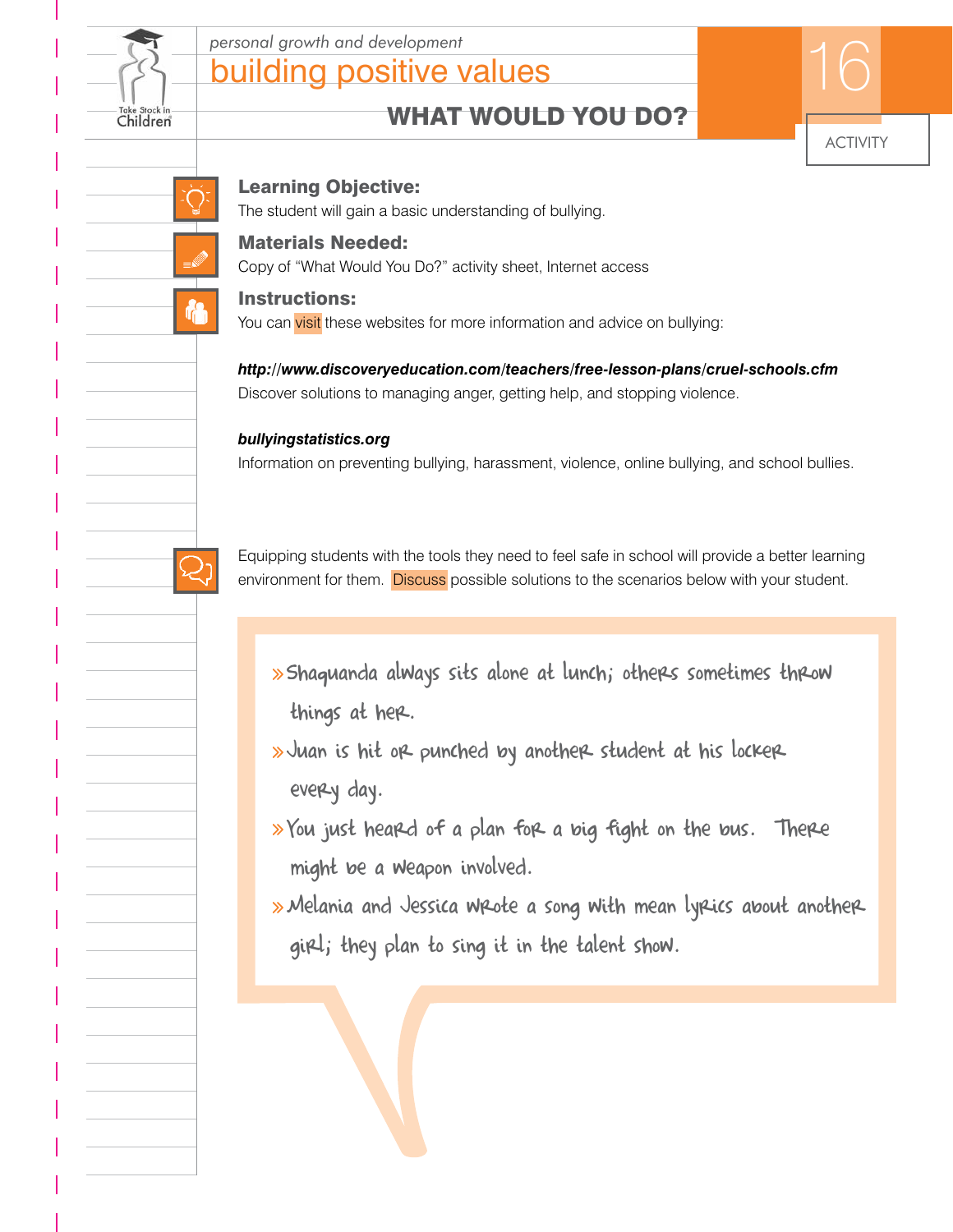

## WHAT WOULD YOU DO?



## Learning Objective:

The student will gain a basic understanding of bullying.

## Materials Needed:

Copy of "What Would You Do?" activity sheet, Internet access

## Instructions:

You can visit these websites for more information and advice on bullying:

*http://www.discoveryeducation.com/teachers/free-lesson-plans/cruel-schools.cfm* Discover solutions to managing anger, getting help, and stopping violence.

## *bullyingstatistics.org*

Information on preventing bullying, harassment, violence, online bullying, and school bullies.

Equipping students with the tools they need to feel safe in school will provide a better learning environment for them. Discuss possible solutions to the scenarios below with your student.

- » Shaquanda always sits alone at lunch; others sometimes throw things at her.
- »Juan is hit or punched by another student at his locker every day.
- $\rightarrow$  You just heard of a plan for a big fight on the bus. There might be a weapon involved.
- $\gg$  Melania and Jessica wrote a song with mean lyrics about another girl; they plan to sing it in the talent show.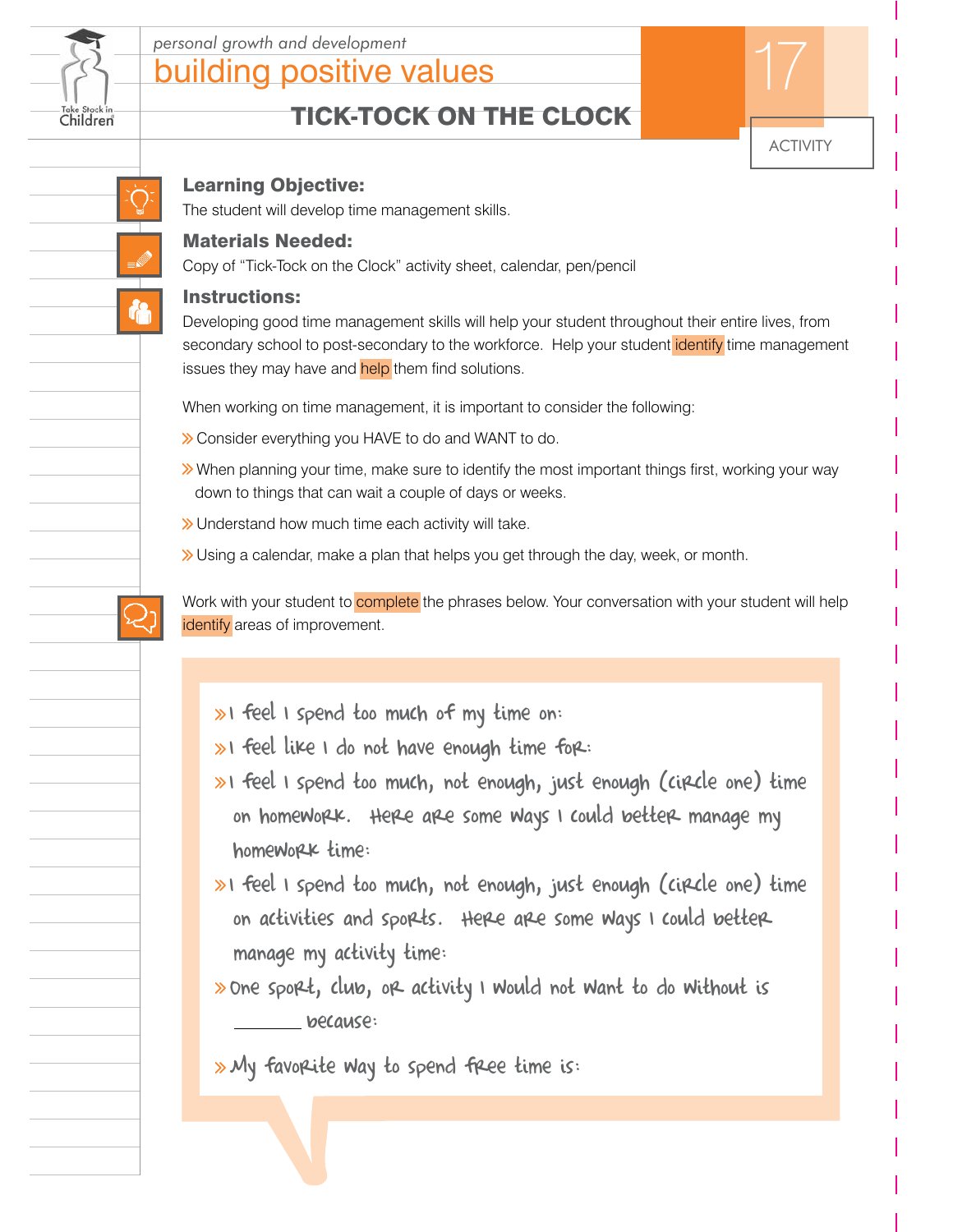

## TICK-TOCK ON THE CLOCK

ACTIVITY

## Learning Objective:

The student will develop time management skills.

## Materials Needed:

Copy of "Tick-Tock on the Clock" activity sheet, calendar, pen/pencil

## Instructions:

Developing good time management skills will help your student throughout their entire lives, from secondary school to post-secondary to the workforce. Help your student identify time management issues they may have and help them find solutions.

When working on time management, it is important to consider the following:

- **≫** Consider everything you HAVE to do and WANT to do.
- >> When planning your time, make sure to identify the most important things first, working your way down to things that can wait a couple of days or weeks.<br>
<br>
Wulderstand how much time each activity will take.
- 
- $\gg$  Understand how much time each activity will take.<br> $\gg$  Using a calendar, make a plan that helps you get through the day, week, or month.

Work with your student to **complete** the phrases below. Your conversation with your student will help identify areas of improvement.

- $\gg$ I feel I spend too much of my time on:
- $\gg$ I feel like I do not have enough time for:
- $\gg$ I feel I spend too much, not enough, just enough (circle one) time on homework. Here are some ways I could better manage my homework time:
- $\gg$ I feel I spend too much, not enough, just enough (circle one) time on activities and sports. Here are some ways I could better manage my activity time:
- $\gg$ One sport, club, or activity I would not want to do without is because:

 $*$  My favor the way to spend free time is: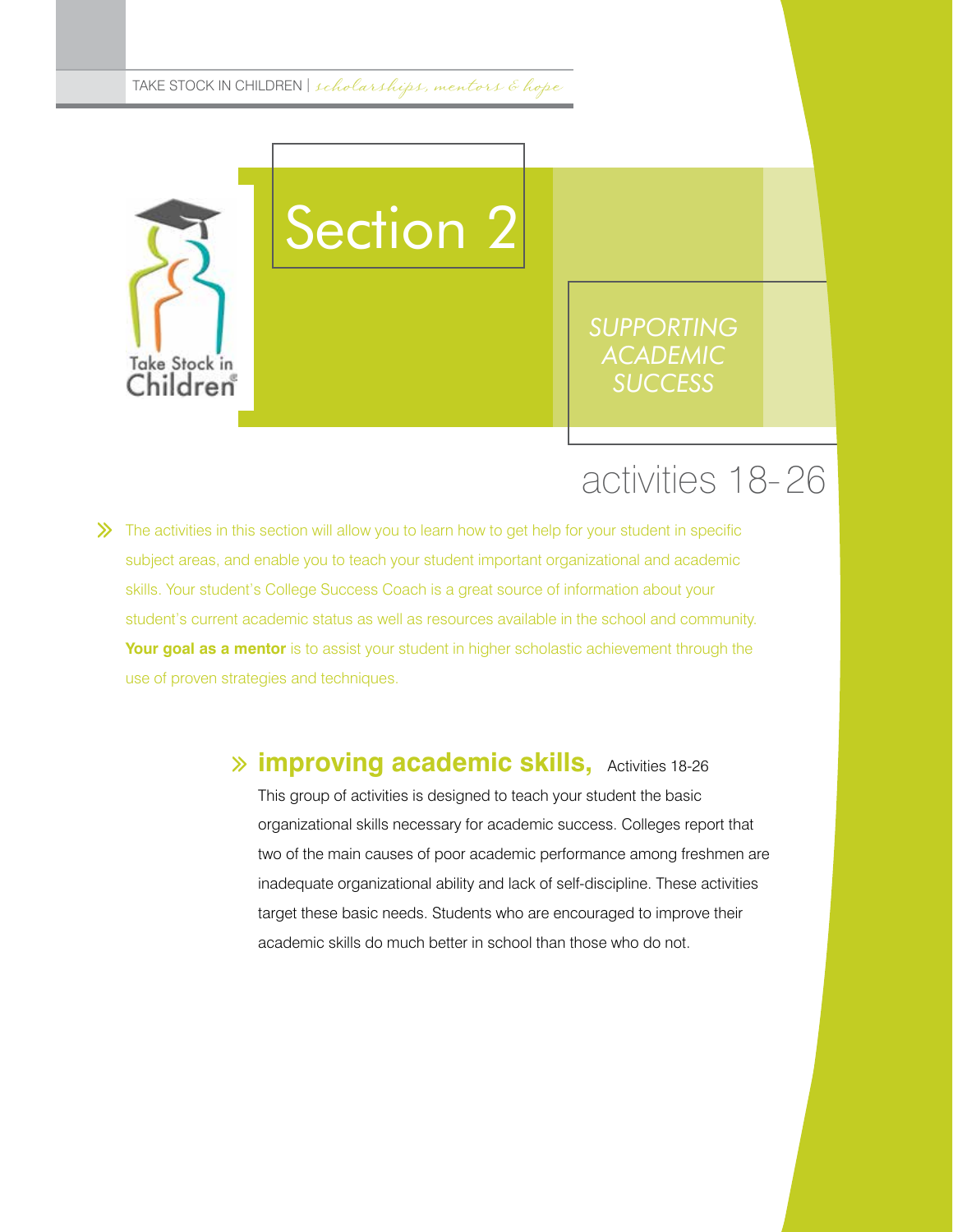

Section 2

*SUPPORTING ACADEMIC SUCCESS*

## activities 18- 26

ª The activities in this section will allow you to learn how to get help for your student in specific subject areas, and enable you to teach your student important organizational and academic skills. Your student's College Success Coach is a great source of information about your student's current academic status as well as resources available in the school and community. **Your goal as a mentor** is to assist your student in higher scholastic achievement through the use of proven strategies and techniques.

# *<b>improving academic skills, Activities 18-26* ª

This group of activities is designed to teach your student the basic organizational skills necessary for academic success. Colleges report that two of the main causes of poor academic performance among freshmen are inadequate organizational ability and lack of self-discipline. These activities target these basic needs. Students who are encouraged to improve their academic skills do much better in school than those who do not.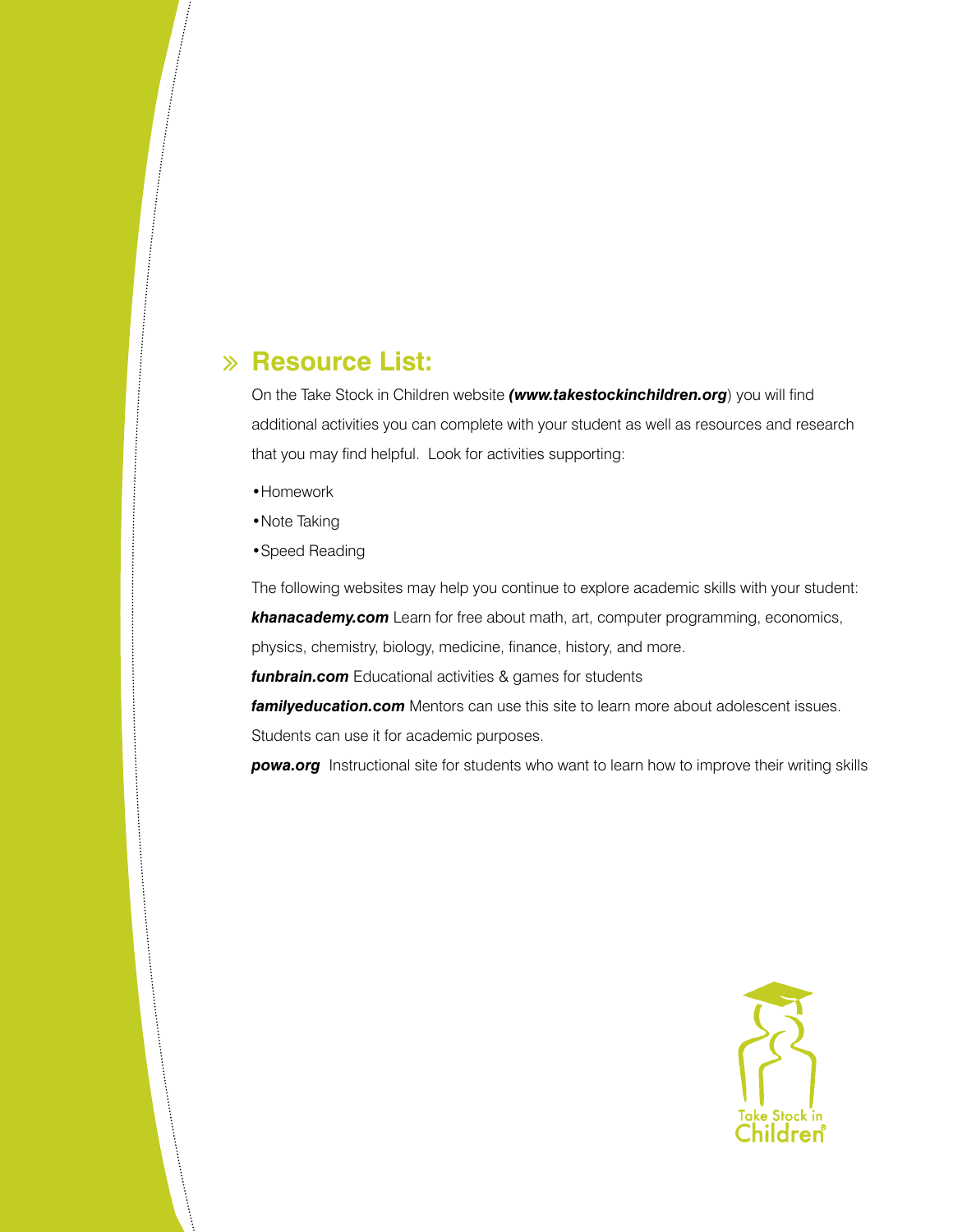# **Resource List:** ª

On the Take Stock in Children website *(www.takestockinchildren.org*) you will find additional activities you can complete with your student as well as resources and research that you may find helpful. Look for activities supporting:

- •Homework
- •Note Taking

•Speed Reading

The following websites may help you continue to explore academic skills with your student: *khanacademy.com* Learn for free about math, art, computer programming, economics,

physics, chemistry, biology, medicine, finance, history, and more.

*funbrain.com* Educational activities & games for students

*familyeducation.com* Mentors can use this site to learn more about adolescent issues. Students can use it for academic purposes.

**powa.org** Instructional site for students who want to learn how to improve their writing skills

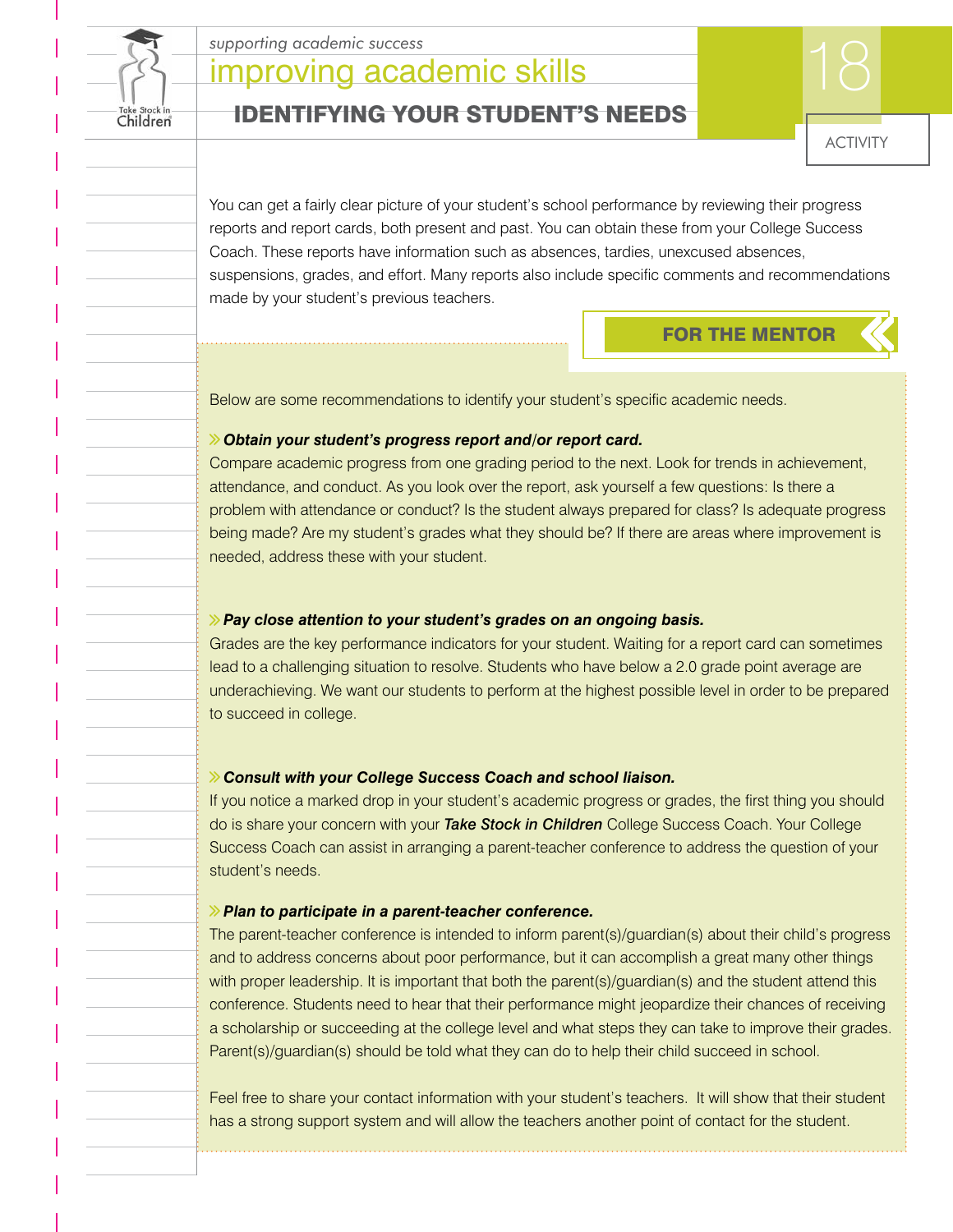

# supporting academic success<br>**improving academic skills**

## IDENTIFYING YOUR STUDENT'S NEEDS

You can get a fairly clear picture of your student's school performance by reviewing their progress reports and report cards, both present and past. You can obtain these from your College Success Coach. These reports have information such as absences, tardies, unexcused absences, suspensions, grades, and effort. Many reports also include specific comments and recommendations made by your student's previous teachers.

## **FOR THE MENTOR**

ACTIVITY

Below are some recommendations to identify your student's specific academic needs.

#### ª*Obtain your student's progress report and/or report card.*

Compare academic progress from one grading period to the next. Look for trends in achievement, attendance, and conduct. As you look over the report, ask yourself a few questions: Is there a problem with attendance or conduct? Is the student always prepared for class? Is adequate progress being made? Are my student's grades what they should be? If there are areas where improvement is needed, address these with your student.

#### ª*Pay close attention to your student's grades on an ongoing basis.*

Grades are the key performance indicators for your student. Waiting for a report card can sometimes lead to a challenging situation to resolve. Students who have below a 2.0 grade point average are underachieving. We want our students to perform at the highest possible level in order to be prepared to succeed in college.

#### ª*Consult with your College Success Coach and school liaison.*

If you notice a marked drop in your student's academic progress or grades, the first thing you should do is share your concern with your *Take Stock in Children* College Success Coach. Your College Success Coach can assist in arranging a parent-teacher conference to address the question of your student's needs.

#### ª*Plan to participate in a parent-teacher conference.*

The parent-teacher conference is intended to inform parent(s)/guardian(s) about their child's progress and to address concerns about poor performance, but it can accomplish a great many other things with proper leadership. It is important that both the parent(s)/guardian(s) and the student attend this conference. Students need to hear that their performance might jeopardize their chances of receiving a scholarship or succeeding at the college level and what steps they can take to improve their grades. Parent(s)/guardian(s) should be told what they can do to help their child succeed in school.

Feel free to share your contact information with your student's teachers. It will show that their student has a strong support system and will allow the teachers another point of contact for the student.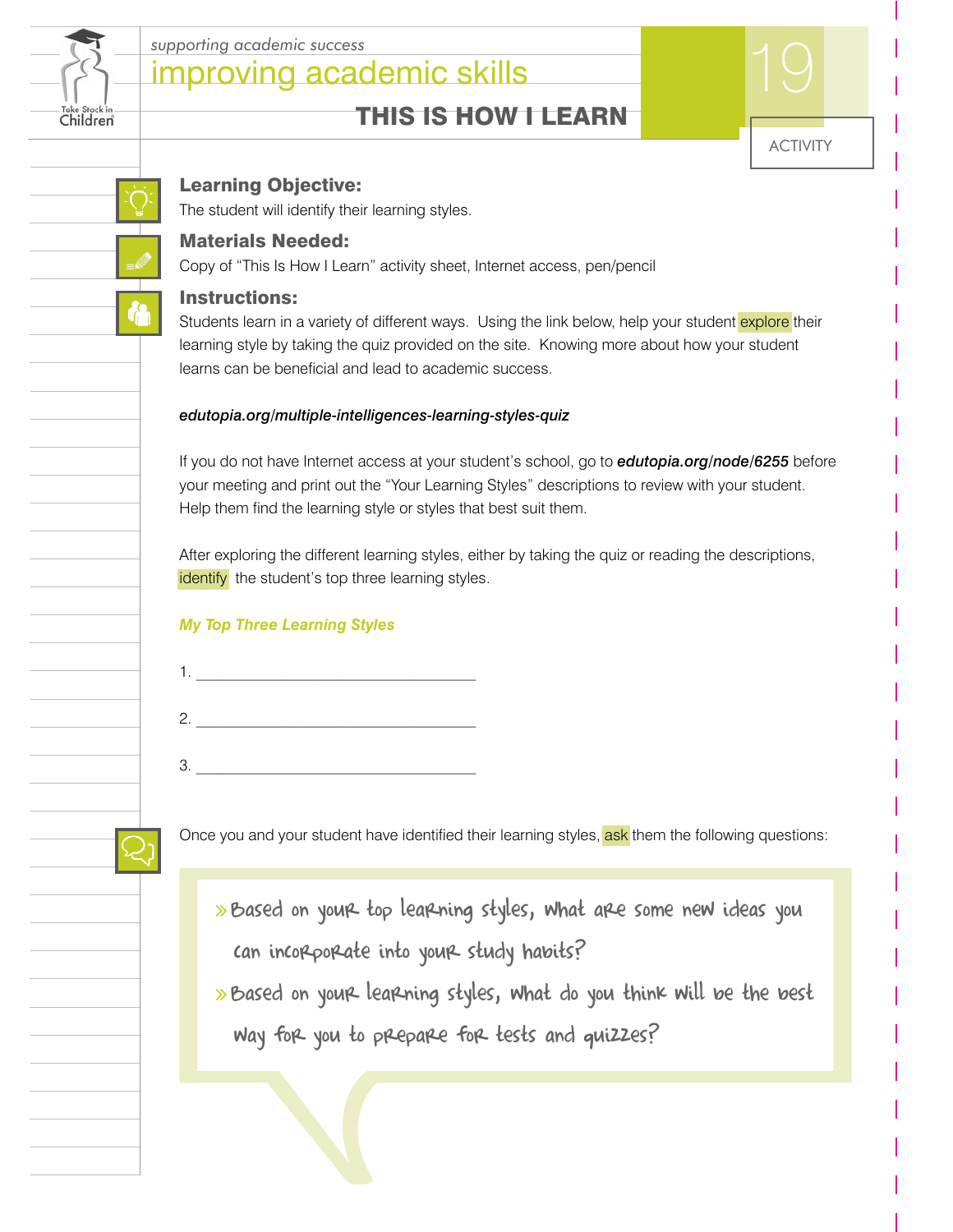

## improving academic skills *supporting academic success* improving academic skills  $\blacksquare$

## THIS IS HOW I LEARN

ACTIVITY



## Learning Objective:

The student will identify their learning styles.

## Materials Needed:

Copy of "This Is How I Learn" activity sheet, Internet access, pen/pencil

#### Instructions:

Students learn in a variety of different ways. Using the link below, help your student *explore* their learning style by taking the quiz provided on the site. Knowing more about how your student learns can be beneficial and lead to academic success.

#### *edutopia.org/multiple-intelligences-learning-styles-quiz*

If you do not have Internet access at your student's school, go to *edutopia.org/node/6255* before your meeting and print out the "Your Learning Styles" descriptions to review with your student. Help them find the learning style or styles that best suit them.

After exploring the different learning styles, either by taking the quiz or reading the descriptions, identify the student's top three learning styles.

## *My Top Three Learning Styles*

| 1  |  |  |
|----|--|--|
|    |  |  |
| 2. |  |  |
|    |  |  |
| 3  |  |  |
|    |  |  |

Once you and your student have identified their learning styles, ask them the following questions:

- » Based on your top learning styles, what are some new ideas you can incorporate into your study habits?
- » Based on your learning styles, what do you think will be the best way for you to prepare for tests and quizzes?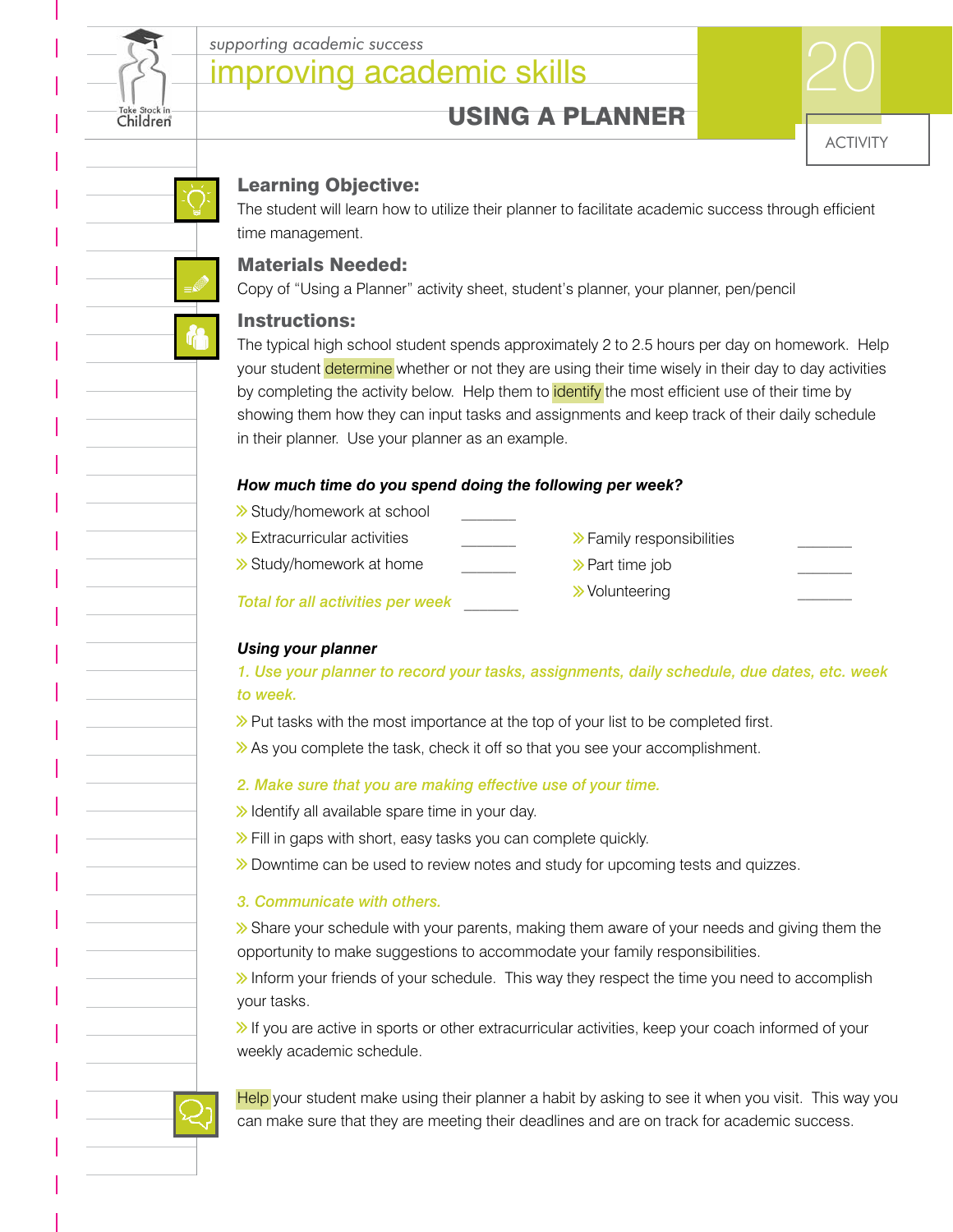

## improving academic skills *supporting academic success* **improving academic skills** 20

## USING A PLANNER



## Learning Objective:

The student will learn how to utilize their planner to facilitate academic success through efficient time management.

## Materials Needed:

Copy of "Using a Planner" activity sheet, student's planner, your planner, pen/pencil

## Instructions:

The typical high school student spends approximately 2 to 2.5 hours per day on homework. Help your student determine whether or not they are using their time wisely in their day to day activities by completing the activity below. Help them to **identify** the most efficient use of their time by showing them how they can input tasks and assignments and keep track of their daily schedule in their planner. Use your planner as an example.

| How much time do you spend doing the following per week? |  |                                |  |
|----------------------------------------------------------|--|--------------------------------|--|
| Study/homework at school                                 |  |                                |  |
| $\gg$ Extracurricular activities                         |  | $\gg$ Family responsibilities  |  |
| Study/homework at home                                   |  | $\triangleright$ Part time job |  |
| Total for all activities per week                        |  | > Volunteering                 |  |

#### *Using your planner*

*1. Use your planner to record your tasks, assignments, daily schedule, due dates, etc. week to week.* 

 $\gg$  Put tasks with the most importance at the top of your list to be completed first.

 $\gg$  As you complete the task, check it off so that you see your accomplishment.

# **2. Make sure that you are making effective use of your time.**<br> **••** Identify all available spare time in your day.<br>
If the gans with short, easy tasks you can complete quickly

 $\gg$  Identify all available spare time in your day.<br> $\gg$  Fill in gaps with short, easy tasks you can complete quickly.

>> Downtime can be used to review notes and study for upcoming tests and quizzes.

#### *3. Communicate with others.*

>> Share your schedule with your parents, making them aware of your needs and giving them the opportunity to make suggestions to accommodate your family responsibilities.

 $\gg$  Inform your friends of your schedule. This way they respect the time you need to accomplish your tasks.

 $\gg$  If you are active in sports or other extracurricular activities, keep your coach informed of your weekly academic schedule.



Help your student make using their planner a habit by asking to see it when you visit. This way you can make sure that they are meeting their deadlines and are on track for academic success.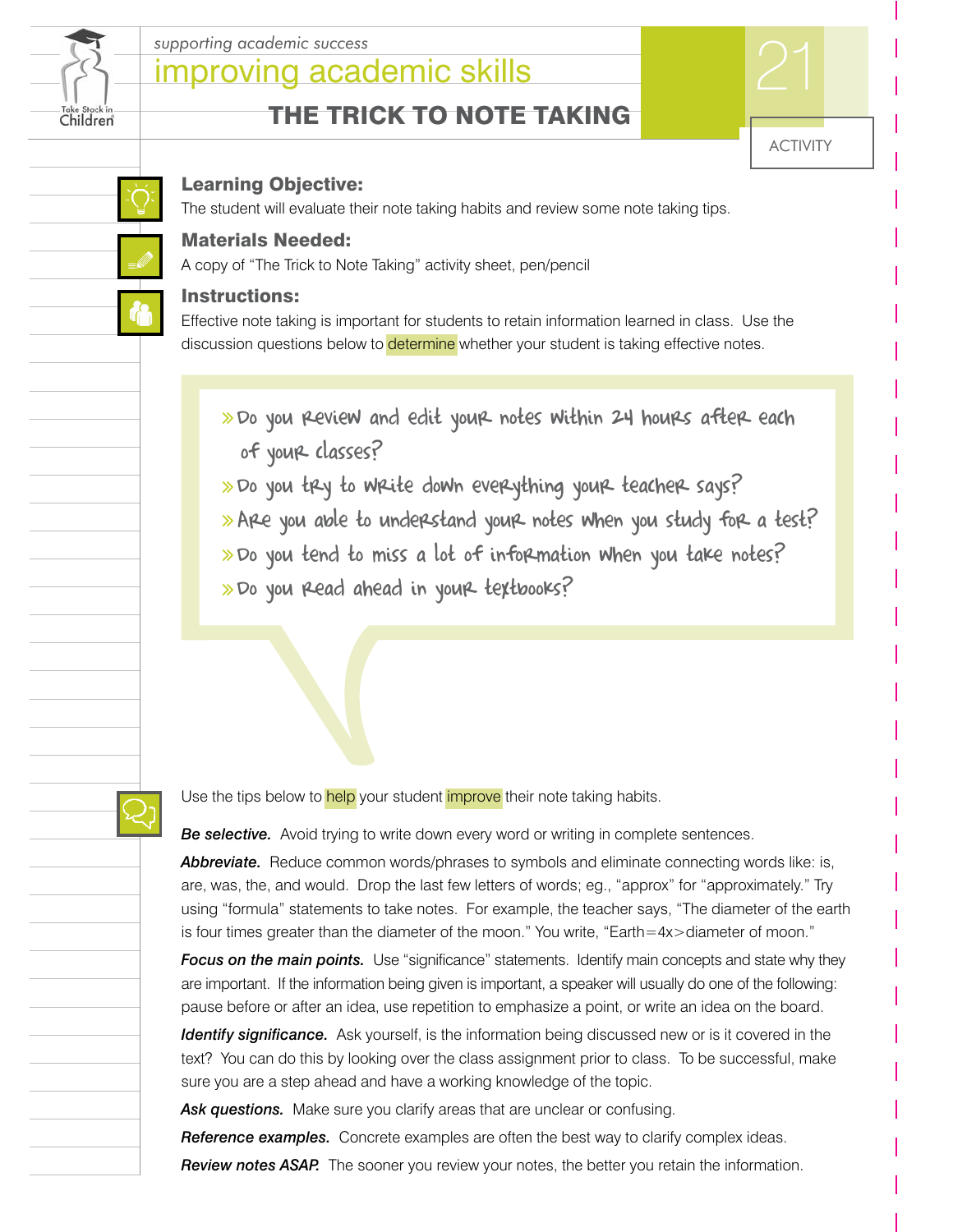

## improving academic skills *supporting academic success* 21 and 21 and 21 and 21 and 21 and 21 and 21 and 21 and 21 and 21 and 21 and 21 and 21 and 21 and 21 and 21 and 21 and 21 and 21 and 21 and 21 and 21 and 21 and 21 and 21 and 21 and 22 and 22

## THE TRICK TO NOTE TAKING



#### Learning Objective:

The student will evaluate their note taking habits and review some note taking tips.

#### Materials Needed:

A copy of "The Trick to Note Taking" activity sheet, pen/pencil

#### Instructions:

Effective note taking is important for students to retain information learned in class. Use the discussion questions below to determine whether your student is taking effective notes.

- »Do you Review and edit your notes within 24 hours after each of your classes?
- »Do you try to write down everything your teacher says? »Are you able to understand your notes when you study for a test? »Do you tend to miss a lot of information when you take notes? »Do you read ahead in your textbooks?

Use the tips below to help your student *improve* their note taking habits.

**Be selective.** Avoid trying to write down every word or writing in complete sentences.

*Abbreviate.* Reduce common words/phrases to symbols and eliminate connecting words like: is, are, was, the, and would. Drop the last few letters of words; eg., "approx" for "approximately." Try using "formula" statements to take notes. For example, the teacher says, "The diameter of the earth is four times greater than the diameter of the moon." You write, "Earth=4x>diameter of moon."

**Focus on the main points.** Use "significance" statements. Identify main concepts and state why they are important. If the information being given is important, a speaker will usually do one of the following: pause before or after an idea, use repetition to emphasize a point, or write an idea on the board.

*Identify significance.* Ask yourself, is the information being discussed new or is it covered in the text? You can do this by looking over the class assignment prior to class. To be successful, make sure you are a step ahead and have a working knowledge of the topic.

Ask questions. Make sure you clarify areas that are unclear or confusing.

*Reference examples.* Concrete examples are often the best way to clarify complex ideas.

**Review notes ASAP.** The sooner you review your notes, the better you retain the information.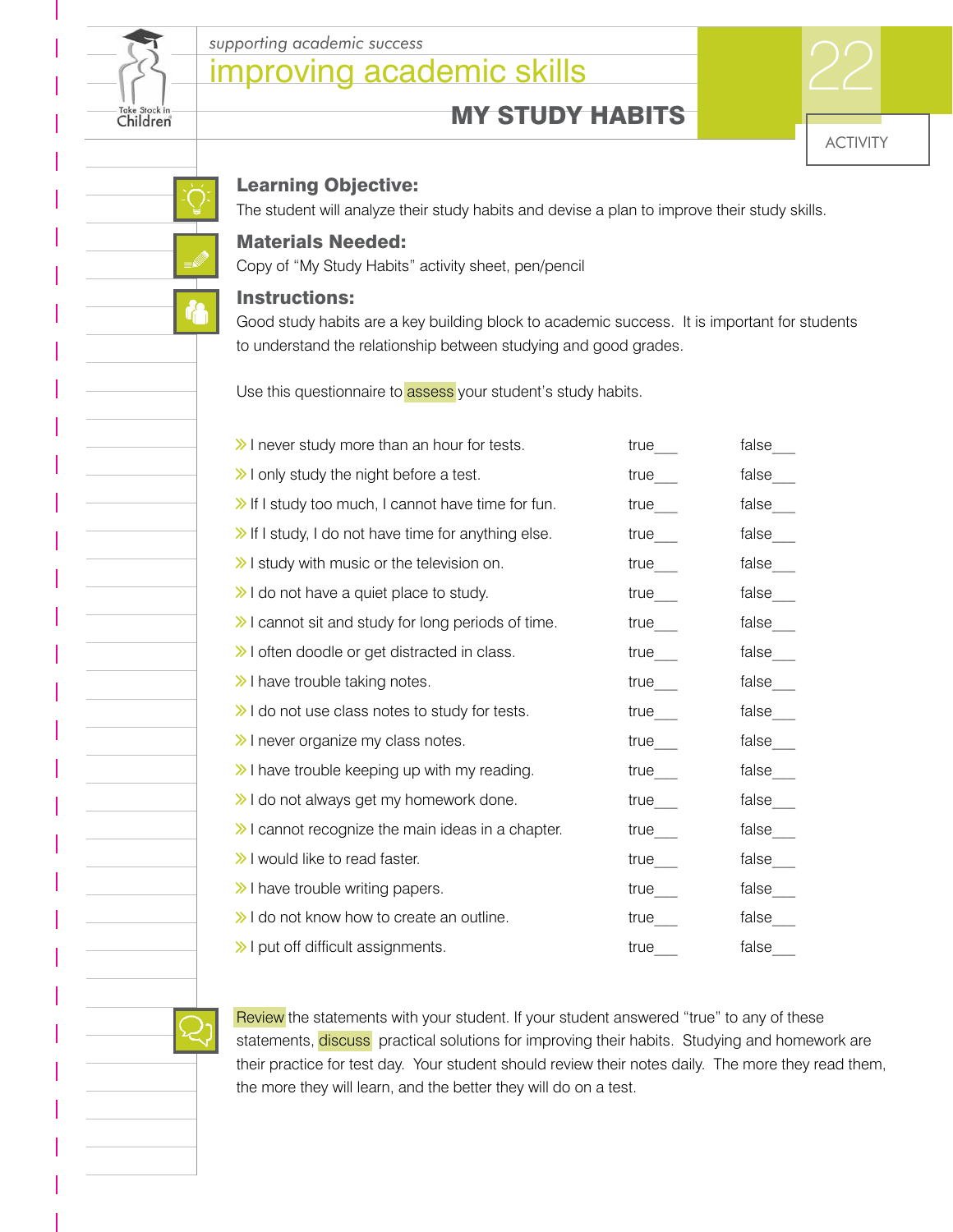

## improving academic skills *supporting academic success*<br> **improving academic skills**





#### Learning Objective:

The student will analyze their study habits and devise a plan to improve their study skills.

#### Materials Needed:

Copy of "My Study Habits" activity sheet, pen/pencil

#### Instructions:

Good study habits are a key building block to academic success. It is important for students to understand the relationship between studying and good grades.

Use this questionnaire to assess your student's study habits.

| > I never study more than an hour for tests.         | true                   | false    |
|------------------------------------------------------|------------------------|----------|
| > I only study the night before a test.              | true                   | false    |
| > If I study too much, I cannot have time for fun.   | true                   | false    |
| >> If I study, I do not have time for anything else. | true                   | false    |
| $\gg$ I study with music or the television on.       | true                   | false    |
| $\gg$ I do not have a quiet place to study.          | true                   | false___ |
| > I cannot sit and study for long periods of time.   | true                   | false_   |
| > I often doodle or get distracted in class.         | true                   | false___ |
| $\gg$ I have trouble taking notes.                   | $true$ <sub>____</sub> | false_   |
| > I do not use class notes to study for tests.       | $true$ <sub>____</sub> | false___ |
| > I never organize my class notes.                   | true                   | false___ |
| > I have trouble keeping up with my reading.         | $true$ <sub>___</sub>  | false    |
| > I do not always get my homework done.              | $true$ <sub>____</sub> | false    |
| > I cannot recognize the main ideas in a chapter.    | $true$ <sub>___</sub>  | false    |
| > I would like to read faster.                       | $true$ <sub>___</sub>  | false    |
| $\gg$ I have trouble writing papers.                 | true_                  | false    |
| $\gg$ I do not know how to create an outline.        | $true$ <sub>__</sub>   | false    |
| > I put off difficult assignments.                   | true                   | false    |
|                                                      |                        |          |

Review the statements with your student. If your student answered "true" to any of these statements, discuss practical solutions for improving their habits. Studying and homework are their practice for test day. Your student should review their notes daily. The more they read them, the more they will learn, and the better they will do on a test.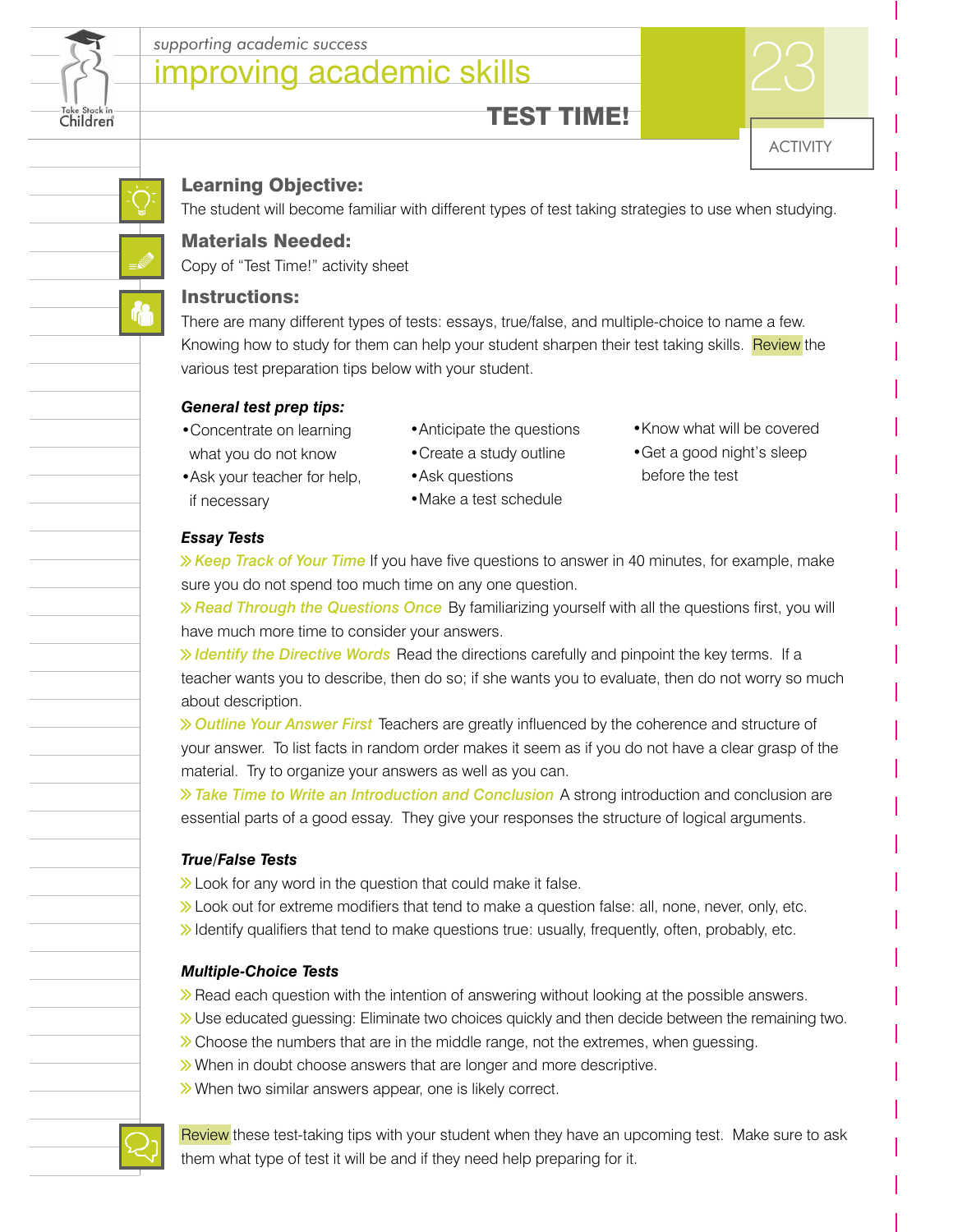

## improving academic skills *supporting academic success* **improving academic skills** 23





#### Learning Objective:

The student will become familiar with different types of test taking strategies to use when studying.

#### Materials Needed:

Copy of "Test Time!" activity sheet

#### Instructions:

There are many different types of tests: essays, true/false, and multiple-choice to name a few. Knowing how to study for them can help your student sharpen their test taking skills. Review the various test preparation tips below with your student.

#### *General test prep tips:*

- •Concentrate on learning what you do not know
- •Ask your teacher for help, if necessary
- •Anticipate the questions
- •Know what will be covered •Get a good night's sleep
- •Create a study outline •Ask questions
- •Make a test schedule before the test

*Essay Tests*

ª*Keep Track of Your Time* If you have five questions to answer in 40 minutes, for example, make sure you do not spend too much time on any one question.

ª*Read Through the Questions Once* By familiarizing yourself with all the questions first, you will have much more time to consider your answers.

ª*Identify the Directive Words* Read the directions carefully and pinpoint the key terms. If a teacher wants you to describe, then do so; if she wants you to evaluate, then do not worry so much about description.

ª*Outline Your Answer First* Teachers are greatly influenced by the coherence and structure of your answer. To list facts in random order makes it seem as if you do not have a clear grasp of the material. Try to organize your answers as well as you can.

ª*Take Time to Write an Introduction and Conclusion* A strong introduction and conclusion are essential parts of a good essay. They give your responses the structure of logical arguments.

#### *True/False Tests*

 $\gg$  Look for any word in the question that could make it false.

- → Look for any word in the question that could make it false.<br>→ Look out for extreme modifiers that tend to make a question false: all, none, never, only, etc.<br>→ Identify qualifiers that tend to make questions true: usual **Example 19 Yearth that tend to make a question false: all, none, never, only, etc.**<br> **Example 19 Yearth tend to make questions true: usually, frequently, often, probably, etc.**<br> **Probably, etc.**
- 

#### *Multiple-Choice Tests*

- $\gg$  Read each question with the intention of answering without looking at the possible answers.
- **»** Read each question with the intention of answering without looking at the possible answers.<br> **»** Use educated guessing: Eliminate two choices quickly and then decide between the remaining two.<br> **»** Choose the numbers t → Teas cash queeder minime intendent or anonomig introduces that are pecedered.<br>
→ Use educated guessing: Eliminate two choices quickly and then decide between the re<br>
→ Choose the numbers that are in the middle range, no
- $\gg$  Choose the numbers that are in the middle range, not the extremes, when guessing.  $\gg$  When in doubt choose answers that are longer and more descriptive.
- 
- >> When two similar answers appear, one is likely correct.



Review these test-taking tips with your student when they have an upcoming test. Make sure to ask them what type of test it will be and if they need help preparing for it.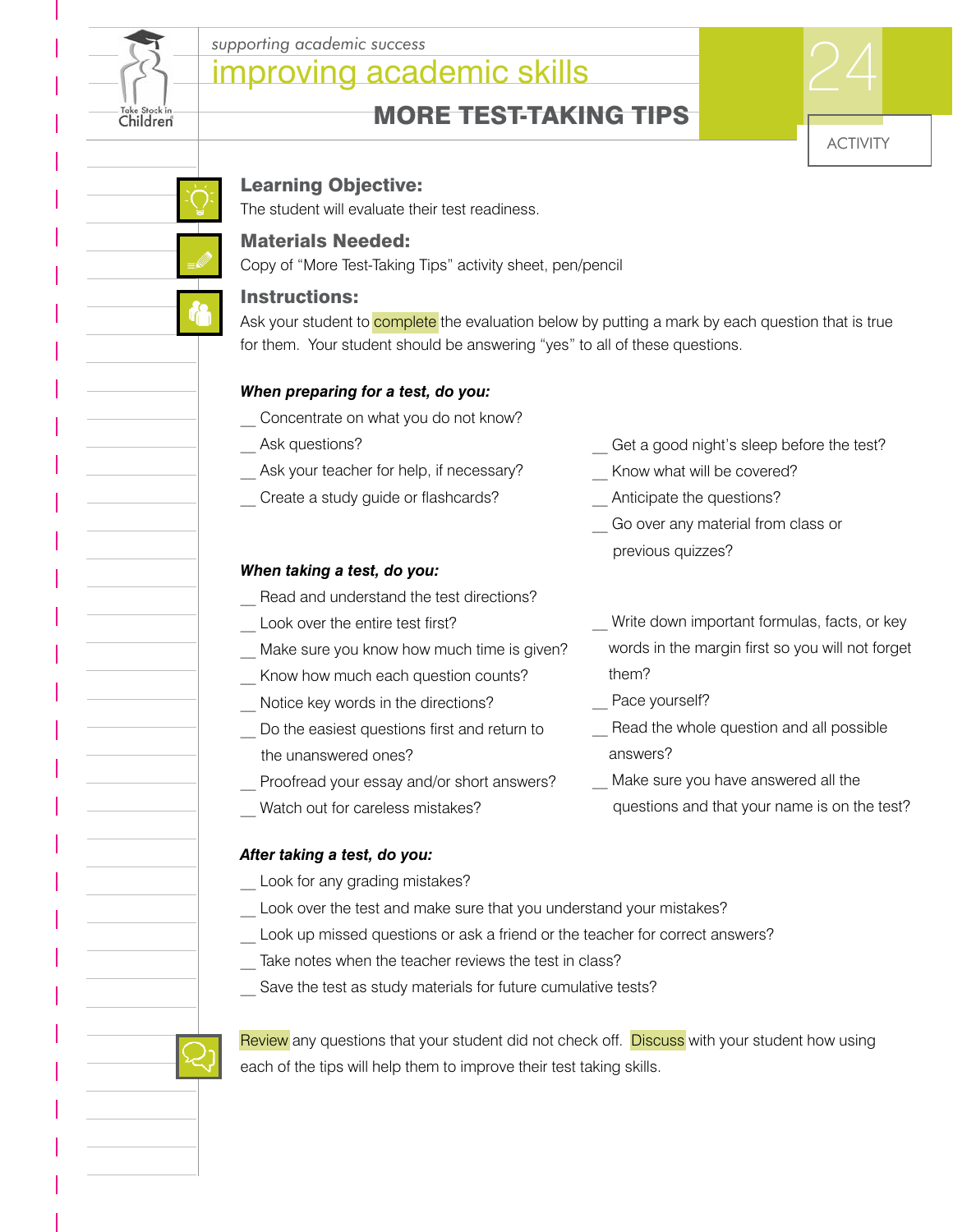

## improving academic skills *supporting academic success*<br> **improving academic skills**

## MORE TEST-TAKING TIPS



#### Learning Objective:

The student will evaluate their test readiness.

#### Materials Needed:

Copy of "More Test-Taking Tips" activity sheet, pen/pencil

#### Instructions:

Ask your student to **complete** the evaluation below by putting a mark by each question that is true for them. Your student should be answering "yes" to all of these questions.

#### *When preparing for a test, do you:*

- Concentrate on what you do not know?
- Ask questions?
- Ask your teacher for help, if necessary?
- Create a study guide or flashcards?

#### *When taking a test, do you:*

- Read and understand the test directions?
- Look over the entire test first?
- Make sure you know how much time is given?
- Know how much each question counts?
- Notice key words in the directions?
- Do the easiest questions first and return to the unanswered ones?
- Proofread your essay and/or short answers?
- Watch out for careless mistakes?
- Get a good night's sleep before the test?
- Know what will be covered?
- Anticipate the questions?
- Go over any material from class or previous quizzes?
- Write down important formulas, facts, or key words in the margin first so you will not forget them?
- Pace yourself?
- Read the whole question and all possible answers?
- Make sure you have answered all the questions and that your name is on the test?

#### *After taking a test, do you:*

- Look for any grading mistakes?
- Look over the test and make sure that you understand your mistakes?
- Look up missed questions or ask a friend or the teacher for correct answers?
- Take notes when the teacher reviews the test in class?
- Save the test as study materials for future cumulative tests?

Review any questions that your student did not check off. Discuss with your student how using each of the tips will help them to improve their test taking skills.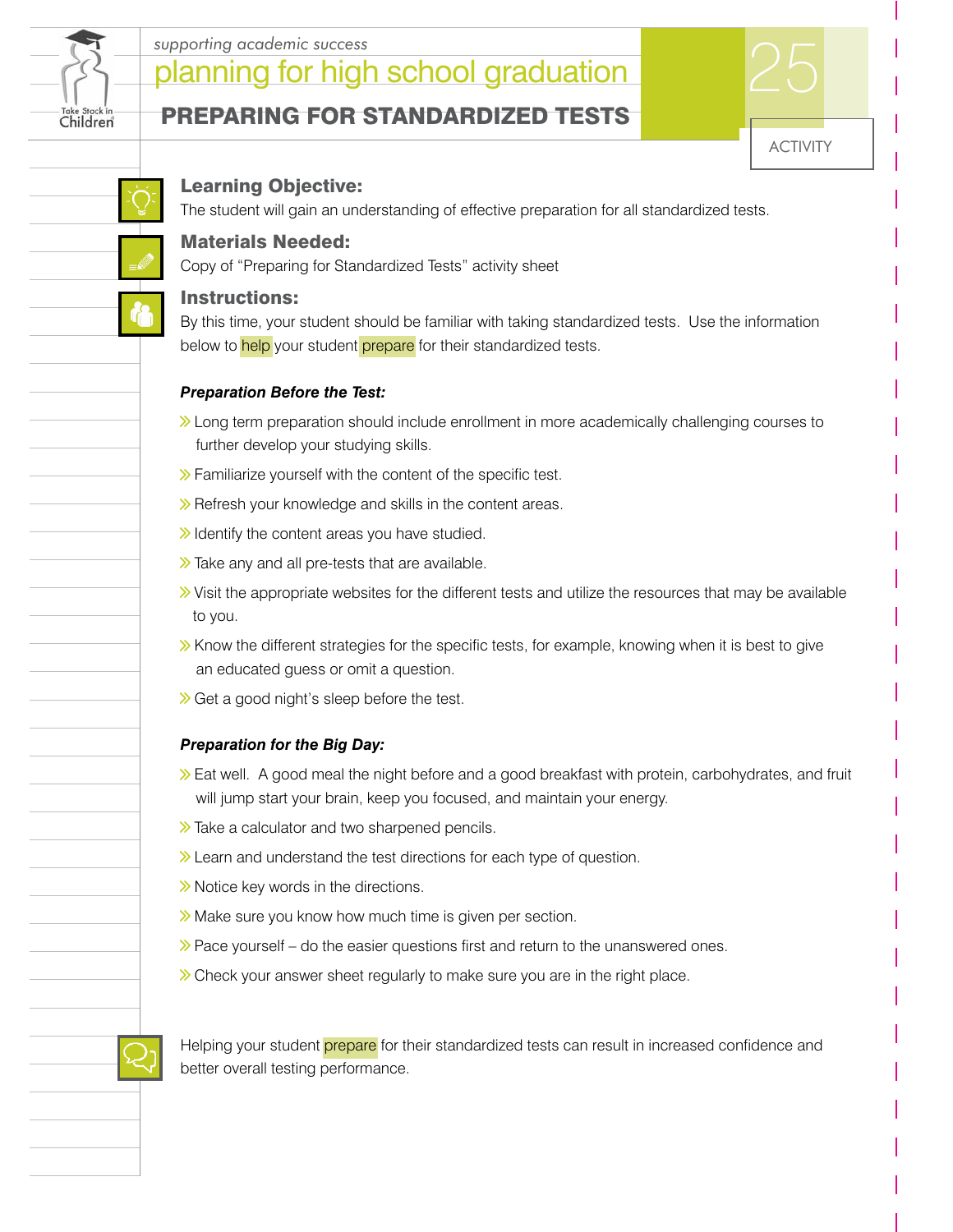

## planning for high school graduation *supporting academic success* entity and academic success  $25$

#### PREPARING FOR STANDARDIZED TESTS



ACTIVITY

#### Learning Objective:

The student will gain an understanding of effective preparation for all standardized tests.

#### Materials Needed:

Copy of "Preparing for Standardized Tests" activity sheet

#### Instructions:

By this time, your student should be familiar with taking standardized tests. Use the information below to help your student prepare for their standardized tests.

#### *Preparation Before the Test:*

- $\gg$  Long term preparation should include enrollment in more academically challenging courses to further develop your studying skills. further develop your studying skills.<br> **Examiliarize yourself with the content of the specific test.**<br> **Example your line who has a set abillatin in the sentent areas.**
- 
- > Familiarize yourself with the content of the specific test.<br>
> Refresh your knowledge and skills in the content areas.  $\gg$  Refresh your knowledge and skills in the content areas.<br> $\gg$  Identify the content areas you have studied.
- 
- $\gg$  Take any and all pre-tests that are available.
- $\gg$  Visit the appropriate websites for the different tests and utilize the resources that may be available to you.
- $\gg$  Know the different strategies for the specific tests, for example, knowing when it is best to give an educated guess or omit a question.
- $\gg$  Get a good night's sleep before the test.

#### *Preparation for the Big Day:*

- $\gg$  Eat well. A good meal the night before and a good breakfast with protein, carbohydrates, and fruit will jump start your brain, keep you focused, and maintain your energy.<br> **••** Take a calculator and two sharpened pencils.<br>
•• Learn and understand the test directions for and two of mustics.
- 
- **»** Take a calculator and two sharpened pencils.<br> **••** Learn and understand the test directions for each type of question.  $\triangleright$  Learn and understand the test dire<br> $\triangleright$  Notice key words in the directions.
- 
- $\gg$  Notice key words in the directions.<br> $\gg$  Make sure you know how much time is given per section.
- $\gg$  Make sure you know how much time is given per section.<br> $\gg$  Pace yourself do the easier questions first and return to the unanswered ones.  $\gg$  Pace yourself – do the easier questions first and return to the unanswered  $\gg$  Check your answer sheet regularly to make sure you are in the right place.
- 

Helping your student **prepare** for their standardized tests can result in increased confidence and better overall testing performance.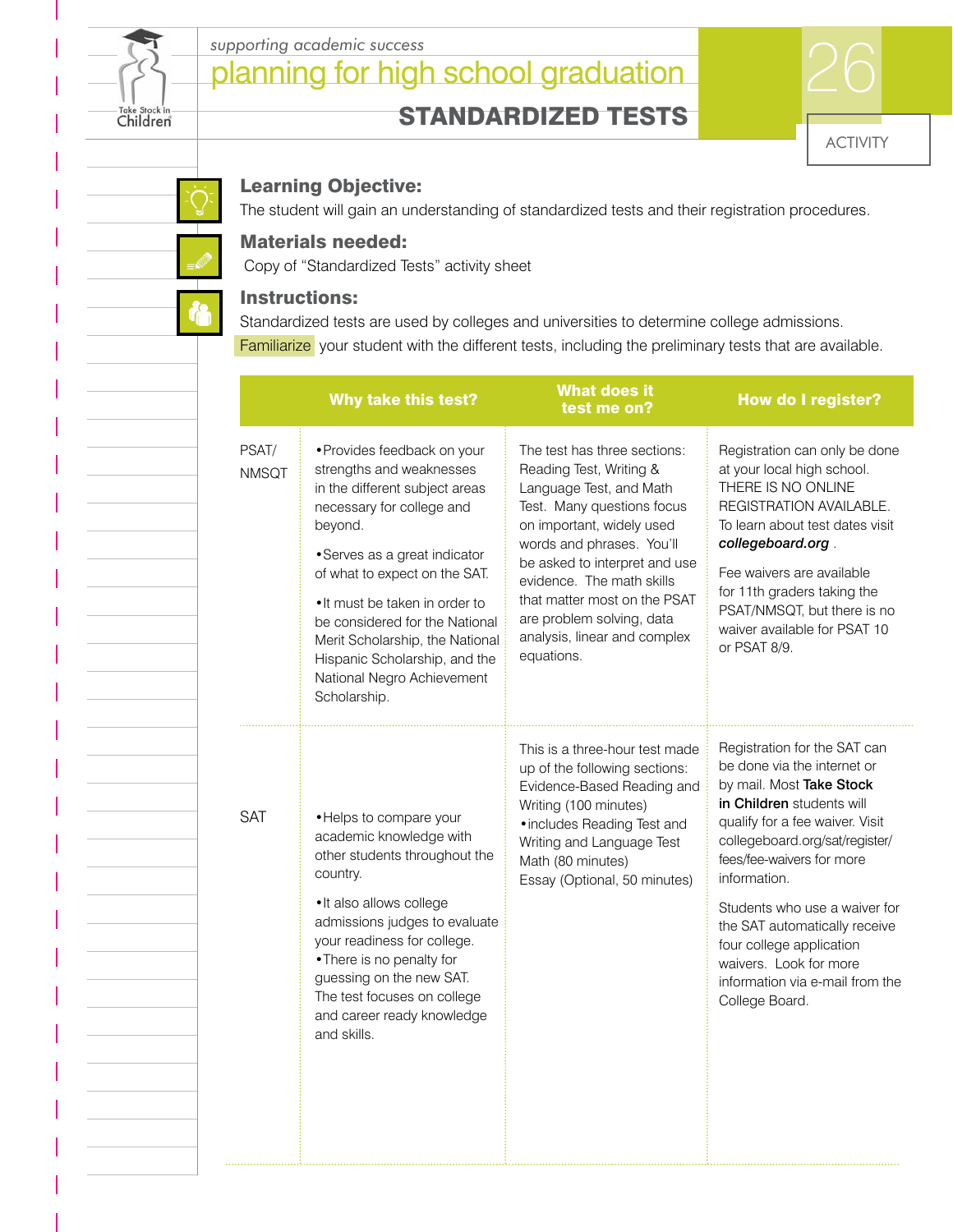

Take Stock in

planning for high school graduation *supporting academic success* **planning for high school graduation** 

STANDARDIZED TESTS

| <b>ACTIVITY</b> |  |
|-----------------|--|

#### Learning Objective:

The student will gain an understanding of standardized tests and their registration procedures.

#### Materials needed:

Copy of "Standardized Tests" activity sheet

#### Instructions:

Standardized tests are used by colleges and universities to determine college admissions. Familiarize your student with the different tests, including the preliminary tests that are available.

|                       | <b>Why take this test?</b>                                                                                                                                                                                                                                                                                                                                                                | <b>What does it</b><br>test me on?                                                                                                                                                                                                                                                                                                                  | <b>How do I register?</b>                                                                                                                                                                                                                                                                                                                                                                                           |
|-----------------------|-------------------------------------------------------------------------------------------------------------------------------------------------------------------------------------------------------------------------------------------------------------------------------------------------------------------------------------------------------------------------------------------|-----------------------------------------------------------------------------------------------------------------------------------------------------------------------------------------------------------------------------------------------------------------------------------------------------------------------------------------------------|---------------------------------------------------------------------------------------------------------------------------------------------------------------------------------------------------------------------------------------------------------------------------------------------------------------------------------------------------------------------------------------------------------------------|
| PSAT/<br><b>NMSQT</b> | • Provides feedback on your<br>strengths and weaknesses<br>in the different subject areas<br>necessary for college and<br>beyond.<br>• Serves as a great indicator<br>of what to expect on the SAT.<br>• It must be taken in order to<br>be considered for the National<br>Merit Scholarship, the National<br>Hispanic Scholarship, and the<br>National Negro Achievement<br>Scholarship. | The test has three sections:<br>Reading Test, Writing &<br>Language Test, and Math<br>Test. Many questions focus<br>on important, widely used<br>words and phrases. You'll<br>be asked to interpret and use<br>evidence. The math skills<br>that matter most on the PSAT<br>are problem solving, data<br>analysis, linear and complex<br>equations. | Registration can only be done<br>at your local high school.<br>THERE IS NO ONLINE<br>REGISTRATION AVAILABLE.<br>To learn about test dates visit<br>collegeboard.org.<br>Fee waivers are available<br>for 11th graders taking the<br>PSAT/NMSQT, but there is no<br>waiver available for PSAT 10<br>or PSAT 8/9.                                                                                                     |
| <b>SAT</b>            | • Helps to compare your<br>academic knowledge with<br>other students throughout the<br>country.<br>• It also allows college<br>admissions judges to evaluate<br>your readiness for college.<br>• There is no penalty for<br>guessing on the new SAT.<br>The test focuses on college<br>and career ready knowledge<br>and skills.                                                          | This is a three-hour test made<br>up of the following sections:<br>Evidence-Based Reading and<br>Writing (100 minutes)<br>• includes Reading Test and<br>Writing and Language Test<br>Math (80 minutes)<br>Essay (Optional, 50 minutes)                                                                                                             | Registration for the SAT can<br>be done via the internet or<br>by mail. Most Take Stock<br>in Children students will<br>qualify for a fee waiver. Visit<br>collegeboard.org/sat/register/<br>fees/fee-waivers for more<br>information.<br>Students who use a waiver for<br>the SAT automatically receive<br>four college application<br>waivers. Look for more<br>information via e-mail from the<br>College Board. |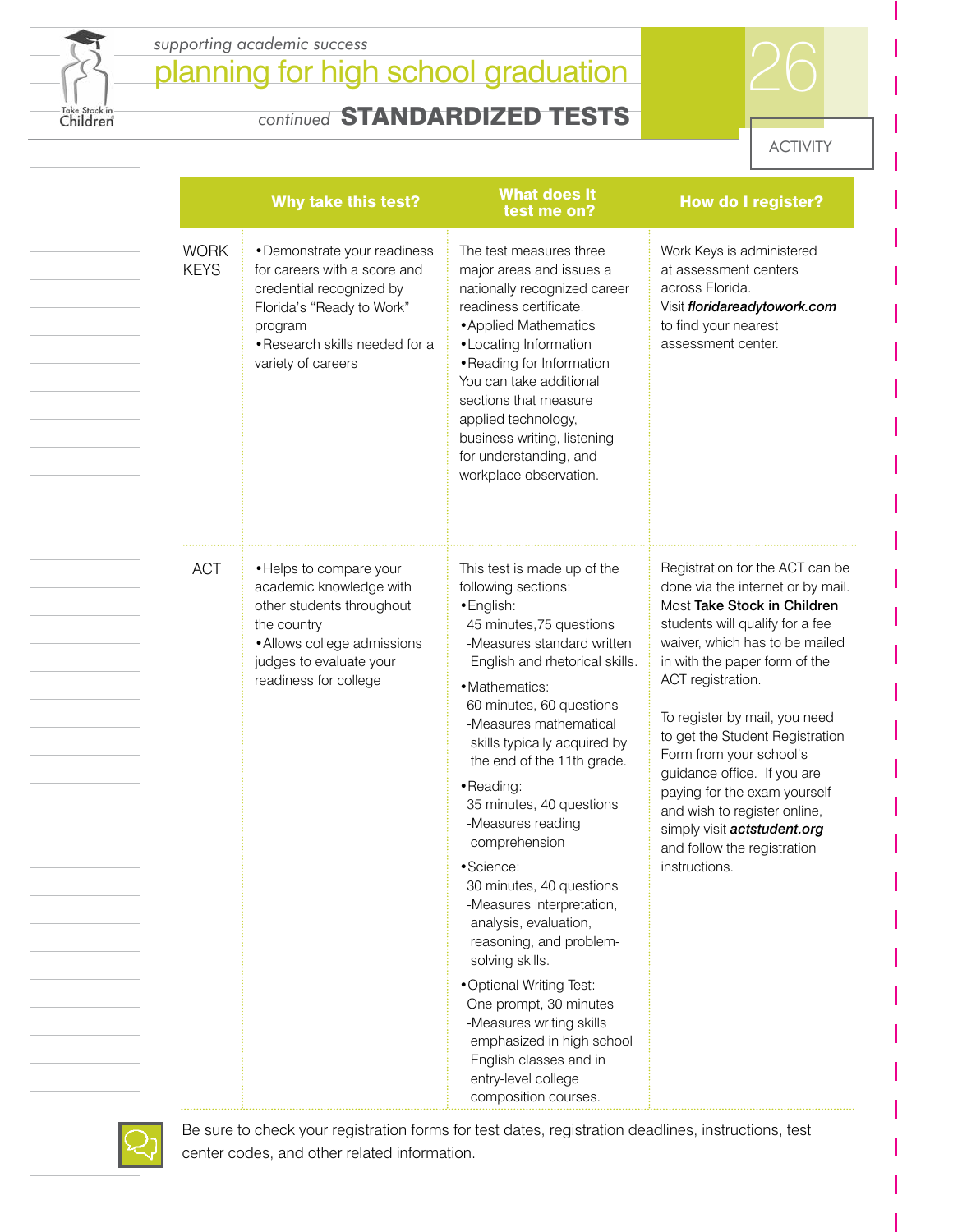

## planning for high school graduation *supporting academic success* entity and academic success  $26$

#### *continued* STANDARDIZED TESTS



|                            | <b>Why take this test?</b>                                                                                                                                                              | <b>What does it</b><br>test me on?                                                                                                                                                                                                                                                                                                                                                                                                                                                                                                                                                                                                                                                                                     | <b>How do I register?</b>                                                                                                                                                                                                                                                                                                                                                                                                                                                                                   |
|----------------------------|-----------------------------------------------------------------------------------------------------------------------------------------------------------------------------------------|------------------------------------------------------------------------------------------------------------------------------------------------------------------------------------------------------------------------------------------------------------------------------------------------------------------------------------------------------------------------------------------------------------------------------------------------------------------------------------------------------------------------------------------------------------------------------------------------------------------------------------------------------------------------------------------------------------------------|-------------------------------------------------------------------------------------------------------------------------------------------------------------------------------------------------------------------------------------------------------------------------------------------------------------------------------------------------------------------------------------------------------------------------------------------------------------------------------------------------------------|
| <b>WORK</b><br><b>KEYS</b> | •Demonstrate your readiness<br>for careers with a score and<br>credential recognized by<br>Florida's "Ready to Work"<br>program<br>• Research skills needed for a<br>variety of careers | The test measures three<br>major areas and issues a<br>nationally recognized career<br>readiness certificate.<br>• Applied Mathematics<br>• Locating Information<br>• Reading for Information<br>You can take additional<br>sections that measure<br>applied technology,<br>business writing, listening<br>for understanding, and<br>workplace observation.                                                                                                                                                                                                                                                                                                                                                            | Work Keys is administered<br>at assessment centers<br>across Florida.<br>Visit floridareadytowork.com<br>to find your nearest<br>assessment center.                                                                                                                                                                                                                                                                                                                                                         |
| <b>ACT</b>                 | • Helps to compare your<br>academic knowledge with<br>other students throughout<br>the country<br>• Allows college admissions<br>judges to evaluate your<br>readiness for college       | This test is made up of the<br>following sections:<br>· English:<br>45 minutes, 75 questions<br>-Measures standard written<br>English and rhetorical skills.<br>• Mathematics:<br>60 minutes, 60 questions<br>-Measures mathematical<br>skills typically acquired by<br>the end of the 11th grade.<br>·Reading:<br>35 minutes, 40 questions<br>-Measures reading<br>comprehension<br>·Science:<br>30 minutes, 40 questions<br>-Measures interpretation,<br>analysis, evaluation,<br>reasoning, and problem-<br>solving skills.<br>• Optional Writing Test:<br>One prompt, 30 minutes<br>-Measures writing skills<br>emphasized in high school<br>English classes and in<br>entry-level college<br>composition courses. | Registration for the ACT can be<br>done via the internet or by mail.<br>Most Take Stock in Children<br>students will qualify for a fee<br>waiver, which has to be mailed<br>in with the paper form of the<br>ACT registration.<br>To register by mail, you need<br>to get the Student Registration<br>Form from your school's<br>guidance office. If you are<br>paying for the exam yourself<br>and wish to register online,<br>simply visit actstudent.org<br>and follow the registration<br>instructions. |



Be sure to check your registration forms for test dates, registration deadlines, instructions, test center codes, and other related information.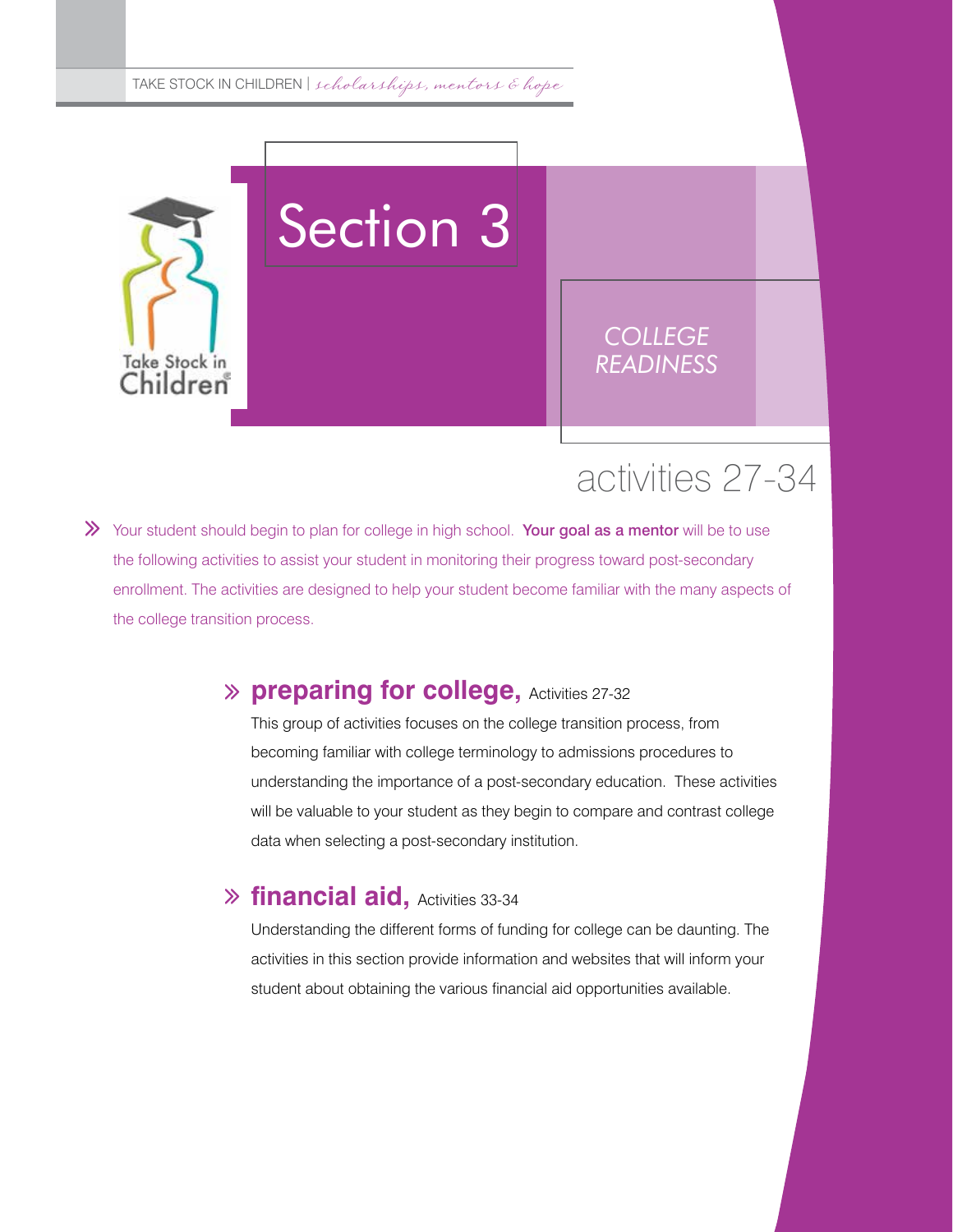

## activities 27-34

ª Your student should begin to plan for college in high school. Your goal as a mentor will be to use the following activities to assist your student in monitoring their progress toward post-secondary enrollment. The activities are designed to help your student become familiar with the many aspects of the college transition process.

## **preparing for college, Activities 27-32** ª

This group of activities focuses on the college transition process, from becoming familiar with college terminology to admissions procedures to understanding the importance of a post-secondary education. These activities will be valuable to your student as they begin to compare and contrast college data when selecting a post-secondary institution.

## **financial aid,** Activities 33-34 ª

Understanding the different forms of funding for college can be daunting. The activities in this section provide information and websites that will inform your student about obtaining the various financial aid opportunities available.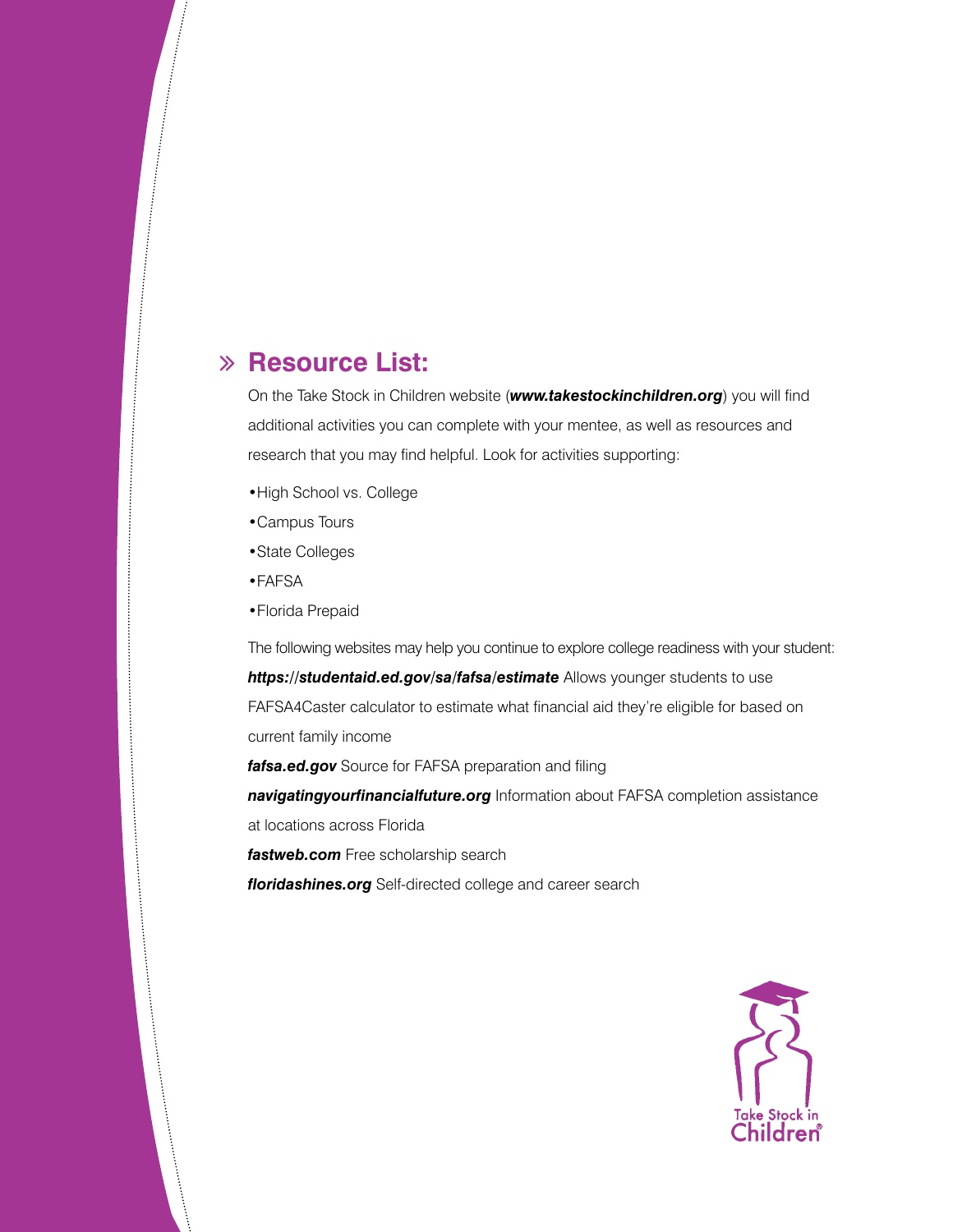## **Resource List:** ª

On the Take Stock in Children website (*www.takestockinchildren.org*) you will find additional activities you can complete with your mentee, as well as resources and research that you may find helpful. Look for activities supporting:

- •High School vs. College
- •Campus Tours
- •State Colleges
- •FAFSA

•Florida Prepaid

The following websites may help you continue to explore college readiness with your student: *https://studentaid.ed.gov/sa/fafsa/estimate* Allows younger students to use FAFSA4Caster calculator to estimate what financial aid they're eligible for based on current family income

**fafsa.ed.gov** Source for FAFSA preparation and filing

*navigatingyourfinancialfuture.org* Information about FAFSA completion assistance at locations across Florida

**fastweb.com** Free scholarship search

*floridashines.org* Self-directed college and career search

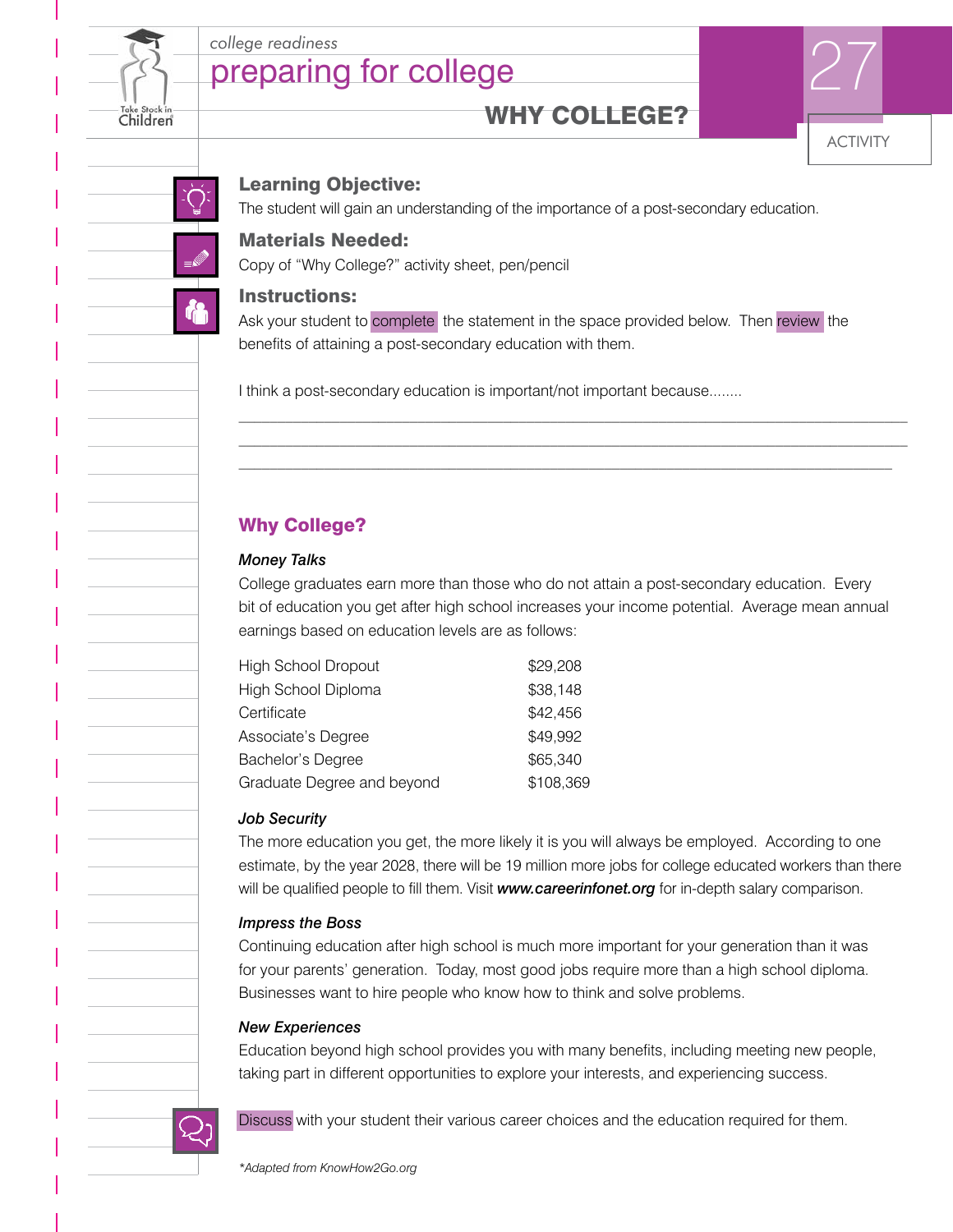

# preparing for college 27 *college readiness*

WHY COLLEGE?



#### Learning Objective:

The student will gain an understanding of the importance of a post-secondary education.

#### Materials Needed:

Copy of "Why College?" activity sheet, pen/pencil

#### Instructions:

Ask your student to complete the statement in the space provided below. Then review the benefits of attaining a post-secondary education with them.

I think a post-secondary education is important/not important because........

#### Why College?

#### *Money Talks*

College graduates earn more than those who do not attain a post-secondary education. Every bit of education you get after high school increases your income potential. Average mean annual earnings based on education levels are as follows:

| <b>High School Dropout</b> | \$29,208  |
|----------------------------|-----------|
| High School Diploma        | \$38,148  |
| Certificate                | \$42,456  |
| Associate's Degree         | \$49,992  |
| Bachelor's Degree          | \$65,340  |
| Graduate Degree and beyond | \$108,369 |

#### *Job Security*

The more education you get, the more likely it is you will always be employed. According to one estimate, by the year 2028, there will be 19 million more jobs for college educated workers than there will be qualified people to fill them. Visit *www.careerinfonet.org* for in-depth salary comparison.

#### *Impress the Boss*

Continuing education after high school is much more important for your generation than it was for your parents' generation. Today, most good jobs require more than a high school diploma. Businesses want to hire people who know how to think and solve problems.

#### *New Experiences*

Education beyond high school provides you with many benefits, including meeting new people, taking part in different opportunities to explore your interests, and experiencing success.



Discuss with your student their various career choices and the education required for them.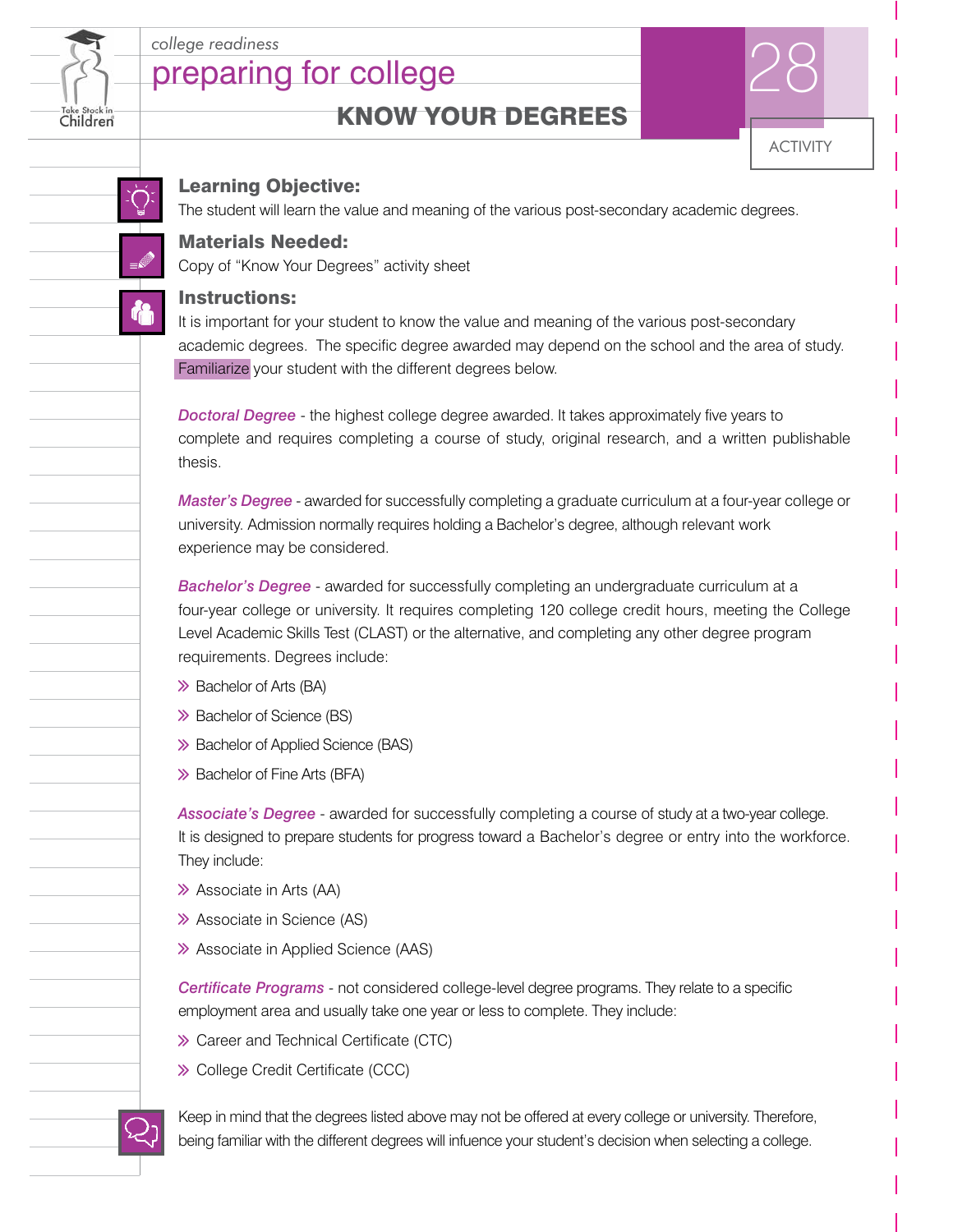

# preparing for college 28 *college readiness*

### KNOW YOUR DEGREES



#### Learning Objective:

The student will learn the value and meaning of the various post-secondary academic degrees.

#### Materials Needed:

Copy of "Know Your Degrees" activity sheet

#### Instructions:

It is important for your student to know the value and meaning of the various post-secondary academic degrees. The specific degree awarded may depend on the school and the area of study. Familiarize your student with the different degrees below.

*Doctoral Degree* - the highest college degree awarded. It takes approximately five years to complete and requires completing a course of study, original research, and a written publishable thesis.

*Master's Degree* - awarded for successfully completing a graduate curriculum at a four-year college or university. Admission normally requires holding a Bachelor's degree, although relevant work experience may be considered.

*Bachelor's Degree* - awarded for successfully completing an undergraduate curriculum at a four-year college or university. It requires completing 120 college credit hours, meeting the College Level Academic Skills Test (CLAST) or the alternative, and completing any other degree program requirements. Degrees include:<br>
<del>»</del> Bachelor of Arts (BA)<br>
» Bachelar of Seisnes (BS)

- 
- $\gg$  Bachelor of Arts (BA)<br> $\gg$  Bachelor of Science (BS)
- ≫ Bachelor of Science (BS)<br>≫ Bachelor of Applied Science (BAS)<br>≫ Bachelar of Fine Ada (BEA) » Bachelor of Applied Scienc<br>» Bachelor of Fine Arts (BFA)
- 

*Associate's Degree* - awarded for successfully completing a course of study at a two-year college. It is designed to prepare students for progress toward a Bachelor's degree or entry into the workforce. They include:

- $\gg$  Associate in Arts (AA)
- $\gg$  Associate in Science (AS)
- >> Associate in Applied Science (AAS)

*Certificate Programs* - not considered college-level degree programs. They relate to a specific employment area and usually take one year or less to complete. They include:<br>
• Career and Technical Certificate (CTC)<br>
• Cellage Cradit Certificate (CCC)

- ≫ Career and Technical Certificate (CTC)<br>≫ College Credit Certificate (CCC)
- 

Keep in mind that the degrees listed above may not be offered at every college or university. Therefore, being familiar with the different degrees will infuence your student's decision when selecting a college.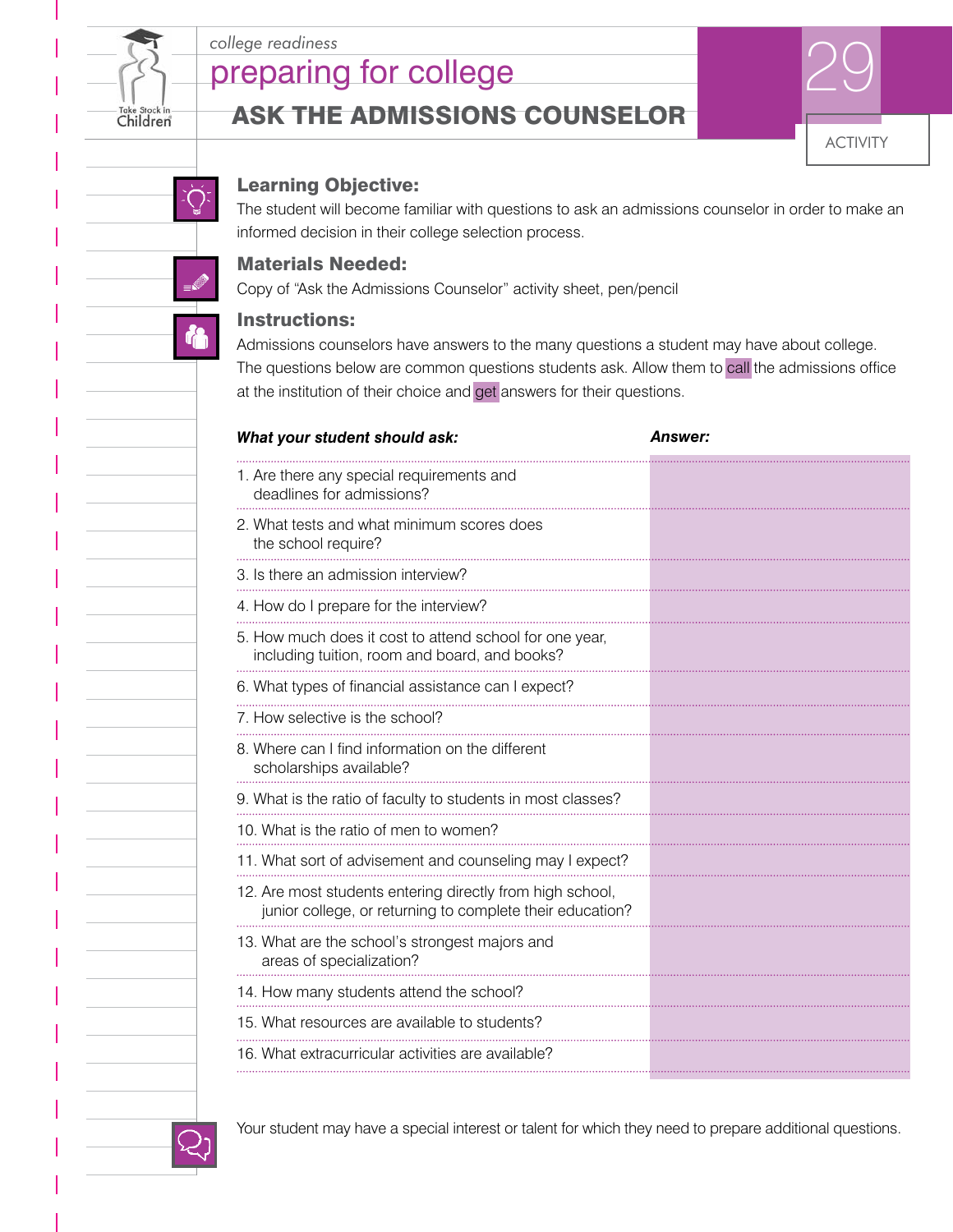

Children

## preparing for college *college readiness*<br> **preparing for college**

## ASK THE ADMISSIONS COUNSELOR



#### Learning Objective:

The student will become familiar with questions to ask an admissions counselor in order to make an informed decision in their college selection process.

#### Materials Needed:

Copy of "Ask the Admissions Counselor" activity sheet, pen/pencil

#### Instructions:

Admissions counselors have answers to the many questions a student may have about college. The questions below are common questions students ask. Allow them to call the admissions office at the institution of their choice and get answers for their questions.

| What your student should ask:                                                                                          | <b>Answer:</b> |
|------------------------------------------------------------------------------------------------------------------------|----------------|
| 1. Are there any special requirements and<br>deadlines for admissions?                                                 |                |
| 2. What tests and what minimum scores does<br>the school require?                                                      |                |
| 3. Is there an admission interview?                                                                                    |                |
| 4. How do I prepare for the interview?                                                                                 |                |
| 5. How much does it cost to attend school for one year,<br>including tuition, room and board, and books?               |                |
| 6. What types of financial assistance can I expect?                                                                    |                |
| 7. How selective is the school?                                                                                        |                |
| 8. Where can I find information on the different<br>scholarships available?                                            |                |
| 9. What is the ratio of faculty to students in most classes?                                                           |                |
| 10. What is the ratio of men to women?                                                                                 |                |
| 11. What sort of advisement and counseling may I expect?                                                               |                |
| 12. Are most students entering directly from high school,<br>junior college, or returning to complete their education? |                |
| 13. What are the school's strongest majors and<br>areas of specialization?                                             |                |
| 14. How many students attend the school?                                                                               |                |
| 15. What resources are available to students?                                                                          |                |
| 16. What extracurricular activities are available?                                                                     |                |



Your student may have a special interest or talent for which they need to prepare additional questions.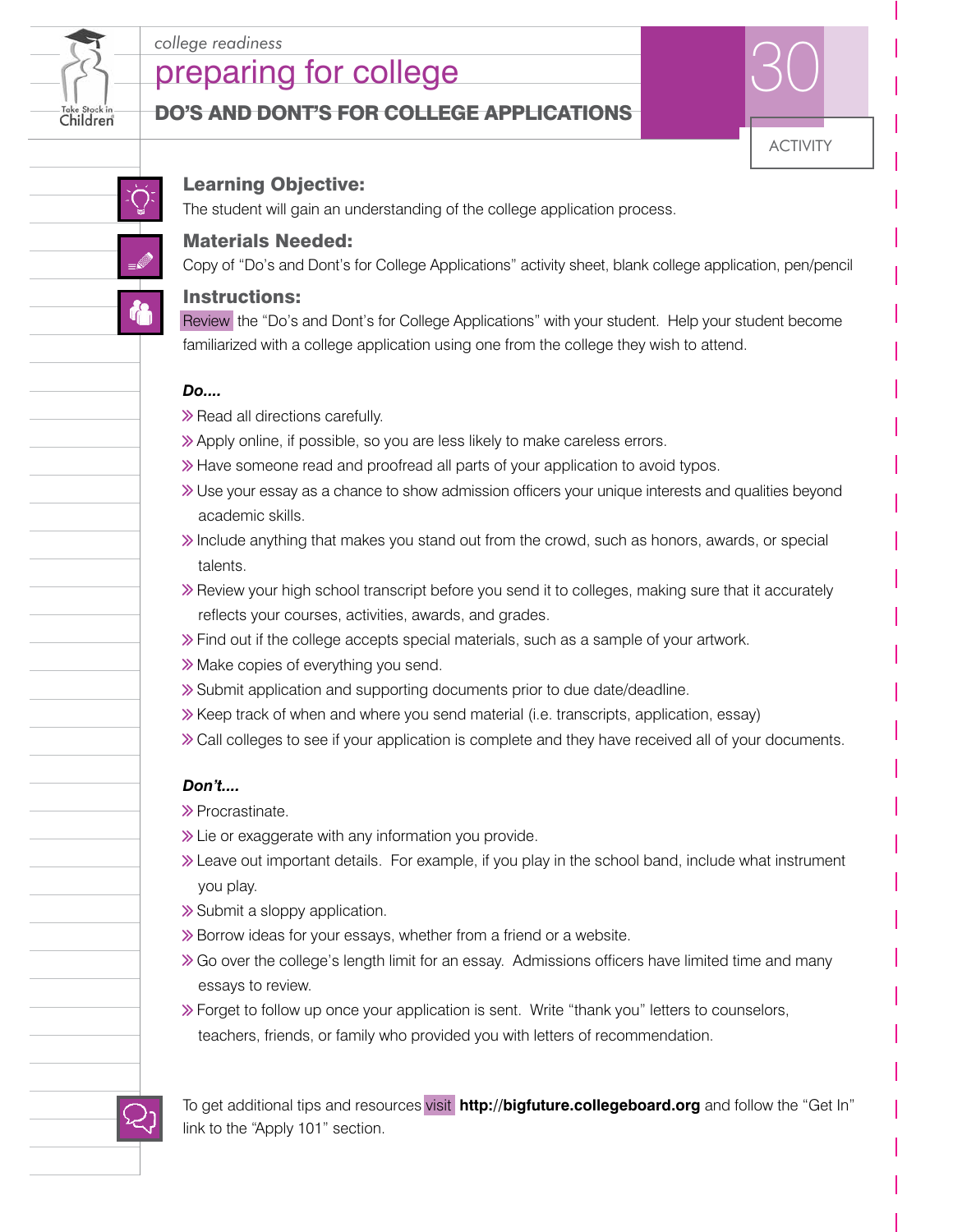

## preparing for college *college readiness*<br> **preparing for college**

#### DO'S AND DONT'S FOR COLLEGE APPLICATIONS



#### Learning Objective:

The student will gain an understanding of the college application process.

#### Materials Needed:

Copy of "Do's and Dont's for College Applications" activity sheet, blank college application, pen/pencil

#### Instructions:

Review the "Do's and Dont's for College Applications" with your student. Help your student become familiarized with a college application using one from the college they wish to attend.

#### *Do....*

 $\gg$  Read all directions carefully.

- $\gg$  Apply online, if possible, so you are less likely to make careless errors.
- >> Have someone read and proofread all parts of your application to avoid typos.
- ªUse your essay as a chance to show admission officers your unique interests and qualities beyond academic skills.
- $\gg$  Include anything that makes you stand out from the crowd, such as honors, awards, or special talents.
- ªReview your high school transcript before you send it to colleges, making sure that it accurately reflects your courses, activities, awards, and grades. reflects your courses, activities, awards, and grades.<br>
> Find out if the college accepts special materials, such as a sample of your artwork.<br>
> Make copies of everything you send
- $\gg$  Find out if the college accepts specials  $\gg$  Make copies of everything you send.
- 
- ighthake copies of everything you send.<br>
Submit application and supporting documents prior to due date/deadline.
- $\gg$  Keep track of when and where you send material (i.e. transcripts, application, essay)
- » Call colleges to see if your application is complete and they have received all of your documents.

#### *Don't....*

>> Procrastinate.

- $\gg$  Lie or exaggerate with any information you provide.
- $\gg$  Leave out important details. For example, if you play in the school band, include what instrument you play.
- $\gg$  Submit a sloppy application.
- $\gg$  Borrow ideas for your essays, whether from a friend or a website.
- $\gg$  Go over the college's length limit for an essay. Admissions officers have limited time and many essays to review.
- ªForget to follow up once your application is sent. Write "thank you" letters to counselors, teachers, friends, or family who provided you with letters of recommendation.

To get additional tips and resources visit **http://bigfuture.collegeboard.org** and follow the "Get In" link to the "Apply 101" section.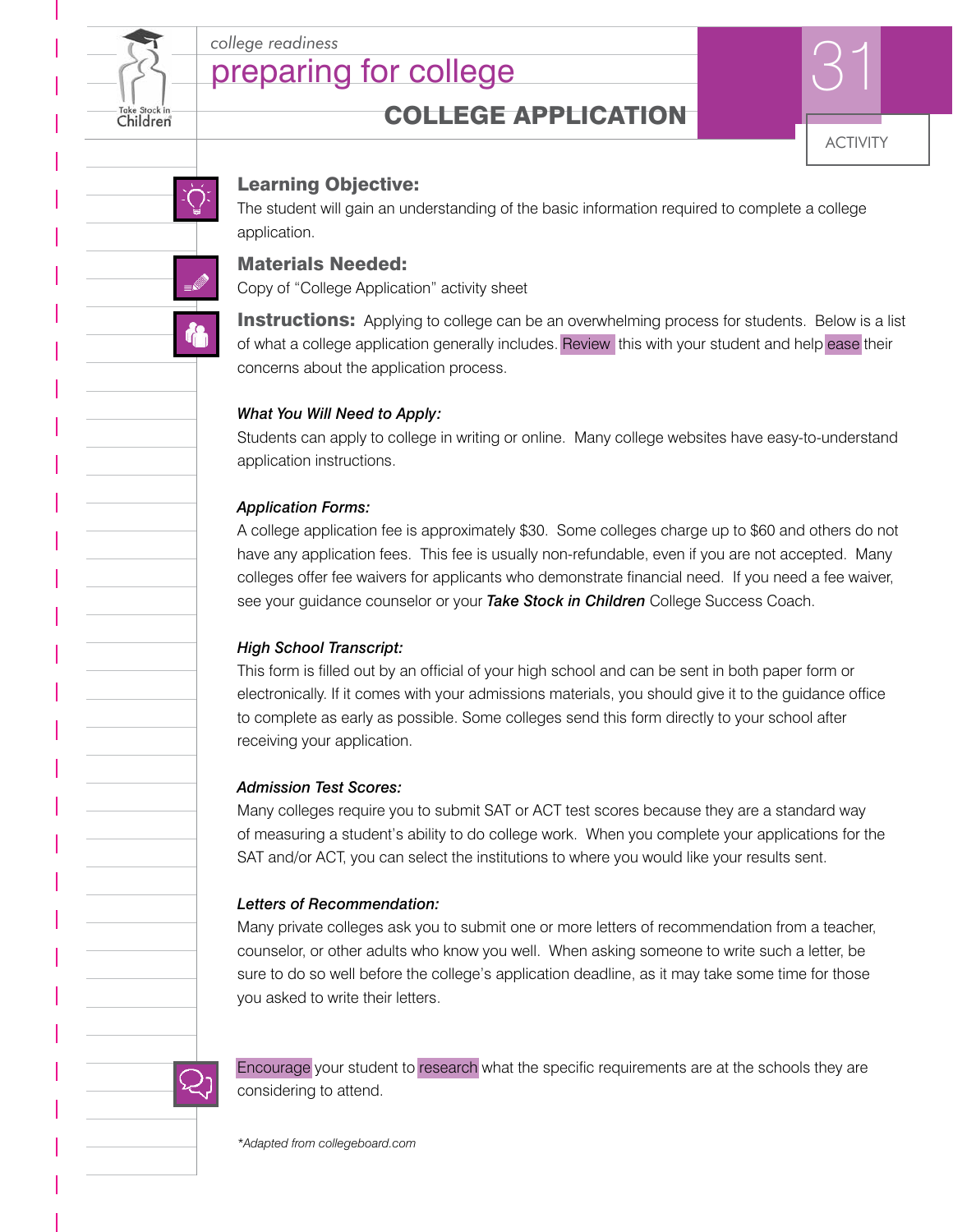

## preparing for college *college readiness*<br> **preparing for college**

COLLEGE APPLICATION

# ACTIVITY

#### Learning Objective:

The student will gain an understanding of the basic information required to complete a college application.

#### Materials Needed:

Copy of "College Application" activity sheet

**Instructions:** Applying to college can be an overwhelming process for students. Below is a list of what a college application generally includes. Review this with your student and help ease their concerns about the application process.

#### *What You Will Need to Apply:*

Students can apply to college in writing or online. Many college websites have easy-to-understand application instructions.

#### *Application Forms:*

A college application fee is approximately \$30. Some colleges charge up to \$60 and others do not have any application fees. This fee is usually non-refundable, even if you are not accepted. Many colleges offer fee waivers for applicants who demonstrate financial need. If you need a fee waiver, see your guidance counselor or your *Take Stock in Children* College Success Coach.

#### *High School Transcript:*

This form is filled out by an official of your high school and can be sent in both paper form or electronically. If it comes with your admissions materials, you should give it to the guidance office to complete as early as possible. Some colleges send this form directly to your school after receiving your application.

#### *Admission Test Scores:*

Many colleges require you to submit SAT or ACT test scores because they are a standard way of measuring a student's ability to do college work. When you complete your applications for the SAT and/or ACT, you can select the institutions to where you would like your results sent.

#### *Letters of Recommendation:*

Many private colleges ask you to submit one or more letters of recommendation from a teacher, counselor, or other adults who know you well. When asking someone to write such a letter, be sure to do so well before the college's application deadline, as it may take some time for those you asked to write their letters.



Encourage your student to research what the specific requirements are at the schools they are considering to attend.

*\*Adapted from collegeboard.com*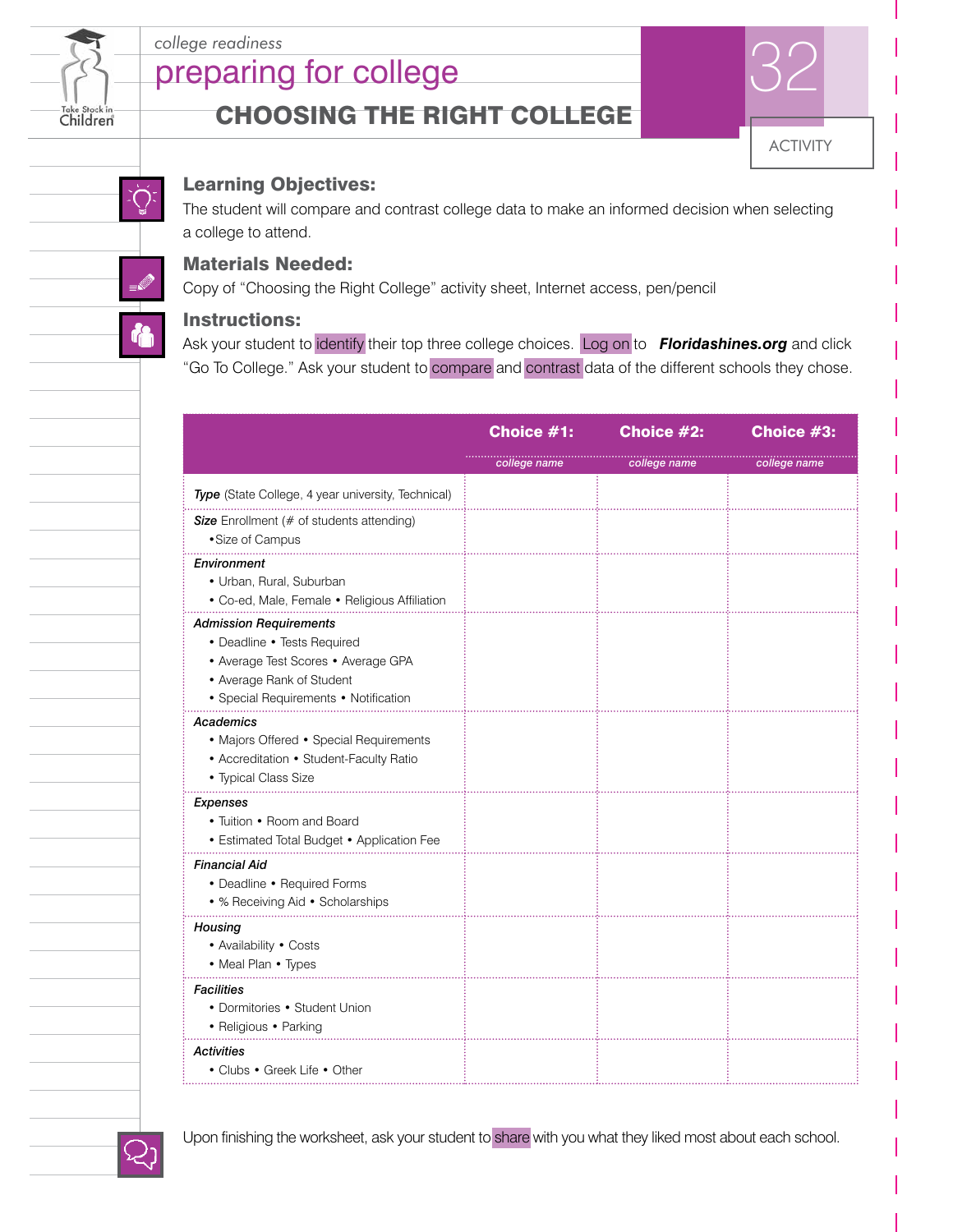

## preparing for college *college readiness*<br> **preparing for college**

### CHOOSING THE RIGHT COLLEGE



#### Learning Objectives:

The student will compare and contrast college data to make an informed decision when selecting a college to attend.

#### Materials Needed:

Copy of "Choosing the Right College" activity sheet, Internet access, pen/pencil

#### Instructions:

Ask your student to identify their top three college choices. Log on to **Floridashines.org** and click "Go To College." Ask your student to compare and contrast data of the different schools they chose.

|                                                                                                                                                                           | Choice #1:   | Choice #2:   | Choice #3:   |
|---------------------------------------------------------------------------------------------------------------------------------------------------------------------------|--------------|--------------|--------------|
|                                                                                                                                                                           | college name | college name | college name |
| Type (State College, 4 year university, Technical)                                                                                                                        |              |              |              |
| <b>Size</b> Enrollment (# of students attending)<br>· Size of Campus                                                                                                      |              |              |              |
| Environment<br>• Urban, Rural, Suburban<br>· Co-ed, Male, Female · Religious Affiliation                                                                                  |              |              |              |
| <b>Admission Requirements</b><br>• Deadline • Tests Required<br>• Average Test Scores • Average GPA<br>• Average Rank of Student<br>• Special Requirements • Notification |              |              |              |
| Academics<br>• Majors Offered • Special Requirements<br>• Accreditation • Student-Faculty Ratio<br>• Typical Class Size                                                   |              |              |              |
| Expenses<br>• Tuition • Room and Board<br>• Estimated Total Budget • Application Fee                                                                                      |              |              |              |
| <b>Financial Aid</b><br>• Deadline • Required Forms<br>• % Receiving Aid • Scholarships                                                                                   |              |              |              |
| Housing<br>• Availability • Costs<br>• Meal Plan • Types                                                                                                                  |              |              |              |
| <b>Facilities</b><br>• Dormitories • Student Union<br>• Religious • Parking                                                                                               |              |              |              |
| <b>Activities</b><br>• Clubs • Greek Life • Other                                                                                                                         |              |              |              |



Upon finishing the worksheet, ask your student to share with you what they liked most about each school.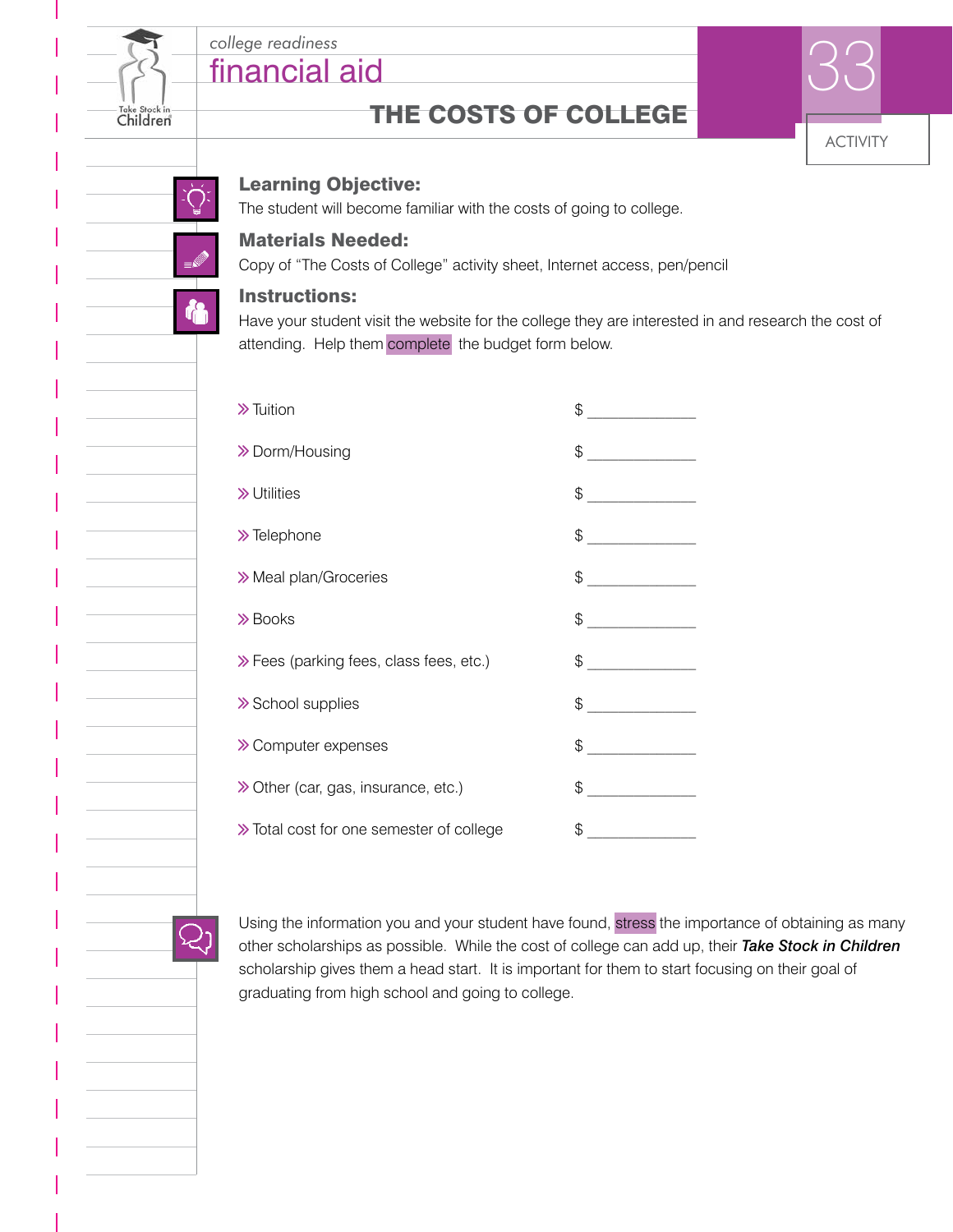

financial aid

# Children

## THE COSTS OF COLLEGE



#### Learning Objective:

The student will become familiar with the costs of going to college.

#### Materials Needed:

Copy of "The Costs of College" activity sheet, Internet access, pen/pencil

#### Instructions:

Have your student visit the website for the college they are interested in and research the cost of attending. Help them complete the budget form below.

| $\gg$ Tuition                             | $\begin{array}{c c} \updownarrow & \downarrow \\ \downarrow & \downarrow \\ \downarrow & \downarrow \\ \downarrow & \downarrow \\ \downarrow & \downarrow \\ \downarrow & \downarrow \\ \downarrow & \downarrow \\ \downarrow & \downarrow \\ \downarrow & \downarrow \\ \downarrow & \downarrow \\ \downarrow & \downarrow \\ \downarrow & \downarrow \\ \downarrow & \downarrow \\ \downarrow & \downarrow \\ \downarrow & \downarrow \\ \downarrow & \downarrow \\ \downarrow & \downarrow \\ \downarrow & \downarrow \\ \downarrow & \downarrow \\ \downarrow & \downarrow \\ \downarrow & \downarrow \\ \downarrow & \downarrow \\ \downarrow & \downarrow \\ \downarrow & \downarrow \\ \downarrow & \downarrow \\ \downarrow & \downarrow \\ \down$ |
|-------------------------------------------|------------------------------------------------------------------------------------------------------------------------------------------------------------------------------------------------------------------------------------------------------------------------------------------------------------------------------------------------------------------------------------------------------------------------------------------------------------------------------------------------------------------------------------------------------------------------------------------------------------------------------------------------------------------------------------------------------------------------------------------------------------|
| >> Dorm/Housing                           | $\begin{picture}(20,20) \put(0,0){\line(1,0){100}} \put(15,0){\line(1,0){100}} \put(15,0){\line(1,0){100}} \put(15,0){\line(1,0){100}} \put(15,0){\line(1,0){100}} \put(15,0){\line(1,0){100}} \put(15,0){\line(1,0){100}} \put(15,0){\line(1,0){100}} \put(15,0){\line(1,0){100}} \put(15,0){\line(1,0){100}} \put(15,0){\line(1,0){100}} \$                                                                                                                                                                                                                                                                                                                                                                                                              |
| > Utilities                               | $\begin{picture}(20,20) \put(0,0){\line(1,0){100}} \put(15,0){\line(1,0){100}} \put(15,0){\line(1,0){100}} \put(15,0){\line(1,0){100}} \put(15,0){\line(1,0){100}} \put(15,0){\line(1,0){100}} \put(15,0){\line(1,0){100}} \put(15,0){\line(1,0){100}} \put(15,0){\line(1,0){100}} \put(15,0){\line(1,0){100}} \put(15,0){\line(1,0){100}} \$                                                                                                                                                                                                                                                                                                                                                                                                              |
| >> Telephone                              | $\begin{picture}(20,20) \put(0,0){\line(1,0){100}} \put(15,0){\line(1,0){100}} \put(15,0){\line(1,0){100}} \put(15,0){\line(1,0){100}} \put(15,0){\line(1,0){100}} \put(15,0){\line(1,0){100}} \put(15,0){\line(1,0){100}} \put(15,0){\line(1,0){100}} \put(15,0){\line(1,0){100}} \put(15,0){\line(1,0){100}} \put(15,0){\line(1,0){100}} \$                                                                                                                                                                                                                                                                                                                                                                                                              |
| > Meal plan/Groceries                     | $\begin{array}{c c} \updownarrow & \downarrow \\ \downarrow & \downarrow \\ \downarrow & \downarrow \\ \downarrow & \downarrow \\ \downarrow & \downarrow \\ \downarrow & \downarrow \\ \downarrow & \downarrow \\ \downarrow & \downarrow \\ \downarrow & \downarrow \\ \downarrow & \downarrow \\ \downarrow & \downarrow \\ \downarrow & \downarrow \\ \downarrow & \downarrow \\ \downarrow & \downarrow \\ \downarrow & \downarrow \\ \downarrow & \downarrow \\ \downarrow & \downarrow \\ \downarrow & \downarrow \\ \downarrow & \downarrow \\ \downarrow & \downarrow \\ \downarrow & \downarrow \\ \downarrow & \downarrow \\ \downarrow & \downarrow \\ \downarrow & \downarrow \\ \downarrow & \downarrow \\ \downarrow & \downarrow \\ \down$ |
| $\gg$ Books                               | $\begin{picture}(20,20) \put(0,0){\line(1,0){100}} \put(15,0){\line(1,0){100}} \put(15,0){\line(1,0){100}} \put(15,0){\line(1,0){100}} \put(15,0){\line(1,0){100}} \put(15,0){\line(1,0){100}} \put(15,0){\line(1,0){100}} \put(15,0){\line(1,0){100}} \put(15,0){\line(1,0){100}} \put(15,0){\line(1,0){100}} \put(15,0){\line(1,0){100}} \$                                                                                                                                                                                                                                                                                                                                                                                                              |
| >> Fees (parking fees, class fees, etc.)  | $\frac{1}{2}$                                                                                                                                                                                                                                                                                                                                                                                                                                                                                                                                                                                                                                                                                                                                              |
| > School supplies                         | $\frac{1}{2}$                                                                                                                                                                                                                                                                                                                                                                                                                                                                                                                                                                                                                                                                                                                                              |
| > Computer expenses                       | $\begin{array}{c c} \updownarrow & \downarrow \\ \downarrow & \downarrow \\ \hline \end{array}$                                                                                                                                                                                                                                                                                                                                                                                                                                                                                                                                                                                                                                                            |
| >> Other (car, gas, insurance, etc.)      | $\begin{picture}(20,20) \put(0,0){\line(1,0){100}} \put(15,0){\line(1,0){100}} \put(15,0){\line(1,0){100}} \put(15,0){\line(1,0){100}} \put(15,0){\line(1,0){100}} \put(15,0){\line(1,0){100}} \put(15,0){\line(1,0){100}} \put(15,0){\line(1,0){100}} \put(15,0){\line(1,0){100}} \put(15,0){\line(1,0){100}} \put(15,0){\line(1,0){100}} \$                                                                                                                                                                                                                                                                                                                                                                                                              |
| >> Total cost for one semester of college | \$                                                                                                                                                                                                                                                                                                                                                                                                                                                                                                                                                                                                                                                                                                                                                         |
|                                           |                                                                                                                                                                                                                                                                                                                                                                                                                                                                                                                                                                                                                                                                                                                                                            |

Using the information you and your student have found, stress the importance of obtaining as many other scholarships as possible. While the cost of college can add up, their *Take Stock in Children* scholarship gives them a head start. It is important for them to start focusing on their goal of graduating from high school and going to college.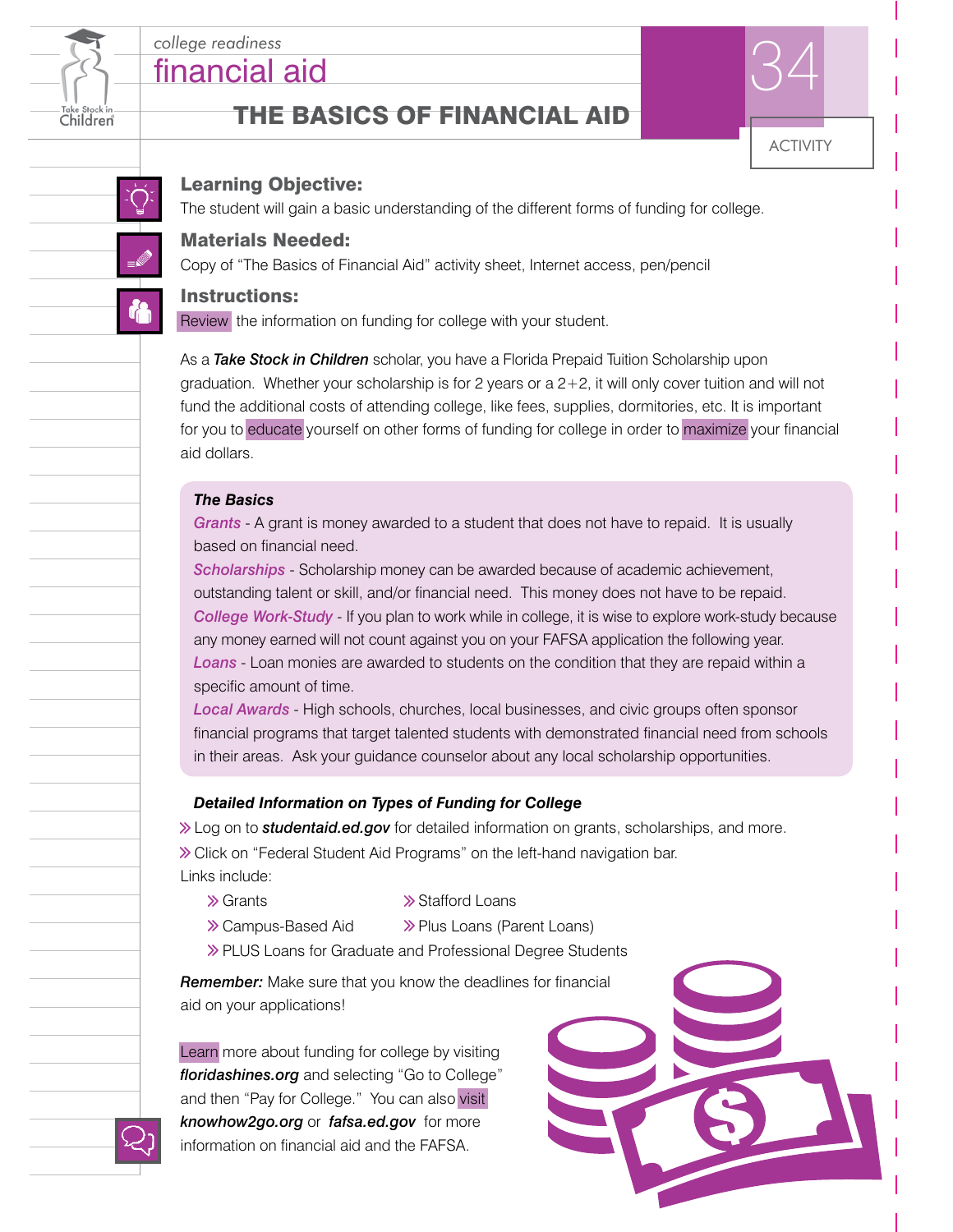

## financial aid *college readiness*<br>**financial aid** 34

#### THE BASICS OF FINANCIAL AID



#### Learning Objective:

The student will gain a basic understanding of the different forms of funding for college.

#### Materials Needed:

Copy of "The Basics of Financial Aid" activity sheet, Internet access, pen/pencil

#### Instructions:

Review the information on funding for college with your student.

As a *Take Stock in Children* scholar, you have a Florida Prepaid Tuition Scholarship upon graduation. Whether your scholarship is for 2 years or a  $2+2$ , it will only cover tuition and will not fund the additional costs of attending college, like fees, supplies, dormitories, etc. It is important for you to educate yourself on other forms of funding for college in order to maximize your financial aid dollars.

#### *The Basics*

*Grants* - A grant is money awarded to a student that does not have to repaid. It is usually based on financial need.

*Scholarships* - Scholarship money can be awarded because of academic achievement, outstanding talent or skill, and/or financial need. This money does not have to be repaid. *College Work-Study* - If you plan to work while in college, it is wise to explore work-study because any money earned will not count against you on your FAFSA application the following year. *Loans* - Loan monies are awarded to students on the condition that they are repaid within a specific amount of time.

*Local Awards* - High schools, churches, local businesses, and civic groups often sponsor financial programs that target talented students with demonstrated financial need from schools in their areas. Ask your guidance counselor about any local scholarship opportunities.

#### *Detailed Information on Types of Funding for College*

**Detailed Information on Types of Funding for College**<br>» Log on to *studentaid.ed.gov* for detailed information on grants, scholarships, and more.<br>» Click on "Federal Student Aid Programs" on the left-hand navigation bar » Log on to **studentaid.ed.gov** for detailed information on grants, scholars<br>» Click on "Federal Student Aid Programs" on the left-hand navigation bar.<br>I inks include: Links include: ªGrants ªStafford Loans

- 
- 
- 
- ightharpoon and the Campus-Based Aid and Dear (Parent Loans)<br>Sampus-Based Aid and Professional Degree Student Student Student Professional Degree Student » Campus-Based Aid (a) a) Plus Loans (Parent Loans)<br>» PLUS Loans for Graduate and Professional Degree Students

*Remember:* Make sure that you know the deadlines for financial aid on your applications!

Learn more about funding for college by visiting *floridashines.org* and selecting "Go to College" and then "Pay for College." You can also visit *knowhow2go.org* or *fafsa.ed.gov* for more information on financial aid and the FAFSA.

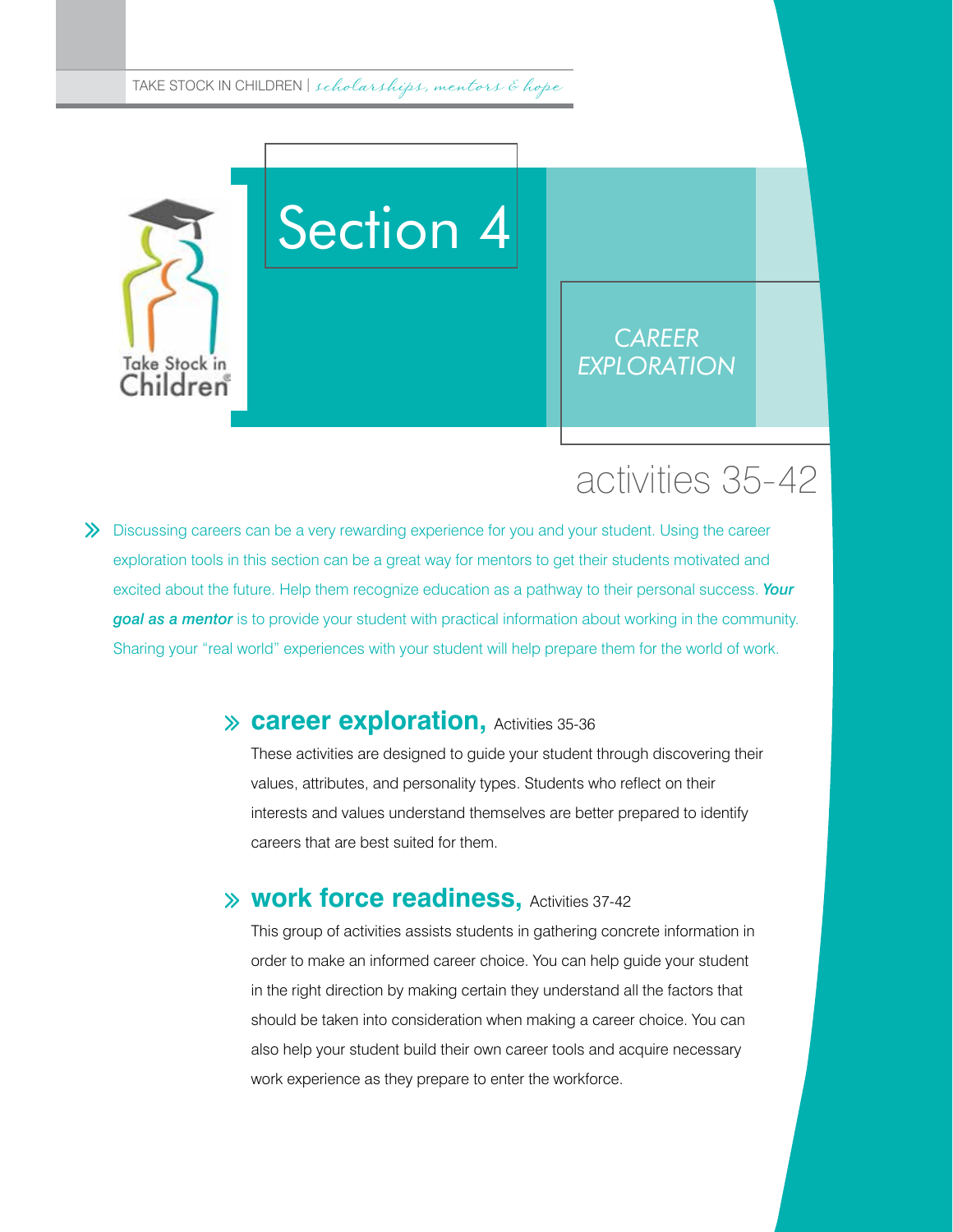

# Section 4

#### *CAREER EXPLORATION*

## activities 35-42

ª >> Discussing careers can be a very rewarding experience for you and your student. Using the career exploration tools in this section can be a great way for mentors to get their students motivated and excited about the future. Help them recognize education as a pathway to their personal success. *Your goal as a mentor* is to provide your student with practical information about working in the community. Sharing your "real world" experiences with your student will help prepare them for the world of work.

## **career exploration,** Activities 35-36 ª

These activities are designed to guide your student through discovering their values, attributes, and personality types. Students who reflect on their interests and values understand themselves are better prepared to identify careers that are best suited for them.

## **work force readiness,** Activities 37-42 ª

This group of activities assists students in gathering concrete information in order to make an informed career choice. You can help guide your student in the right direction by making certain they understand all the factors that should be taken into consideration when making a career choice. You can also help your student build their own career tools and acquire necessary work experience as they prepare to enter the workforce.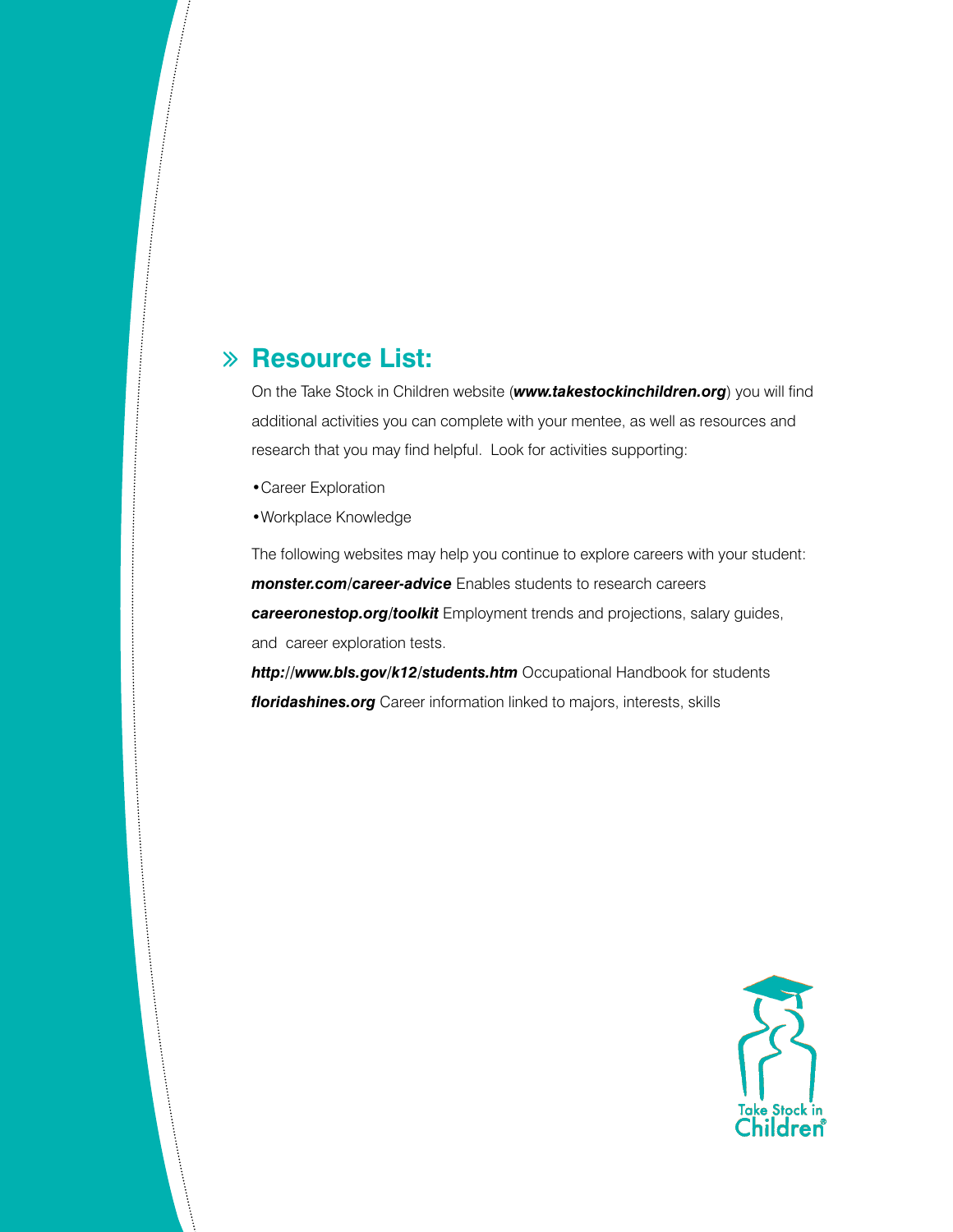## **Resource List:** ª

On the Take Stock in Children website (*www.takestockinchildren.org*) you will find additional activities you can complete with your mentee, as well as resources and research that you may find helpful. Look for activities supporting:

•Career Exploration

•Workplace Knowledge

The following websites may help you continue to explore careers with your student: *monster.com/career-advice* Enables students to research careers *careeronestop.org/toolkit* Employment trends and projections, salary guides, and career exploration tests.

*http://www.bls.gov/k12/students.htm* Occupational Handbook for students *floridashines.org* Career information linked to majors, interests, skills

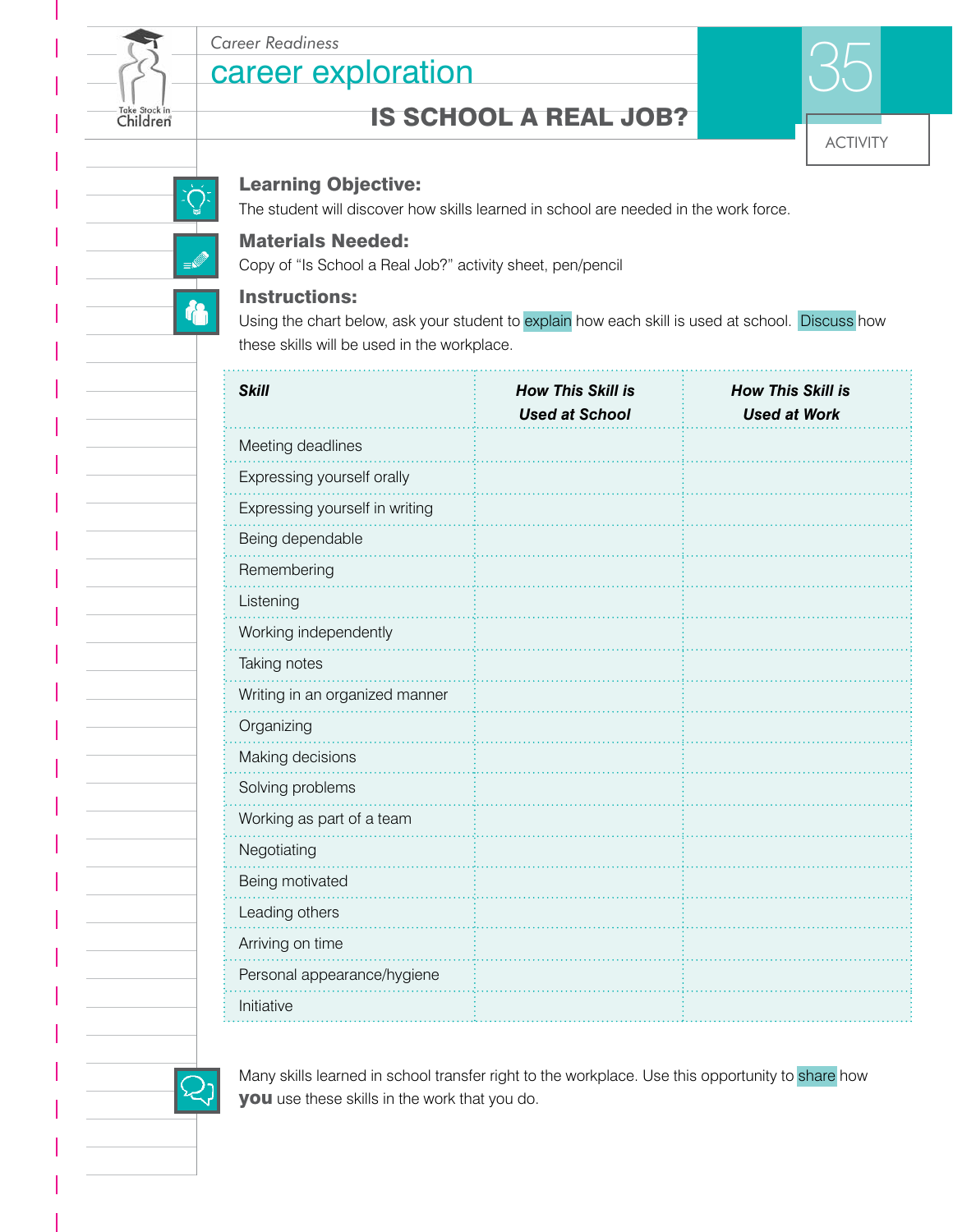# Take Stock in<br>Children

**de** 

IS SCHOOL A REAL JOB?



#### Learning Objective:

career exploration

The student will discover how skills learned in school are needed in the work force.

#### Materials Needed:

Copy of "Is School a Real Job?" activity sheet, pen/pencil

#### Instructions:

Using the chart below, ask your student to explain how each skill is used at school. Discuss how these skills will be used in the workplace.

| <b>Skill</b>                   | <b>How This Skill is</b><br><b>Used at School</b> | <b>How This Skill is</b><br><b>Used at Work</b> |
|--------------------------------|---------------------------------------------------|-------------------------------------------------|
| Meeting deadlines              |                                                   |                                                 |
| Expressing yourself orally     |                                                   |                                                 |
| Expressing yourself in writing |                                                   |                                                 |
| Being dependable               |                                                   |                                                 |
| Remembering                    |                                                   |                                                 |
| Listening                      |                                                   |                                                 |
| Working independently          |                                                   |                                                 |
| Taking notes                   |                                                   |                                                 |
| Writing in an organized manner |                                                   |                                                 |
| Organizing                     |                                                   |                                                 |
| Making decisions               |                                                   |                                                 |
| Solving problems               |                                                   |                                                 |
| Working as part of a team      |                                                   |                                                 |
| Negotiating                    |                                                   |                                                 |
| Being motivated                |                                                   |                                                 |
| Leading others                 |                                                   |                                                 |
| Arriving on time               |                                                   |                                                 |
| Personal appearance/hygiene    |                                                   |                                                 |
| Initiative                     |                                                   |                                                 |



Many skills learned in school transfer right to the workplace. Use this opportunity to share how you use these skills in the work that you do.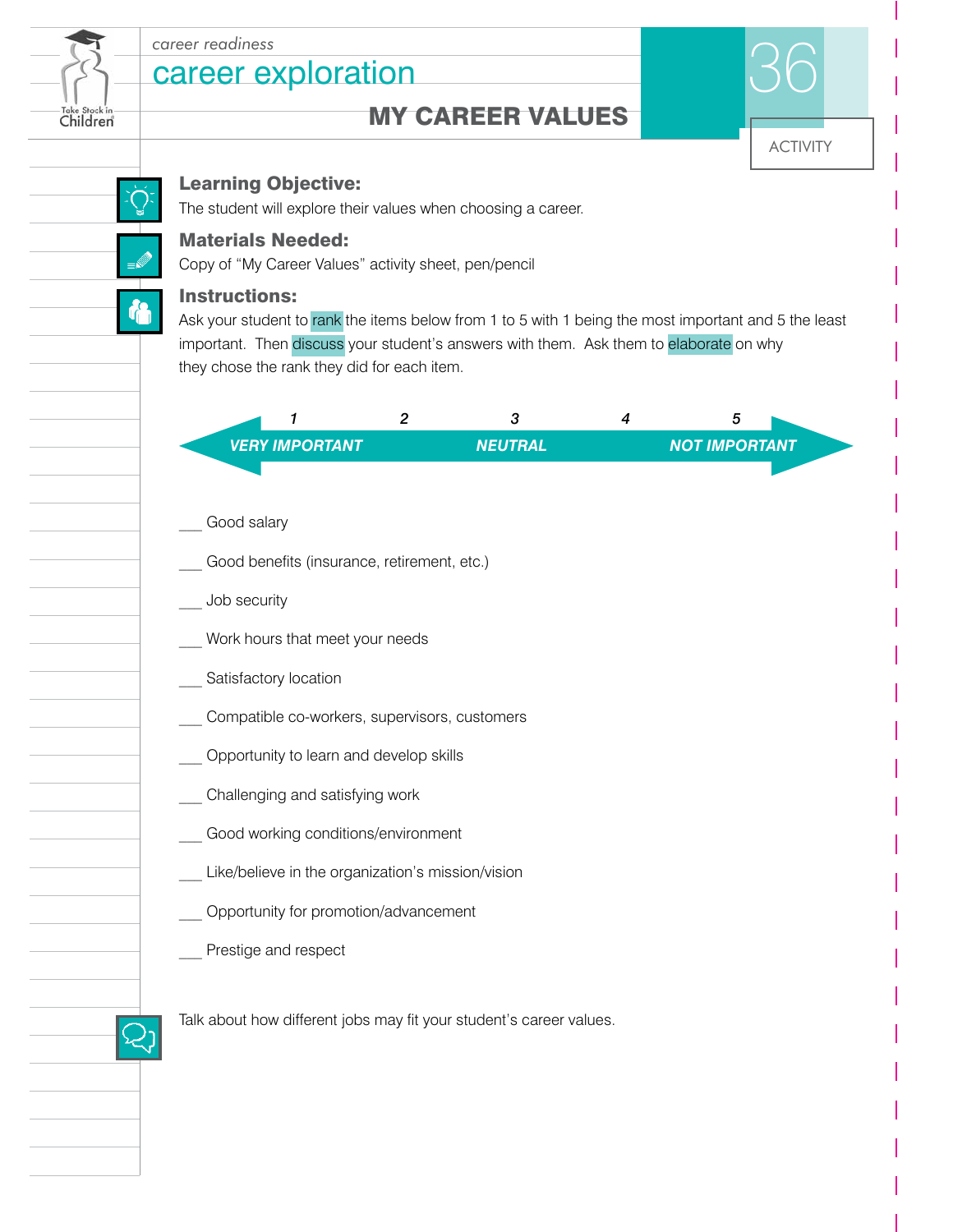

## career exploration *career readiness*<br> *Career exploration*

### MY CAREER VALUES



#### Learning Objective:

The student will explore their values when choosing a career.

#### Materials Needed:

Copy of "My Career Values" activity sheet, pen/pencil

#### Instructions:

Ask your student to rank the items below from 1 to 5 with 1 being the most important and 5 the least important. Then discuss your student's answers with them. Ask them to elaborate on why they chose the rank they did for each item.

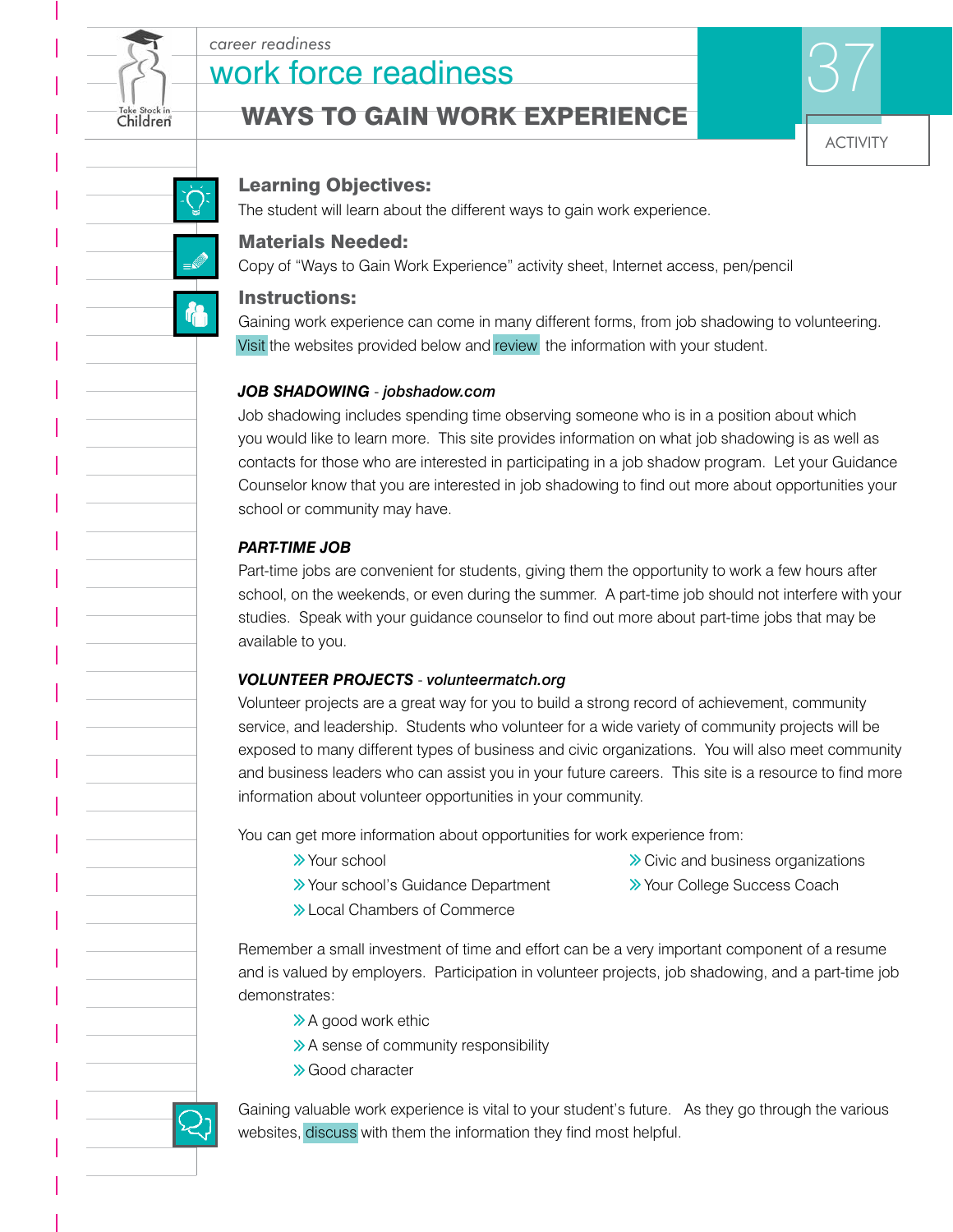

Children<sup>®</sup>

## work force readiness *career readiness* 37

## WAYS TO GAIN WORK EXPERIENCE

Learning Objectives:

The student will learn about the different ways to gain work experience.

#### Materials Needed:

Copy of "Ways to Gain Work Experience" activity sheet, Internet access, pen/pencil

#### Instructions:

Gaining work experience can come in many different forms, from job shadowing to volunteering. Visit the websites provided below and review the information with your student.

#### *JOB SHADOWING* - *jobshadow.com*

Job shadowing includes spending time observing someone who is in a position about which you would like to learn more. This site provides information on what job shadowing is as well as contacts for those who are interested in participating in a job shadow program. Let your Guidance Counselor know that you are interested in job shadowing to find out more about opportunities your school or community may have.

#### *PART-TIME JOB*

Part-time jobs are convenient for students, giving them the opportunity to work a few hours after school, on the weekends, or even during the summer. A part-time job should not interfere with your studies. Speak with your guidance counselor to find out more about part-time jobs that may be available to you.

#### *VOLUNTEER PROJECTS* - *volunteermatch.org*

Volunteer projects are a great way for you to build a strong record of achievement, community service, and leadership. Students who volunteer for a wide variety of community projects will be exposed to many different types of business and civic organizations. You will also meet community and business leaders who can assist you in your future careers. This site is a resource to find more information about volunteer opportunities in your community.

You can get more information about opportunities for work experience from:<br>
<br>
• Your school's Guidance Department<br>
• Your College Success Caach

ACTIVITY

- Your school<br>
 Your school's Guidance Department Your College Success Coach<br>
 Your College Success Coach
- >> Local Chambers of Commerce
- 
- 

Remember a small investment of time and effort can be a very important component of a resume and is valued by employers. Participation in volunteer projects, job shadowing, and a part-time job demonstrates:

- $\rightarrow$  A good work ethic
- ≫A good work ethic<br>≫A sense of community responsibility<br>≫Good character → A sense of com<br>→ Good character
- 

Gaining valuable work experience is vital to your student's future. As they go through the various websites, discuss with them the information they find most helpful.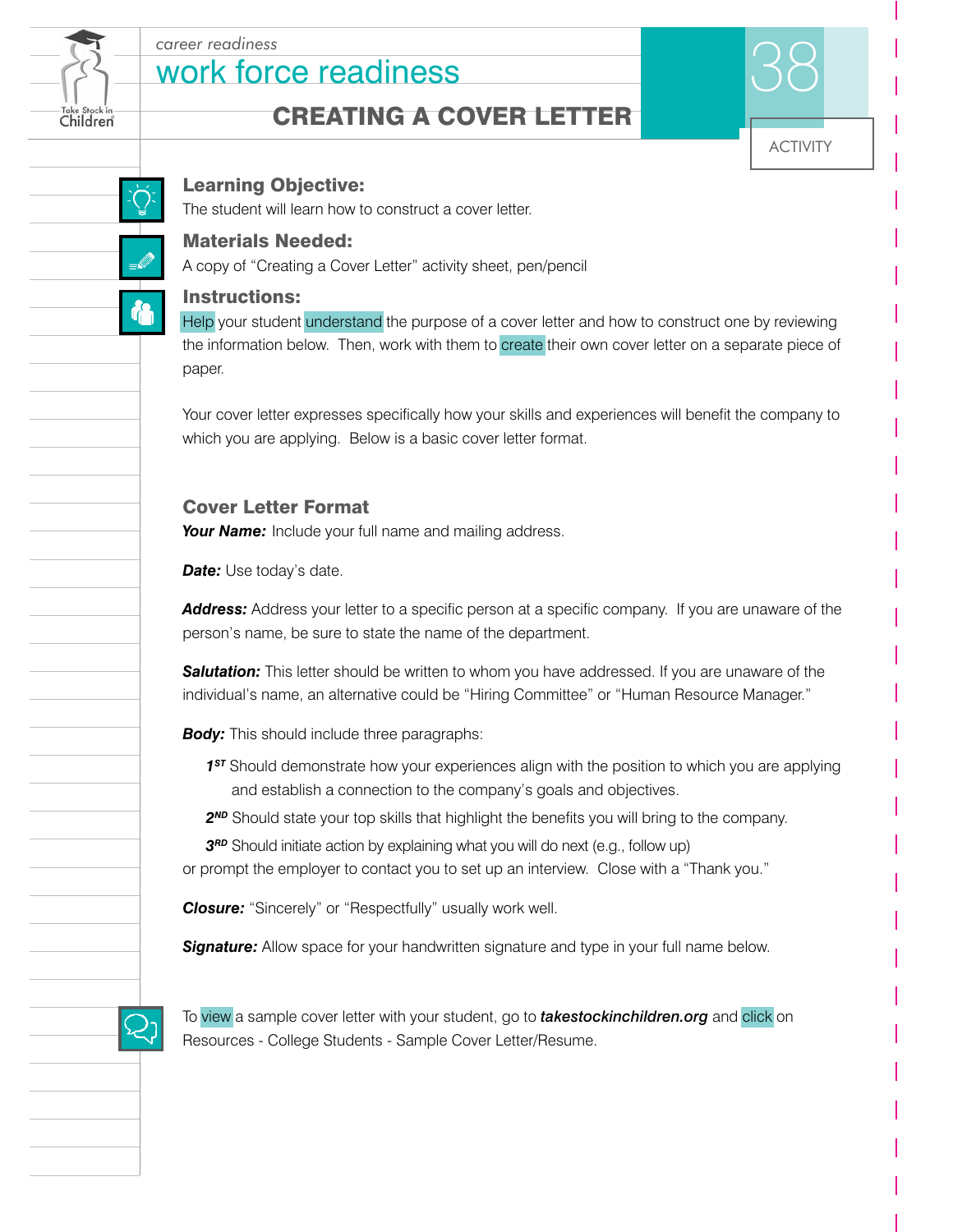

## work force readiness *career readiness* 38

### CREATING A COVER LETTER



#### Learning Objective:

The student will learn how to construct a cover letter.

#### Materials Needed:

A copy of "Creating a Cover Letter" activity sheet, pen/pencil

#### Instructions:

Help your student understand the purpose of a cover letter and how to construct one by reviewing the information below. Then, work with them to create their own cover letter on a separate piece of paper.

Your cover letter expresses specifically how your skills and experiences will benefit the company to which you are applying. Below is a basic cover letter format.

#### Cover Letter Format

**Your Name:** Include your full name and mailing address.

**Date:** Use today's date.

Address: Address your letter to a specific person at a specific company. If you are unaware of the person's name, be sure to state the name of the department.

**Salutation:** This letter should be written to whom you have addressed. If you are unaware of the individual's name, an alternative could be "Hiring Committee" or "Human Resource Manager."

*Body:* This should include three paragraphs:

- *1ST* Should demonstrate how your experiences align with the position to which you are applying and establish a connection to the company's goals and objectives.
- 2<sup>ND</sup> Should state your top skills that highlight the benefits you will bring to the company.

3<sup>RD</sup> Should initiate action by explaining what you will do next (e.g., follow up)

or prompt the employer to contact you to set up an interview. Close with a "Thank you."

*Closure:* "Sincerely" or "Respectfully" usually work well.

**Signature:** Allow space for your handwritten signature and type in your full name below.

To view a sample cover letter with your student, go to *takestockinchildren.org* and click on Resources - College Students - Sample Cover Letter/Resume.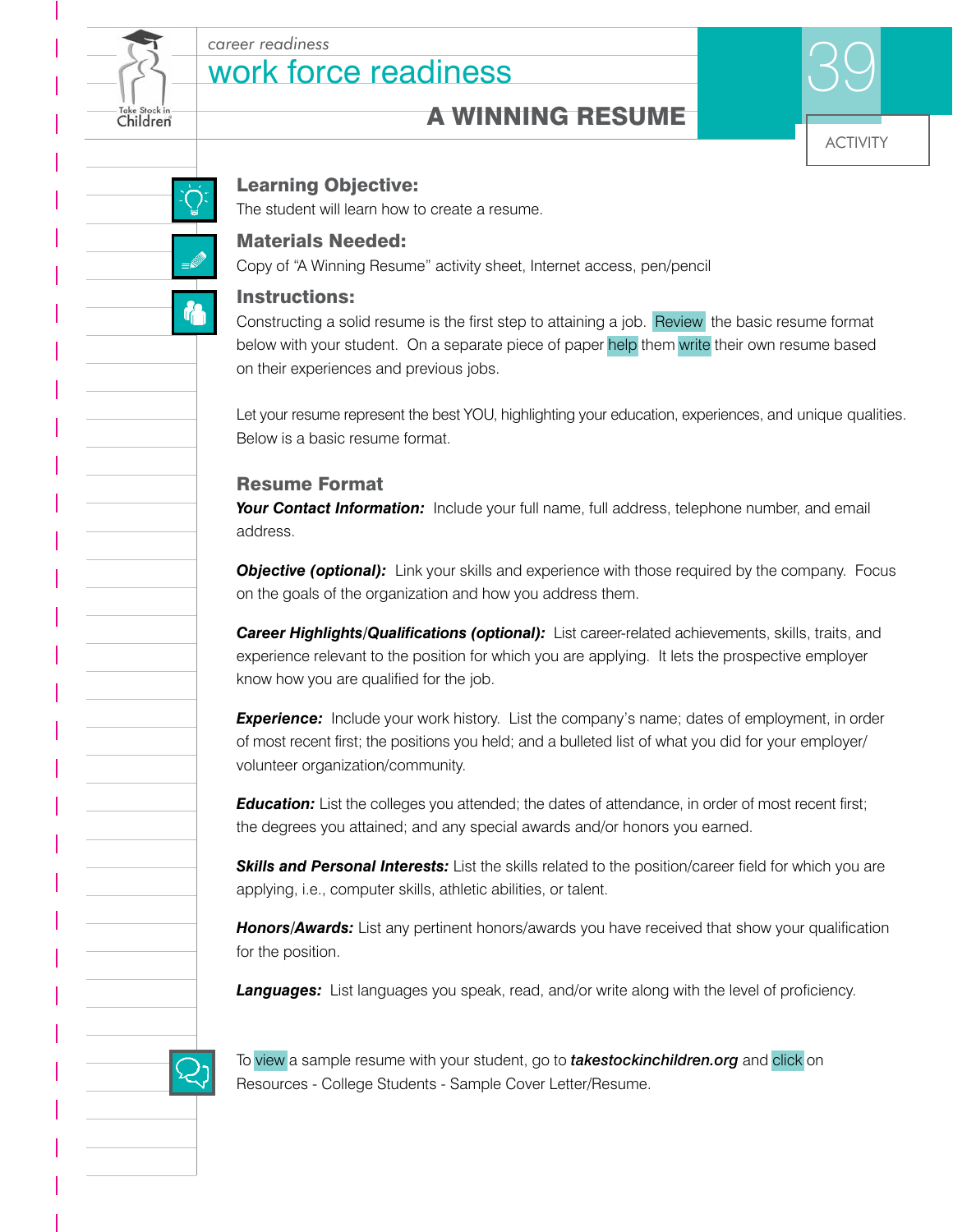

Children<sup>®</sup>

## work force readiness *career readiness* 399





#### Learning Objective:

The student will learn how to create a resume.

#### Materials Needed:

Copy of "A Winning Resume" activity sheet, Internet access, pen/pencil

#### Instructions:

Constructing a solid resume is the first step to attaining a job. Review the basic resume format below with your student. On a separate piece of paper help them write their own resume based on their experiences and previous jobs.

Let your resume represent the best YOU, highlighting your education, experiences, and unique qualities. Below is a basic resume format.

#### Resume Format

**Your Contact Information:** Include your full name, full address, telephone number, and email address.

**Objective (optional):** Link your skills and experience with those required by the company. Focus on the goals of the organization and how you address them.

*Career Highlights/Qualifications (optional):* List career-related achievements, skills, traits, and experience relevant to the position for which you are applying. It lets the prospective employer know how you are qualified for the job.

**Experience:** Include your work history. List the company's name; dates of employment, in order of most recent first; the positions you held; and a bulleted list of what you did for your employer/ volunteer organization/community.

**Education:** List the colleges you attended; the dates of attendance, in order of most recent first; the degrees you attained; and any special awards and/or honors you earned.

**Skills and Personal Interests:** List the skills related to the position/career field for which you are applying, i.e., computer skills, athletic abilities, or talent.

**Honors/Awards:** List any pertinent honors/awards you have received that show your qualification for the position.

**Languages:** List languages you speak, read, and/or write along with the level of proficiency.

To view a sample resume with your student, go to *takestockinchildren.org* and click on Resources - College Students - Sample Cover Letter/Resume.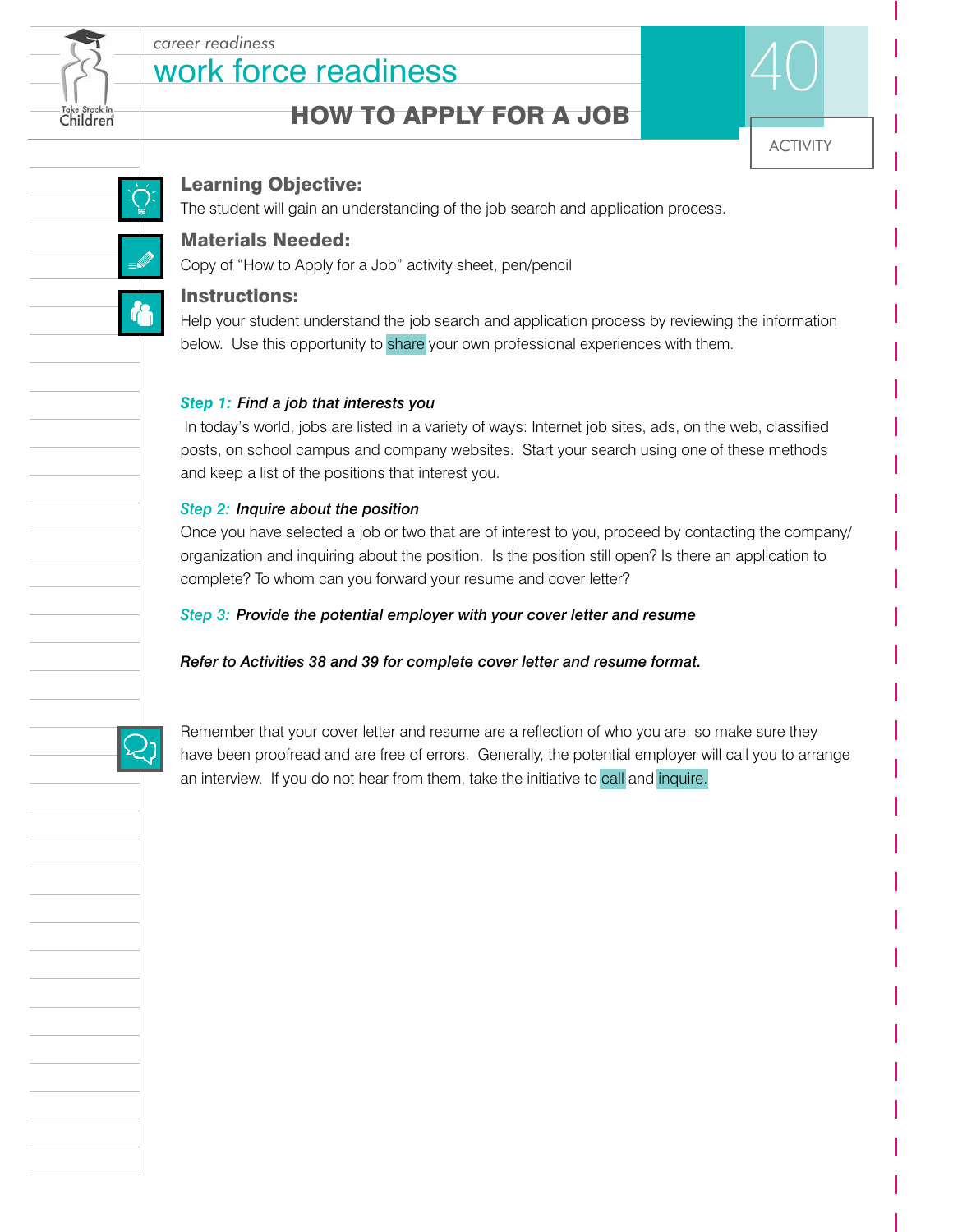

## work force readiness *career readiness* 40<br> **WOrk force readiness**

### HOW TO APPLY FOR A JOB



#### Learning Objective:

The student will gain an understanding of the job search and application process.

#### Materials Needed:

Copy of "How to Apply for a Job" activity sheet, pen/pencil

#### Instructions:

Help your student understand the job search and application process by reviewing the information below. Use this opportunity to share your own professional experiences with them.

#### *Step 1: Find a job that interests you*

 In today's world, jobs are listed in a variety of ways: Internet job sites, ads, on the web, classified posts, on school campus and company websites. Start your search using one of these methods and keep a list of the positions that interest you.

#### *Step 2: Inquire about the position*

Once you have selected a job or two that are of interest to you, proceed by contacting the company/ organization and inquiring about the position. Is the position still open? Is there an application to complete? To whom can you forward your resume and cover letter?

#### *Step 3: Provide the potential employer with your cover letter and resume*

*Refer to Activities 38 and 39 for complete cover letter and resume format.*



Remember that your cover letter and resume are a reflection of who you are, so make sure they have been proofread and are free of errors. Generally, the potential employer will call you to arrange an interview. If you do not hear from them, take the initiative to call and inquire.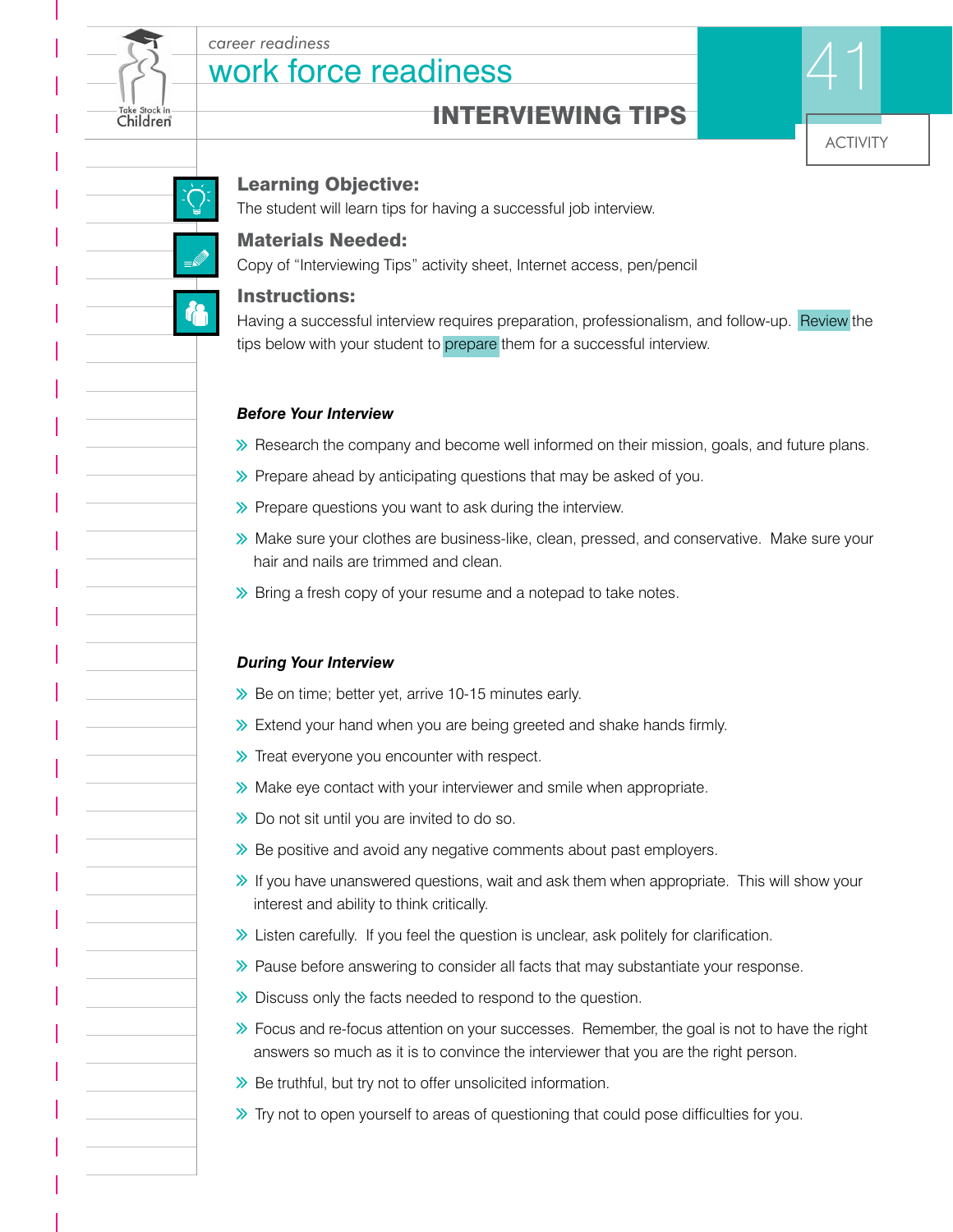

# Children

## INTERVIEWING TIPS



#### Learning Objective:

The student will learn tips for having a successful job interview.

#### Materials Needed:

Copy of "Interviewing Tips" activity sheet, Internet access, pen/pencil

#### Instructions:

Having a successful interview requires preparation, professionalism, and follow-up. Review the tips below with your student to prepare them for a successful interview.

#### *Before Your Interview*

**Before Your Interview**<br> **••** Research the company and become well informed on their mission, goals, and future plans.  $\triangleright$  Prepare ahead by anticipating questions that may be asked of you.

- $\gg$  Prepare ahead by anticipating questions that may be asked of you.<br> $\gg$  Prepare questions you want to ask during the interview.
- 
- $\gg$  Make sure your clothes are business-like, clean, pressed, and conservative. Make sure your hair and nails are trimmed and clean.
- $\gg$  Bring a fresh copy of your resume and a notepad to take notes.

#### *During Your Interview*

- $\gg$  Be on time; better yet, arrive 10-15 minutes early.
- $\gg$  Be on time; better yet, arrive 10-15 minutes early.<br> $\gg$  Extend your hand when you are being greeted and shake hands firmly.  $\triangleright$  Extend your hand when you are being greet<br> $\triangleright$  Treat everyone you encounter with respect.
- 
- $\triangleright$  Treat everyone you encounter with respect.<br>  $\triangleright$  Make eye contact with your interviewer and smile when appropriate.  $\triangleright$  Make eye contact with your interviewer<br> $\triangleright$  Do not sit until you are invited to do so.
- 
- $\gg$  Do not sit until you are invited to do so.<br> $\gg$  Be positive and avoid any negative comments about past employers.
- $\gg$  If you have unanswered questions, wait and ask them when appropriate. This will show your interest and ability to think critically.
- $\gg$  Listen carefully. If you feel the question is unclear, ask politely for clarification.
- Listen carefully. If you feel the question is unclear, ask politely for clarification.<br>• Pause before answering to consider all facts that may substantiate your response.  $\triangleright$  Pause before answering to consider all facts that may subs<br>  $\triangleright$  Discuss only the facts needed to respond to the question.
- 
- $\gg$  Discuss only the facts needed to respond to the question.<br> $\gg$  Focus and re-focus attention on your successes. Remember, the goal is not to have the right answers so much as it is to convince the interviewer that you are the right person.<br>
<sup>•</sup> Be truthful, but try not to offer unsolicited information.<br>
• **1990**
- 
- $\gg$  Be truthful, but try not to offer unsolicited information.<br> $\gg$  Try not to open yourself to areas of questioning that could pose difficulties for you.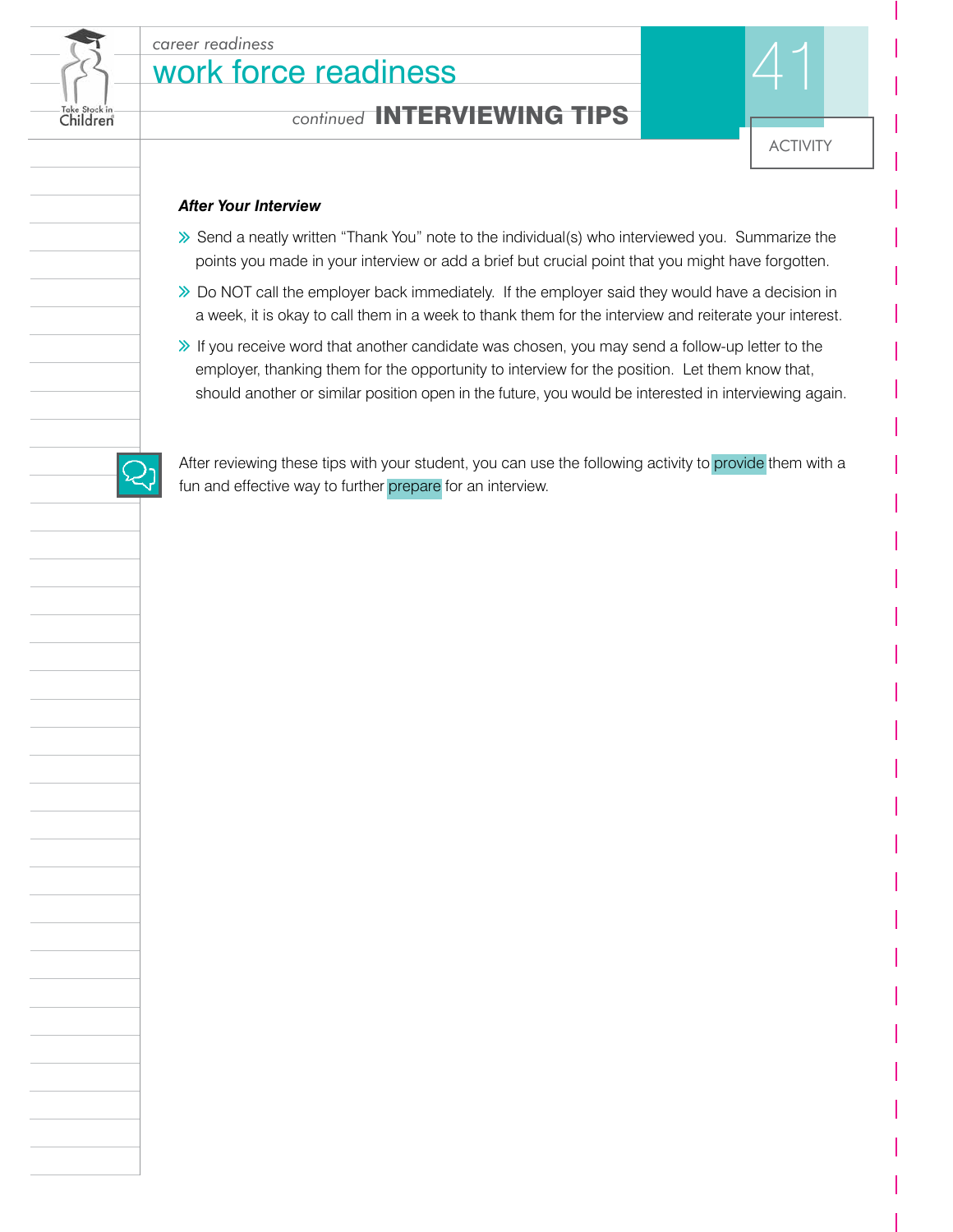

## work force readiness **Example 20 readings and the control of the control of the control of the control of the control of the control of the control of the control of the control of the control of the control of the control of the control of th**

*continued* INTERVIEWING TIPS



#### *After Your Interview*

- >> Send a neatly written "Thank You" note to the individual(s) who interviewed you. Summarize the points you made in your interview or add a brief but crucial point that you might have forgotten.
- $\gg$  Do NOT call the employer back immediately. If the employer said they would have a decision in
- a week, it is okay to call them in a week to thank them for the interview and reiterate your interest.<br>
 If you receive word that another candidate was chosen, you may send a follow-up letter to the employer, thanking the employer, thanking them for the opportunity to interview for the position. Let them know that, should another or similar position open in the future, you would be interested in interviewing again.



After reviewing these tips with your student, you can use the following activity to provide them with a fun and effective way to further prepare for an interview.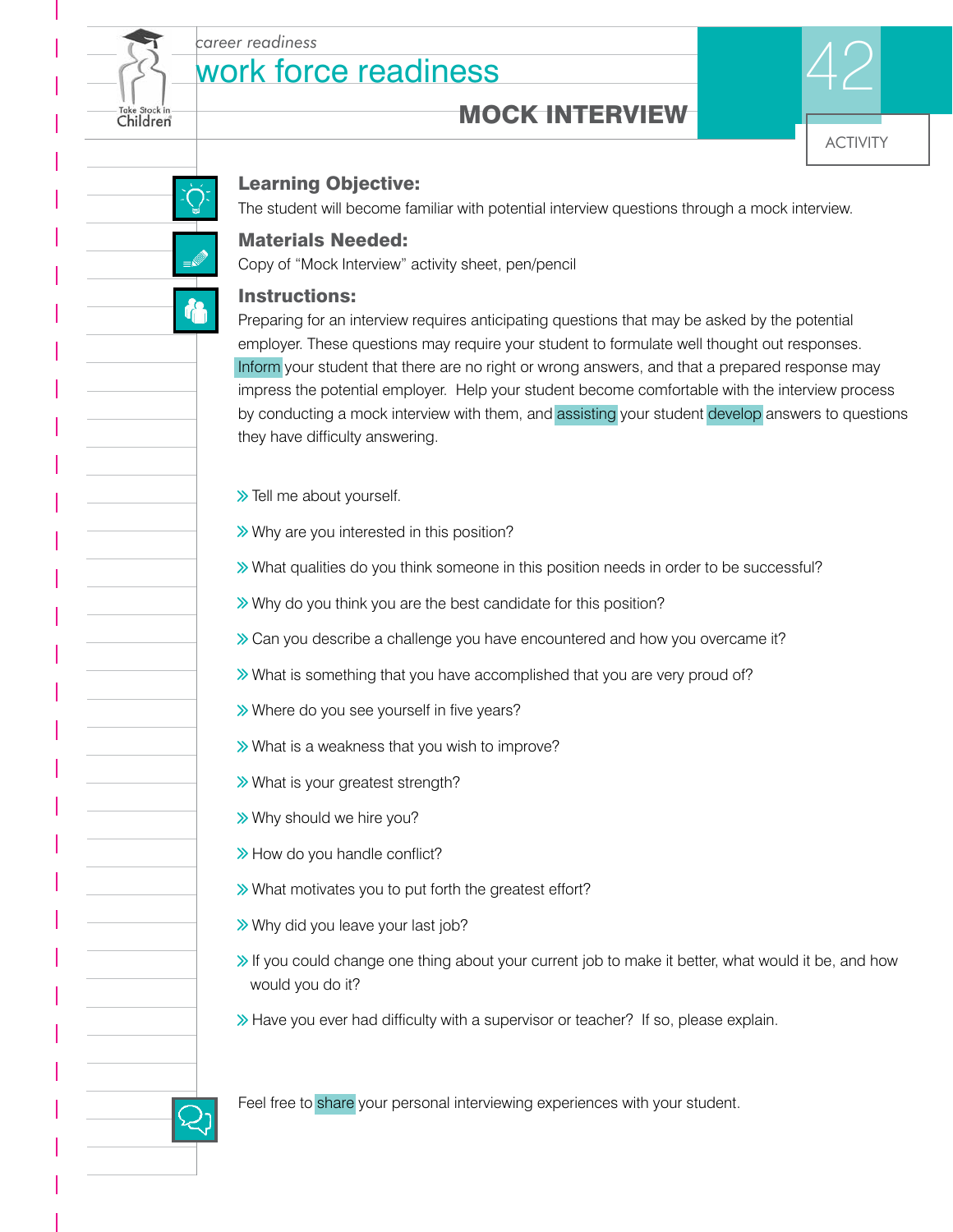

## work force readiness *career readiness*  $\overline{42}$

## MOCK INTERVIEW



#### Learning Objective:

The student will become familiar with potential interview questions through a mock interview.

#### Materials Needed:

Copy of "Mock Interview" activity sheet, pen/pencil

#### Instructions:

Preparing for an interview requires anticipating questions that may be asked by the potential employer. These questions may require your student to formulate well thought out responses. Inform your student that there are no right or wrong answers, and that a prepared response may impress the potential employer. Help your student become comfortable with the interview process by conducting a mock interview with them, and assisting your student develop answers to questions they have difficulty answering.

 $\gg$  Tell me about yourself.

 $\gg$  Why are you interested in this position?

- $\gg$ What qualities do you think someone in this position needs in order to be successful?
- $\gg$  Why do you think you are the best candidate for this position?
- $\gg$  Can you describe a challenge you have encountered and how you overcame it?
- **≫What is something that you have accomplished that you are very proud of?**
- >> Where do you see yourself in five years?
- $\gg$  What is a weakness that you wish to improve?
- >> What is your greatest strength?
- $\gg$  Why should we hire you?
- $\gg$  How do you handle conflict?
- >> What motivates you to put forth the greatest effort?
- $\gg$  Why did you leave your last job?
- $\gg$  If you could change one thing about your current job to make it better, what would it be, and how would you do it?
- $\gg$  Have you ever had difficulty with a supervisor or teacher? If so, please explain.

Feel free to share your personal interviewing experiences with your student.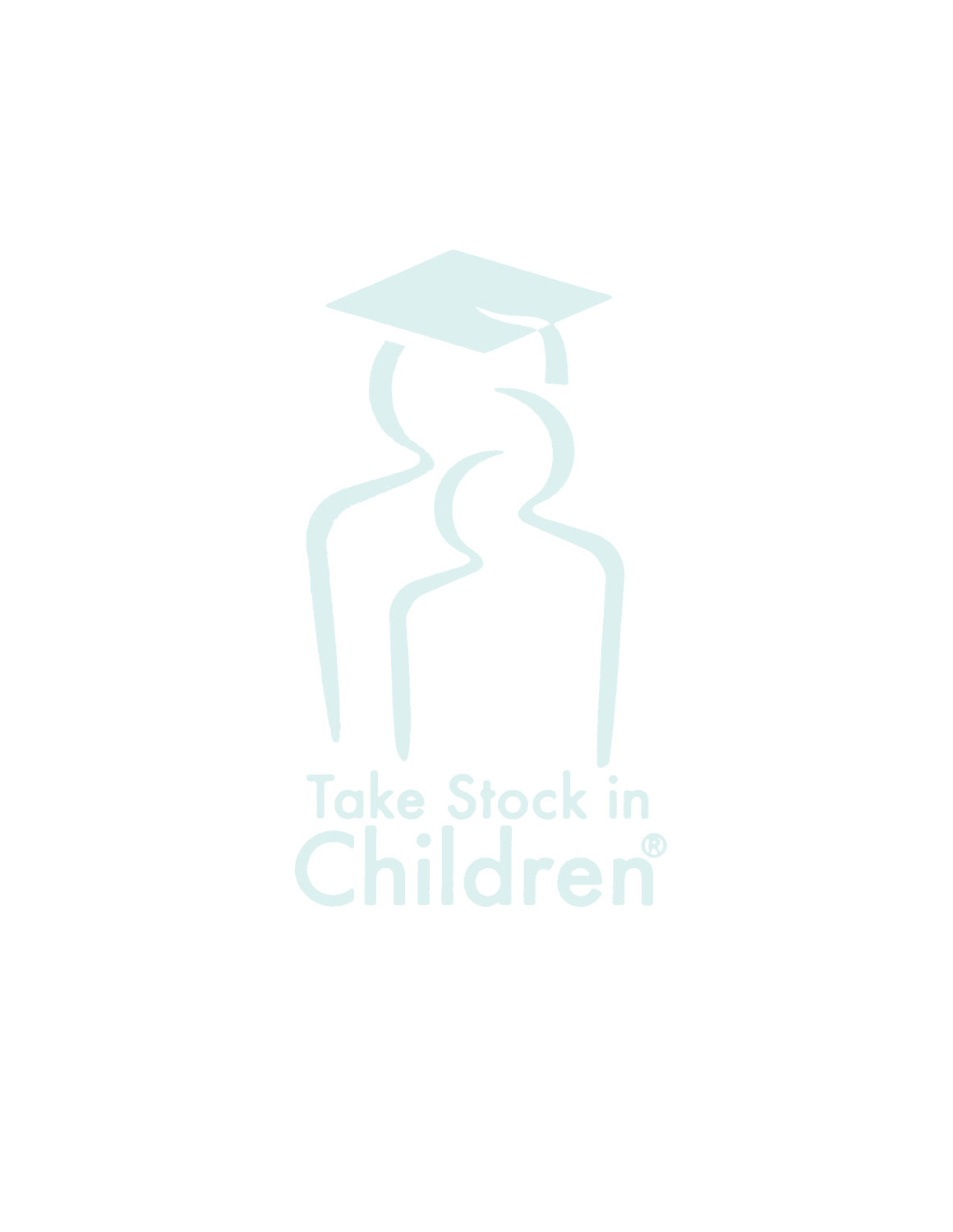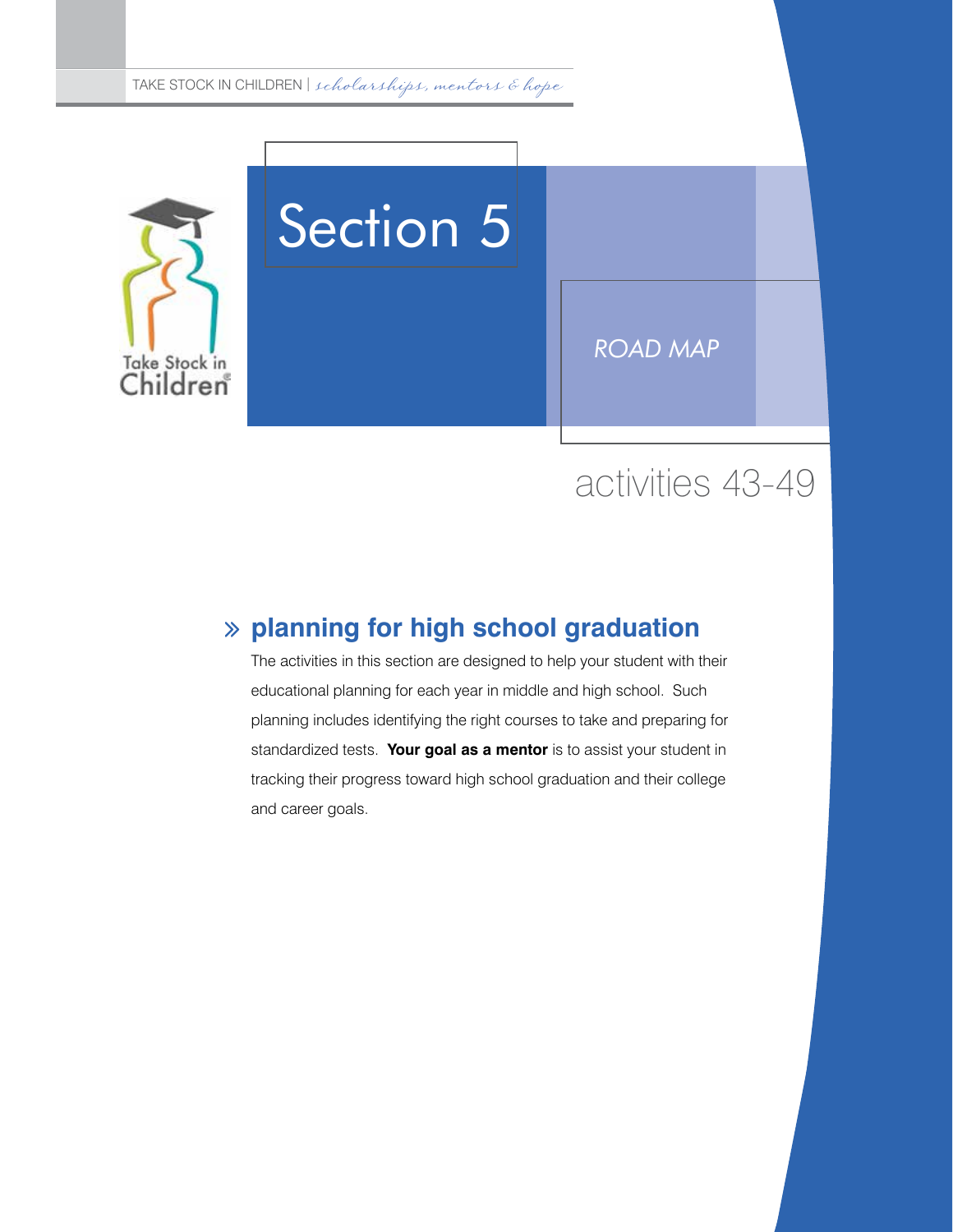

# Section 5

*ROAD MAP*

## activities 43-49

## **planning for high school graduation** ª

The activities in this section are designed to help your student with their educational planning for each year in middle and high school. Such planning includes identifying the right courses to take and preparing for standardized tests. **Your goal as a mentor** is to assist your student in tracking their progress toward high school graduation and their college and career goals.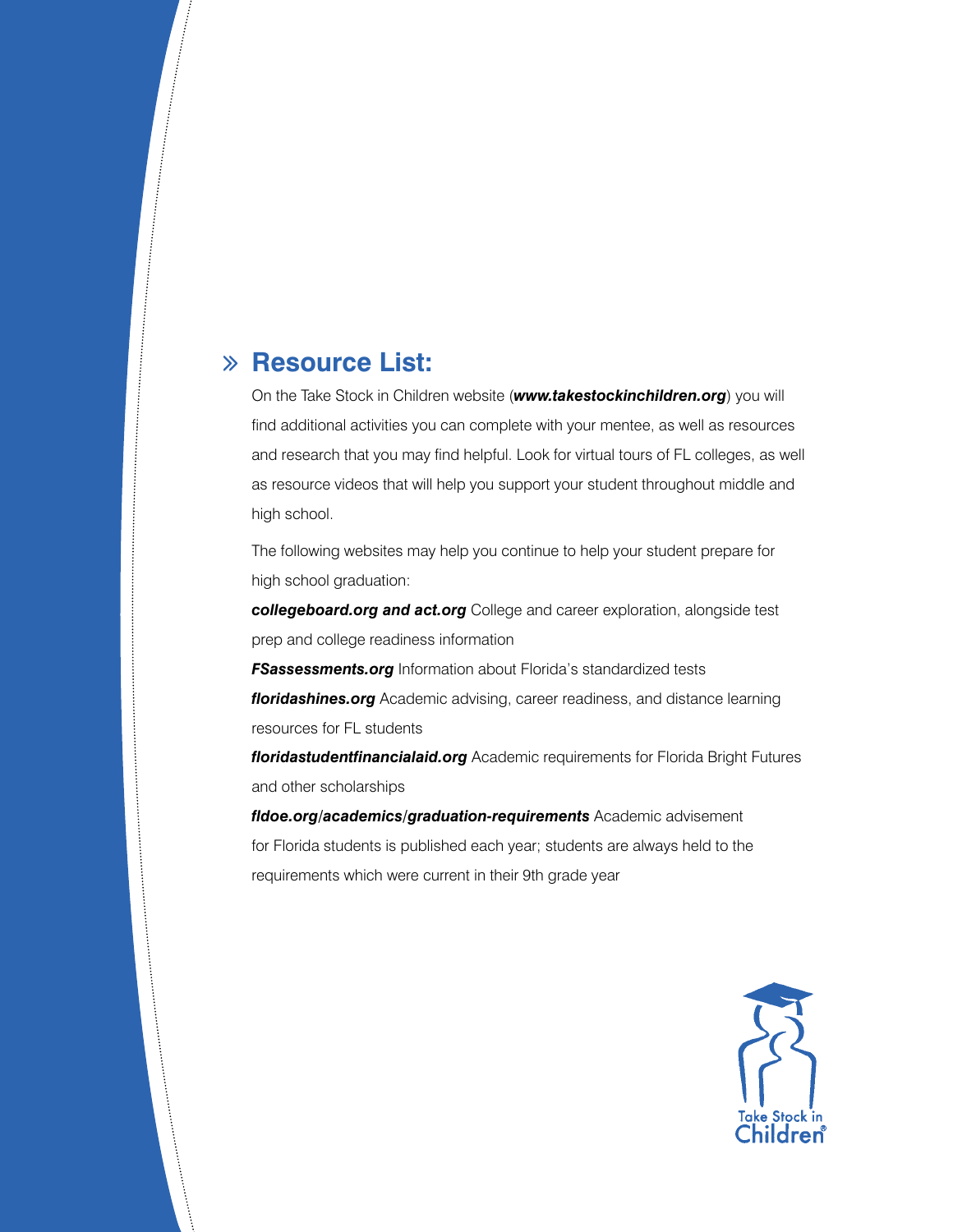## **Resource List:** ª

On the Take Stock in Children website (*www.takestockinchildren.org*) you will find additional activities you can complete with your mentee, as well as resources and research that you may find helpful. Look for virtual tours of FL colleges, as well as resource videos that will help you support your student throughout middle and high school.

The following websites may help you continue to help your student prepare for high school graduation:

*collegeboard.org and act.org* College and career exploration, alongside test prep and college readiness information

**FSassessments.org** Information about Florida's standardized tests *floridashines.org* Academic advising, career readiness, and distance learning resources for FL students

*floridastudentfinancialaid.org* Academic requirements for Florida Bright Futures and other scholarships

*fldoe.org/academics/graduation-requirements* Academic advisement for Florida students is published each year; students are always held to the requirements which were current in their 9th grade year

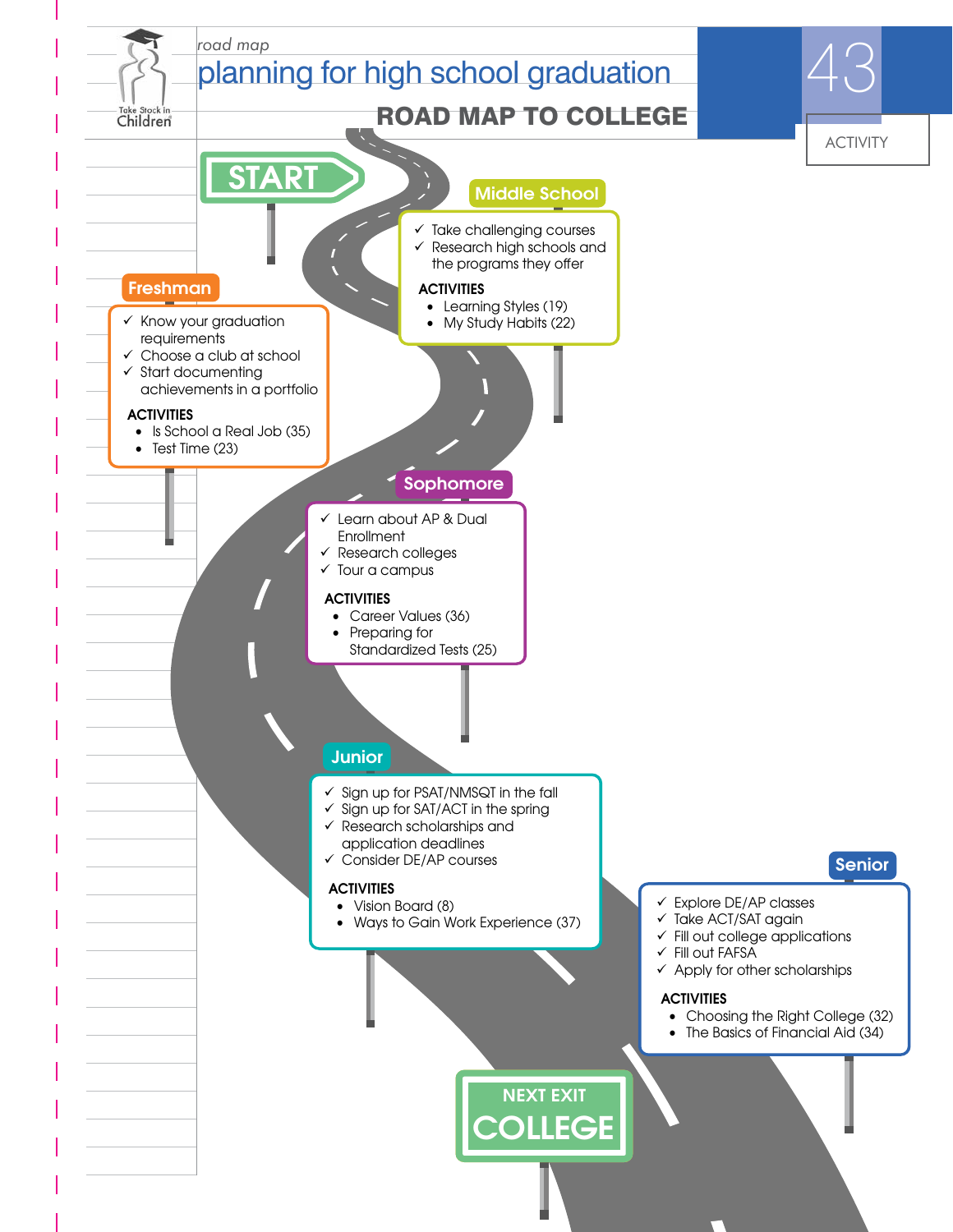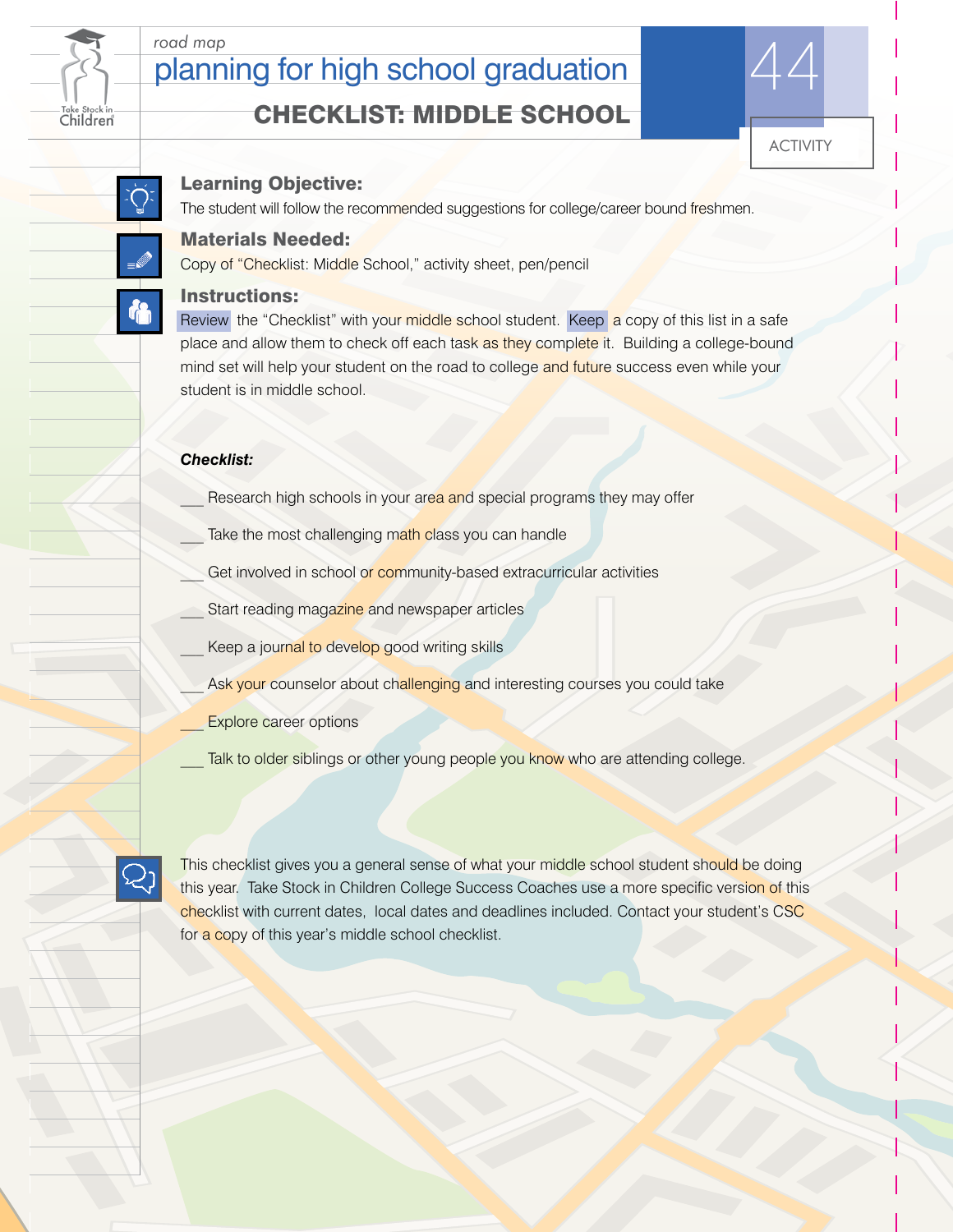

## planning for high school graduation road map<br>**planning for high school graduation**  $444$

### CHECKLIST: MIDDLE SCHOOL



#### Learning Objective:

The student will follow the recommended suggestions for college/career bound freshmen.

#### Materials Needed:

Copy of "Checklist: Middle School," activity sheet, pen/pencil

#### Instructions:

Review the "Checklist" with your middle school student. Keep a copy of this list in a safe place and allow them to check off each task as they complete it. Building a college-bound mind set will help your student on the road to college and future success even while your student is in middle school.

#### *Checklist:*

- Research high schools in your area and special programs they may offer
- Take the most challenging math class you can handle
- Get involved in school or community-based extracurricular activities
- Start reading magazine and newspaper articles
- Keep a journal to develop good writing skills
- Ask your counselor about challenging and interesting courses you could take
- Explore career options
- Talk to older siblings or other young people you know who are attending college.



This checklist gives you a general sense of what your middle school student should be doing this year. Take Stock in Children College Success Coaches use a more specific version of this checklist with current dates, local dates and deadlines included. Contact your student's CSC for a copy of this year's middle school checklist.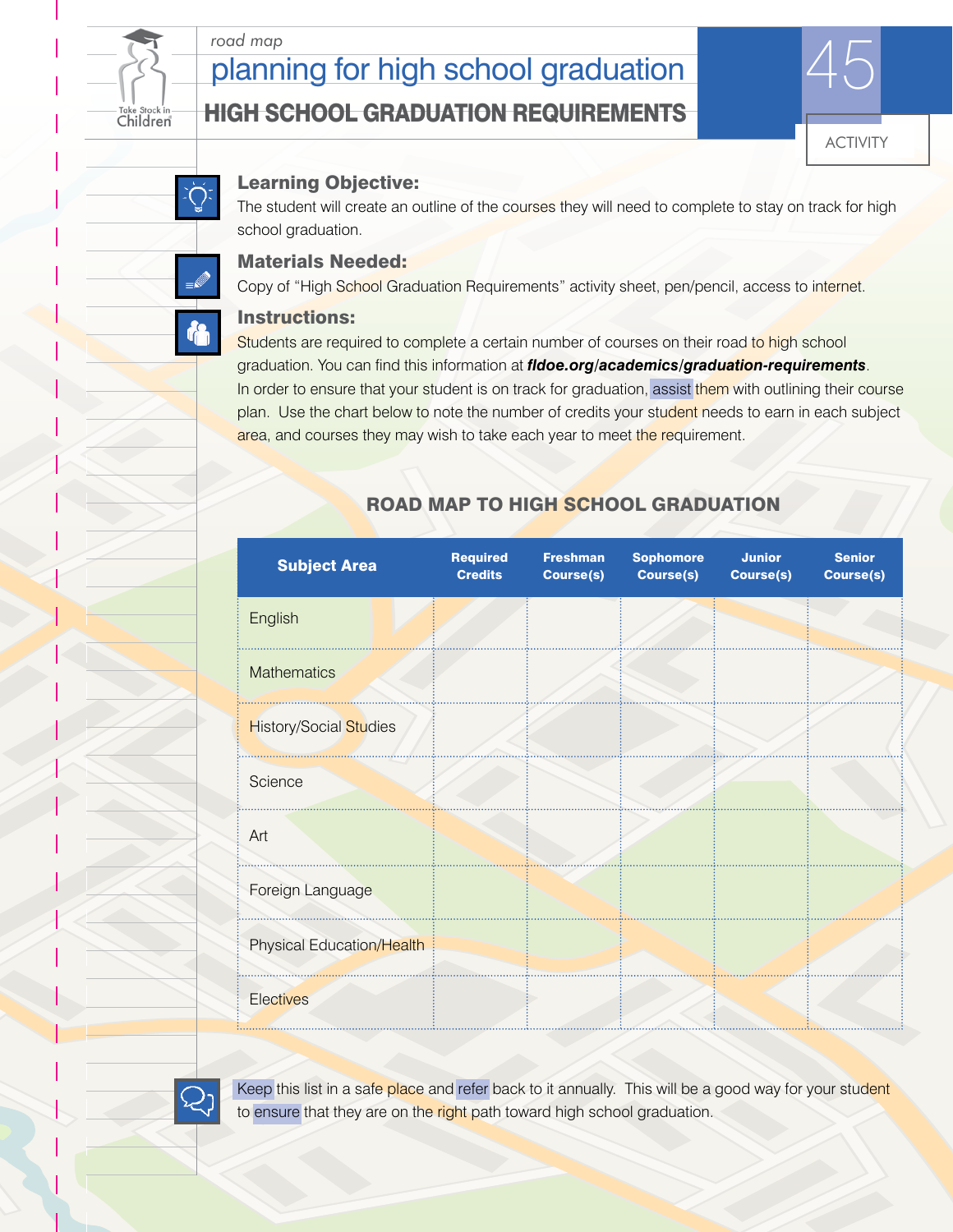Children

## planning for high school graduation road map<br>**planning for high school graduation**  $45$

#### HIGH SCHOOL GRADUATION REQUIREMENTS



#### Learning Objective:

The student will create an outline of the courses they will need to complete to stay on track for high school graduation.

#### Materials Needed:

Copy of "High School Graduation Requirements" activity sheet, pen/pencil, access to internet.

#### Instructions:

Students are required to complete a certain number of courses on their road to high school graduation. You can find this information at *fldoe.org/academics/graduation-requirements*. In order to ensure that your student is on track for graduation, assist them with outlining their course plan. Use the chart below to note the number of credits your student needs to earn in each subject area, and courses they may wish to take each year to meet the requirement.

| <b>Subject Area</b>       | <b>Required</b><br><b>Credits</b> | <b>Freshman</b><br><b>Course(s)</b> | <b>Sophomore</b><br>Course(s) | <b>Junior</b><br><b>Course(s)</b> | <b>Senior</b><br>Course(s) |
|---------------------------|-----------------------------------|-------------------------------------|-------------------------------|-----------------------------------|----------------------------|
| English                   |                                   |                                     |                               |                                   |                            |
| <b>Mathematics</b>        |                                   |                                     |                               |                                   |                            |
| History/Social Studies    |                                   |                                     |                               |                                   |                            |
| Science                   |                                   |                                     |                               |                                   |                            |
| Art                       |                                   |                                     |                               |                                   |                            |
| Foreign Language          |                                   |                                     |                               |                                   |                            |
| Physical Education/Health |                                   |                                     |                               |                                   |                            |
| <b>Electives</b>          |                                   |                                     |                               |                                   |                            |

#### ROAD MAP TO HIGH SCHOOL GRADUATION



Keep this list in a safe place and refer back to it annually. This will be a good way for your student to ensure that they are on the right path toward high school graduation.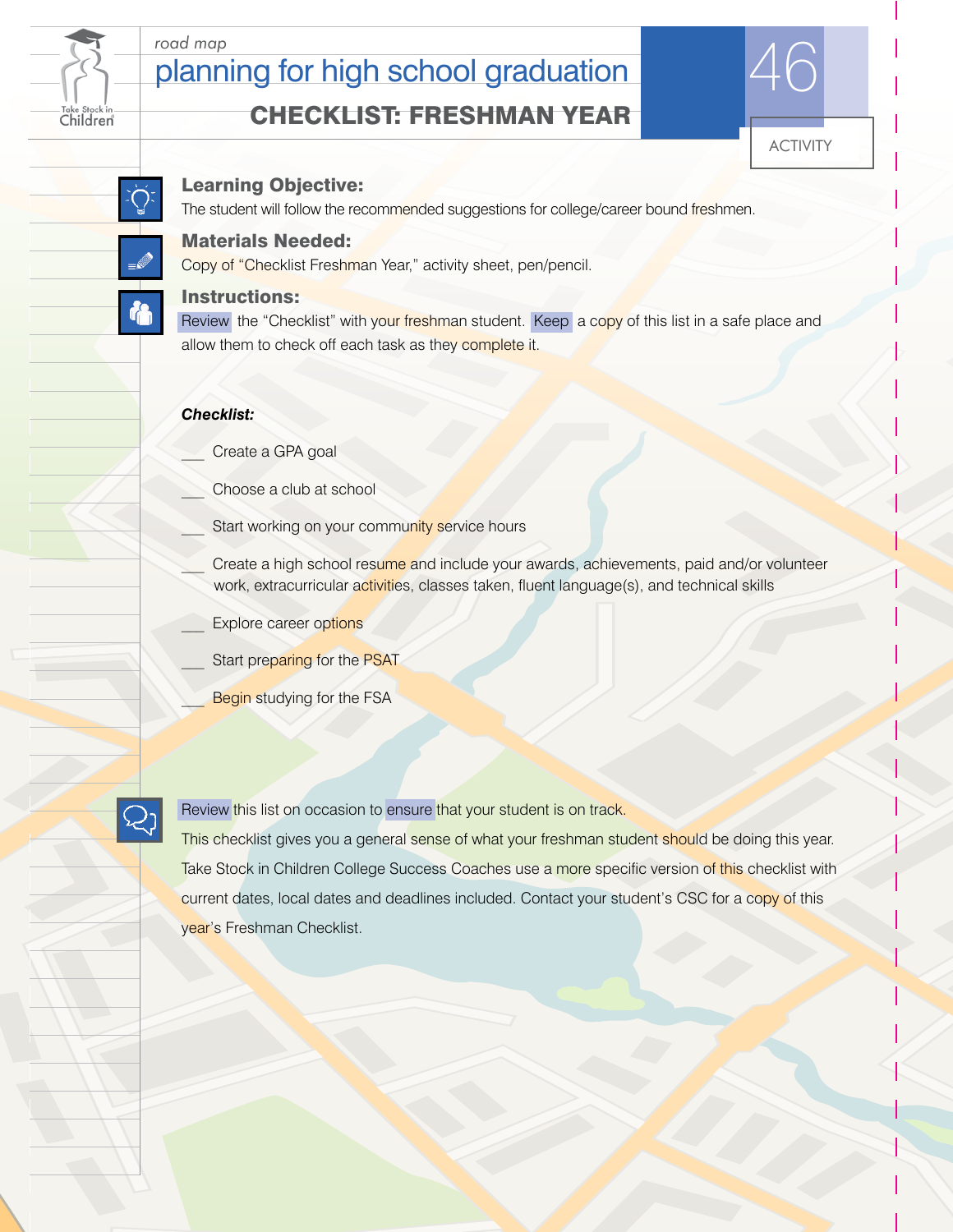

## planning for high school graduation road map<br>**planning for high school graduation** 46

### CHECKLIST: FRESHMAN YEAR



#### Learning Objective:

The student will follow the recommended suggestions for college/career bound freshmen.

#### Materials Needed:

Copy of "Checklist Freshman Year," activity sheet, pen/pencil.

#### Instructions:

Review the "Checklist" with your freshman student. Keep a copy of this list in a safe place and allow them to check off each task as they complete it.

#### *Checklist:*

- Create a GPA goal
- Choose a club at school
- Start working on your community service hours
- Create a high school resume and include your awards, achievements, paid and/or volunteer work, extracurricular activities, classes taken, fluent language(s), and technical skills
- Explore career options
	- Start preparing for the PSAT
	- Begin studying for the FSA



Review this list on occasion to ensure that your student is on track.

This checklist gives you a general sense of what your freshman student should be doing this year. Take Stock in Children College Success Coaches use a more specific version of this checklist with current dates, local dates and deadlines included. Contact your student's CSC for a copy of this year's Freshman Checklist.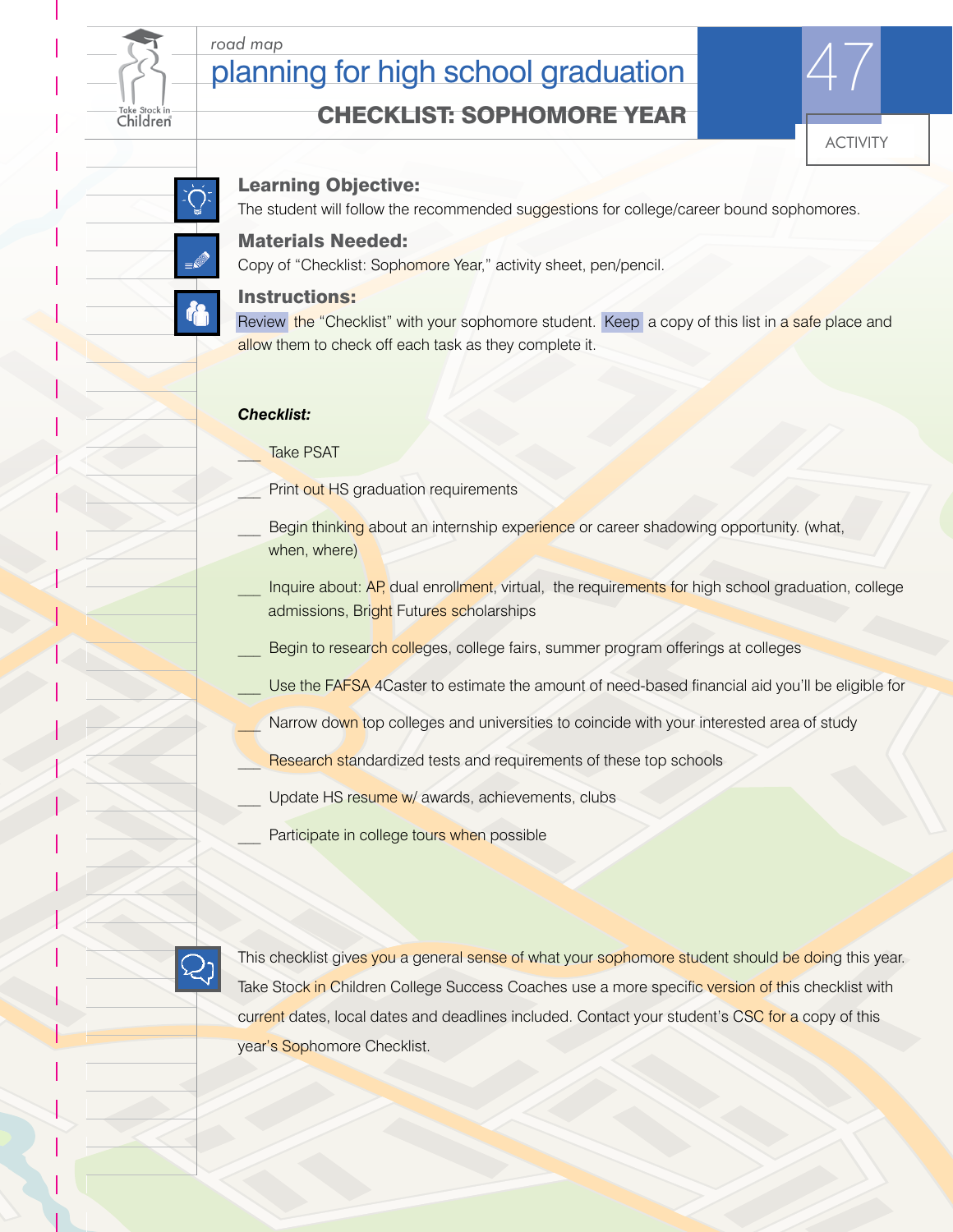

## planning for high school graduation road map<br>**planning for high school graduation**  $47$

CHECKLIST: SOPHOMORE YEAR

# ACTIVITY

#### Learning Objective:

The student will follow the recommended suggestions for college/career bound sophomores.

#### Materials Needed:

Copy of "Checklist: Sophomore Year," activity sheet, pen/pencil.

#### Instructions:

Review the "Checklist" with your sophomore student. Keep a copy of this list in a safe place and allow them to check off each task as they complete it.

#### *Checklist:*

Take PSAT

- Print out HS graduation requirements
- Begin thinking about an internship experience or career shadowing opportunity. (what, when, where)

Inquire about: AP, dual enrollment, virtual, the requirements for high school graduation, college admissions, Bright Futures scholarships

- Begin to research colleges, college fairs, summer program offerings at colleges
	- Use the FAFSA 4Caster to estimate the amount of need-based financial aid you'll be eligible for
- Narrow down top colleges and universities to coincide with your interested area of study
- Research standardized tests and requirements of these top schools
- Update HS resume w/ awards, achievements, clubs
- Participate in college tours when possible



This checklist gives you a general sense of what your sophomore student should be doing this year. Take Stock in Children College Success Coaches use a more specific version of this checklist with current dates, local dates and deadlines included. Contact your student's CSC for a copy of this year's Sophomore Checklist.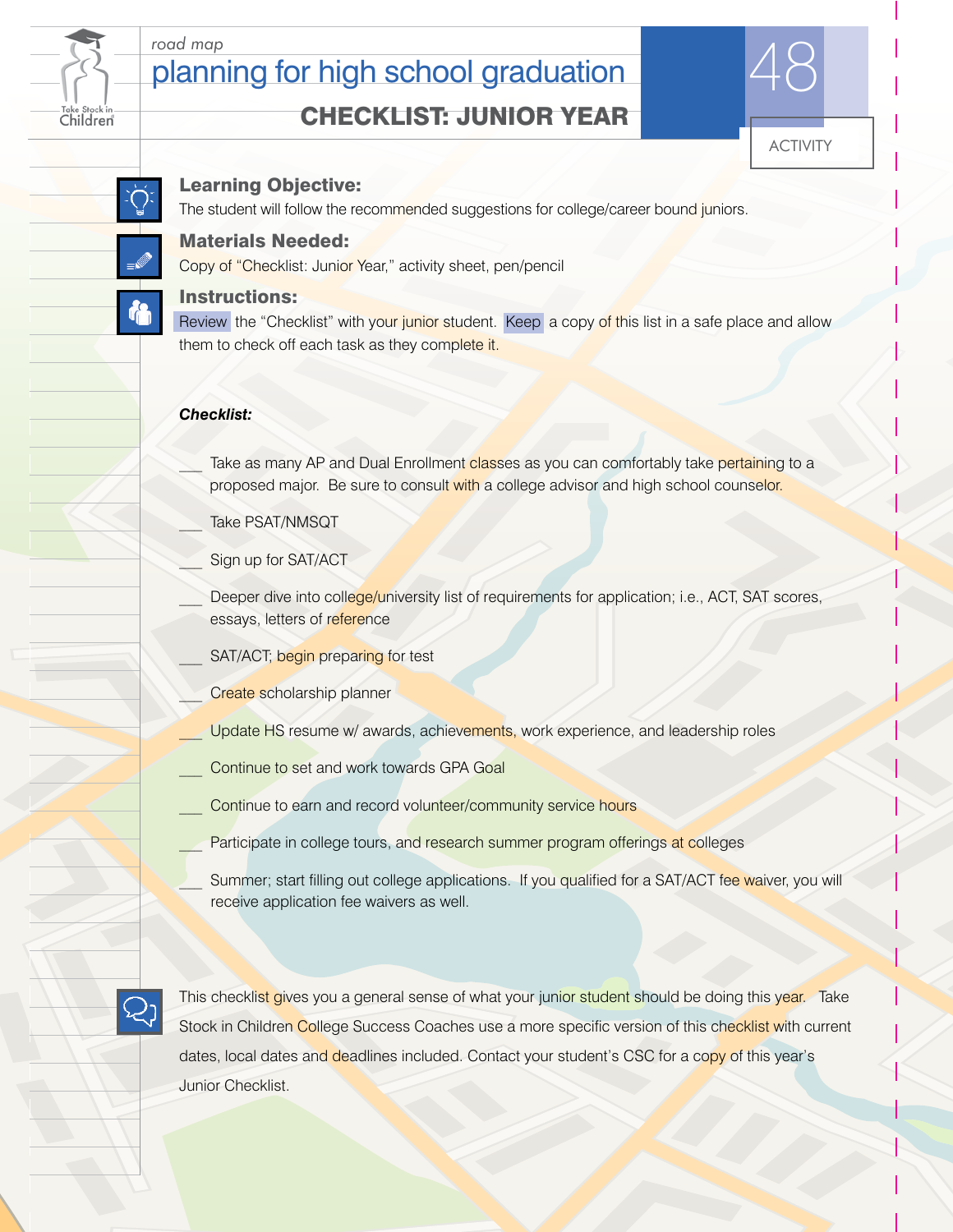

## planning for high school graduation 48 *road map*

## CHECKLIST: JUNIOR YEAR



#### Learning Objective:

The student will follow the recommended suggestions for college/career bound juniors.

#### Materials Needed:

Copy of "Checklist: Junior Year," activity sheet, pen/pencil

#### Instructions:

Review the "Checklist" with your junior student. Keep a copy of this list in a safe place and allow them to check off each task as they complete it.

#### *Checklist:*

- Take as many AP and Dual Enrollment classes as you can comfortably take pertaining to a proposed major. Be sure to consult with a college advisor and high school counselor.
- Take PSAT/NMSQT
- Sign up for SAT/ACT
- Deeper dive into college/university list of requirements for application; i.e., ACT, SAT scores, essays, letters of reference
- SAT/ACT; begin preparing for test
- Create scholarship planner
- Update HS resume w/ awards, achievements, work experience, and leadership roles
- Continue to set and work towards GPA Goal
- Continue to earn and record volunteer/community service hours
- Participate in college tours, and research summer program offerings at colleges
	- Summer; start filling out college applications. If you qualified for a SAT/ACT fee waiver, you will receive application fee waivers as well.



This checklist gives you a general sense of what your junior student should be doing this year. Take Stock in Children College Success Coaches use a more specific version of this checklist with current dates, local dates and deadlines included. Contact your student's CSC for a copy of this year's Junior Checklist.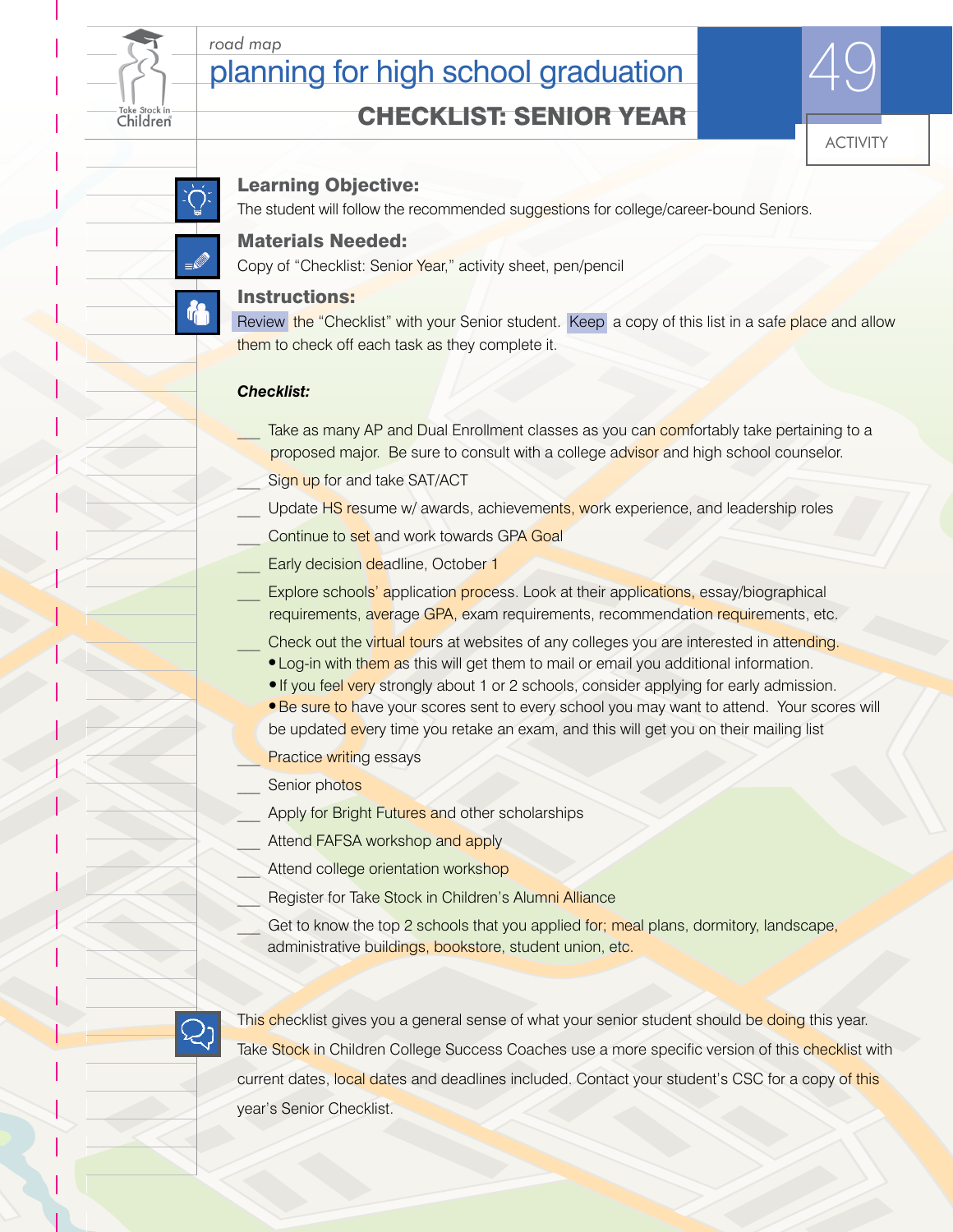

## road map<br>**planning for high school graduation**

CHECKLIST: SENIOR YEAR

# ACTIVITY

### Learning Objective:

The student will follow the recommended suggestions for college/career-bound Seniors.

#### Materials Needed:

Copy of "Checklist: Senior Year," activity sheet, pen/pencil

#### Instructions:

Review the "Checklist" with your Senior student. Keep a copy of this list in a safe place and allow them to check off each task as they complete it.

#### *Checklist:*

Take as many AP and Dual Enrollment classes as you can comfortably take pertaining to a proposed major. Be sure to consult with a college advisor and high school counselor.

Sign up for and take SAT/ACT

Update HS resume w/ awards, achievements, work experience, and leadership roles

- Continue to set and work towards GPA Goal
- Early decision deadline, October 1
- Explore schools' application process. Look at their applications, essay/biographical requirements, average GPA, exam requirements, recommendation requirements, etc.

Check out the virtual tours at websites of any colleges you are interested in attending.

- Log-in with them as this will get them to mail or email you additional information.
- If you feel very strongly about 1 or 2 schools, consider applying for early admission.

• Be sure to have your scores sent to every school you may want to attend. Your scores will be updated every time you retake an exam, and this will get you on their mailing list

- Practice writing essays
- Senior photos
- Apply for Bright Futures and other scholarships
- Attend FAFSA workshop and apply
- Attend college orientation workshop
- Register for Take Stock in Children's Alumni Alliance
- Get to know the top 2 schools that you applied for; meal plans, dormitory, landscape, administrative buildings, bookstore, student union, etc.



This checklist gives you a general sense of what your senior student should be doing this year. Take Stock in Children College Success Coaches use a more specific version of this checklist with current dates, local dates and deadlines included. Contact your student's CSC for a copy of this year's Senior Checklist.